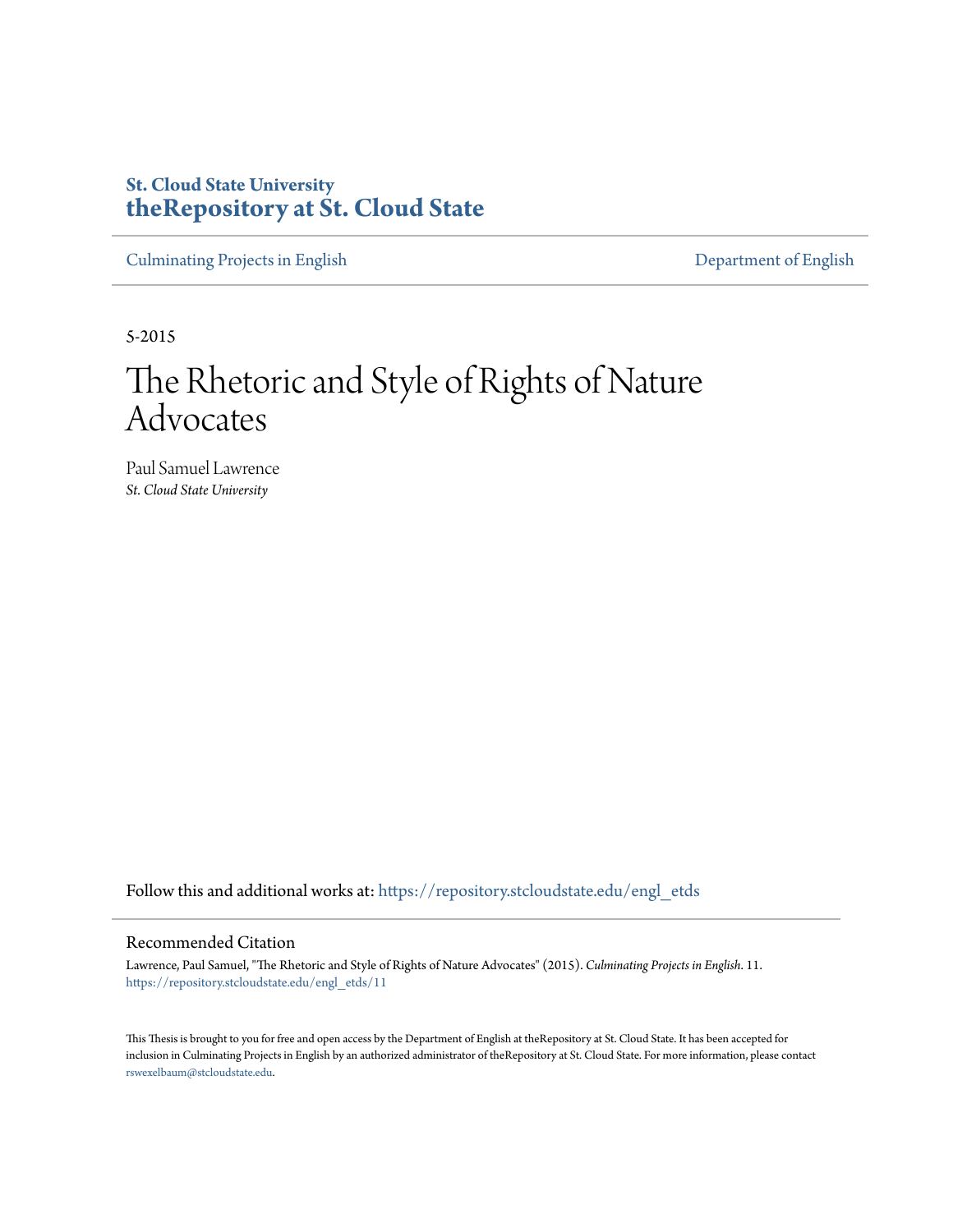# **St. Cloud State University [theRepository at St. Cloud State](https://repository.stcloudstate.edu?utm_source=repository.stcloudstate.edu%2Fengl_etds%2F11&utm_medium=PDF&utm_campaign=PDFCoverPages)**

[Culminating Projects in English](https://repository.stcloudstate.edu/engl_etds?utm_source=repository.stcloudstate.edu%2Fengl_etds%2F11&utm_medium=PDF&utm_campaign=PDFCoverPages) [Department of English](https://repository.stcloudstate.edu/engl?utm_source=repository.stcloudstate.edu%2Fengl_etds%2F11&utm_medium=PDF&utm_campaign=PDFCoverPages)

5-2015

# The Rhetoric and Style of Rights of Nature Advocates

Paul Samuel Lawrence *St. Cloud State University*

Follow this and additional works at: [https://repository.stcloudstate.edu/engl\\_etds](https://repository.stcloudstate.edu/engl_etds?utm_source=repository.stcloudstate.edu%2Fengl_etds%2F11&utm_medium=PDF&utm_campaign=PDFCoverPages)

#### Recommended Citation

Lawrence, Paul Samuel, "The Rhetoric and Style of Rights of Nature Advocates" (2015). *Culminating Projects in English*. 11. [https://repository.stcloudstate.edu/engl\\_etds/11](https://repository.stcloudstate.edu/engl_etds/11?utm_source=repository.stcloudstate.edu%2Fengl_etds%2F11&utm_medium=PDF&utm_campaign=PDFCoverPages)

This Thesis is brought to you for free and open access by the Department of English at theRepository at St. Cloud State. It has been accepted for inclusion in Culminating Projects in English by an authorized administrator of theRepository at St. Cloud State. For more information, please contact [rswexelbaum@stcloudstate.edu](mailto:rswexelbaum@stcloudstate.edu).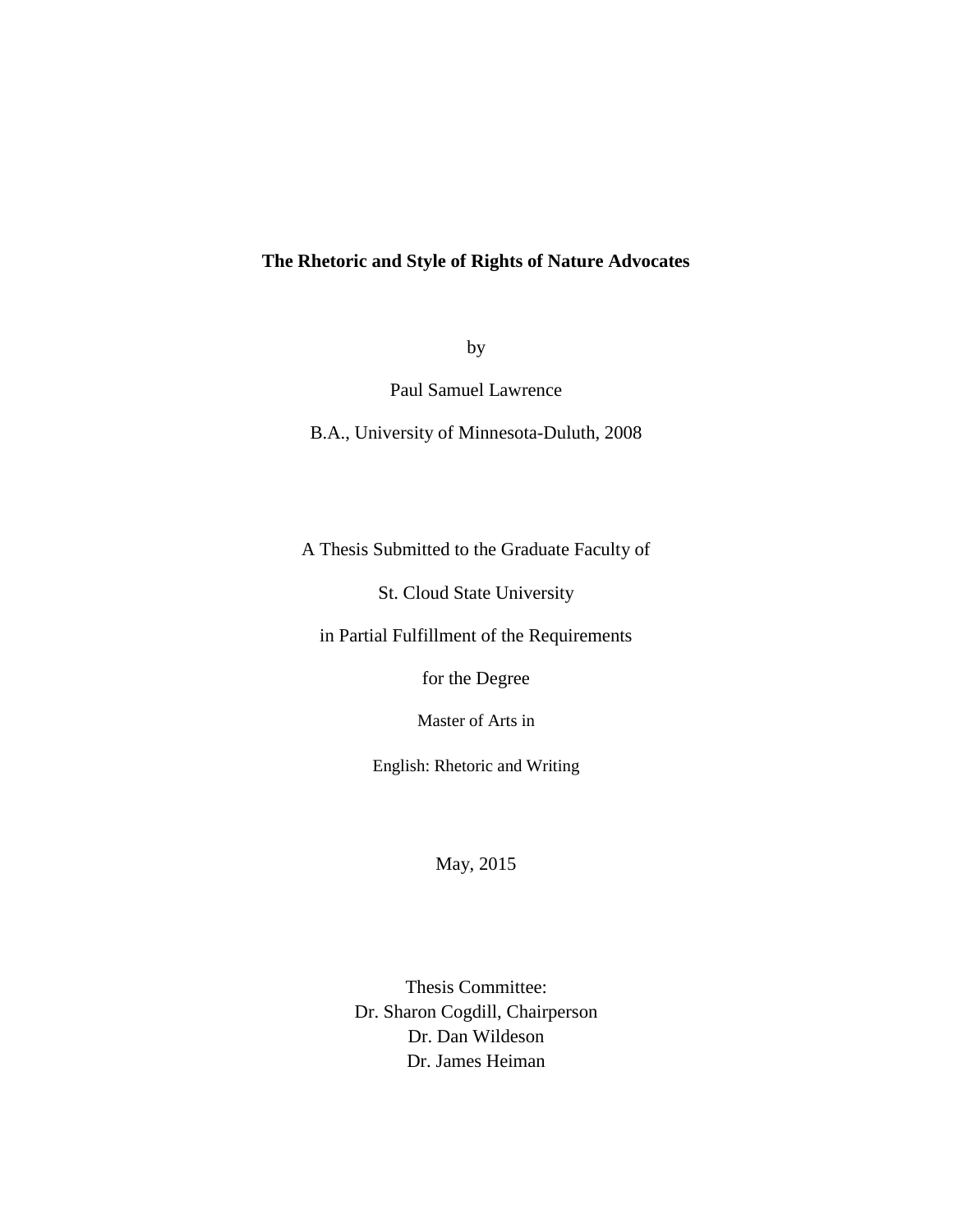### **The Rhetoric and Style of Rights of Nature Advocates**

by

Paul Samuel Lawrence

B.A., University of Minnesota-Duluth, 2008

A Thesis Submitted to the Graduate Faculty of

St. Cloud State University

in Partial Fulfillment of the Requirements

for the Degree

Master of Arts in

English: Rhetoric and Writing

May, 2015

Thesis Committee: Dr. Sharon Cogdill, Chairperson Dr. Dan Wildeson Dr. James Heiman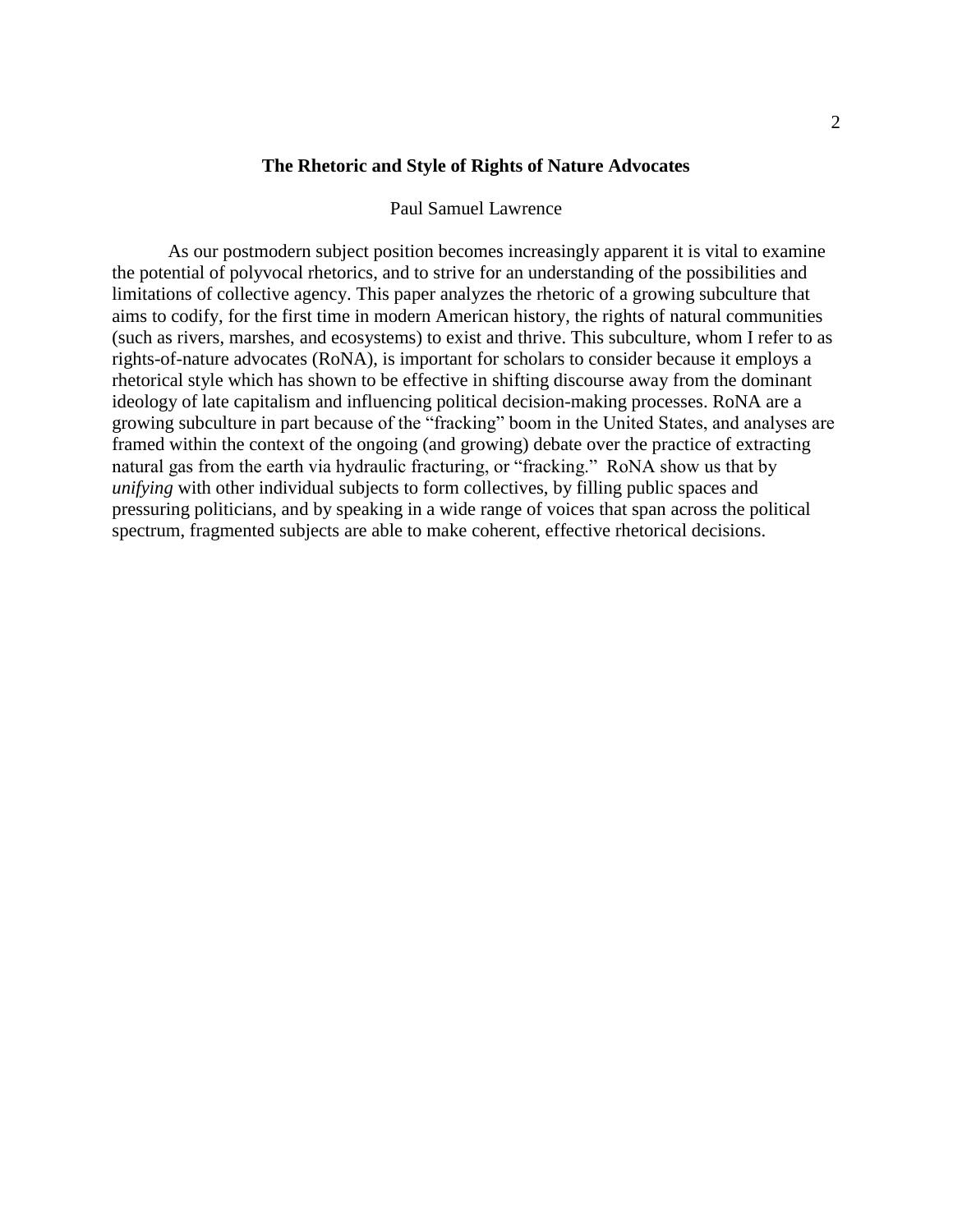### **The Rhetoric and Style of Rights of Nature Advocates**

#### Paul Samuel Lawrence

As our postmodern subject position becomes increasingly apparent it is vital to examine the potential of polyvocal rhetorics, and to strive for an understanding of the possibilities and limitations of collective agency. This paper analyzes the rhetoric of a growing subculture that aims to codify, for the first time in modern American history, the rights of natural communities (such as rivers, marshes, and ecosystems) to exist and thrive. This subculture, whom I refer to as rights-of-nature advocates (RoNA), is important for scholars to consider because it employs a rhetorical style which has shown to be effective in shifting discourse away from the dominant ideology of late capitalism and influencing political decision-making processes. RoNA are a growing subculture in part because of the "fracking" boom in the United States, and analyses are framed within the context of the ongoing (and growing) debate over the practice of extracting natural gas from the earth via hydraulic fracturing, or "fracking." RoNA show us that by *unifying* with other individual subjects to form collectives, by filling public spaces and pressuring politicians, and by speaking in a wide range of voices that span across the political spectrum, fragmented subjects are able to make coherent, effective rhetorical decisions.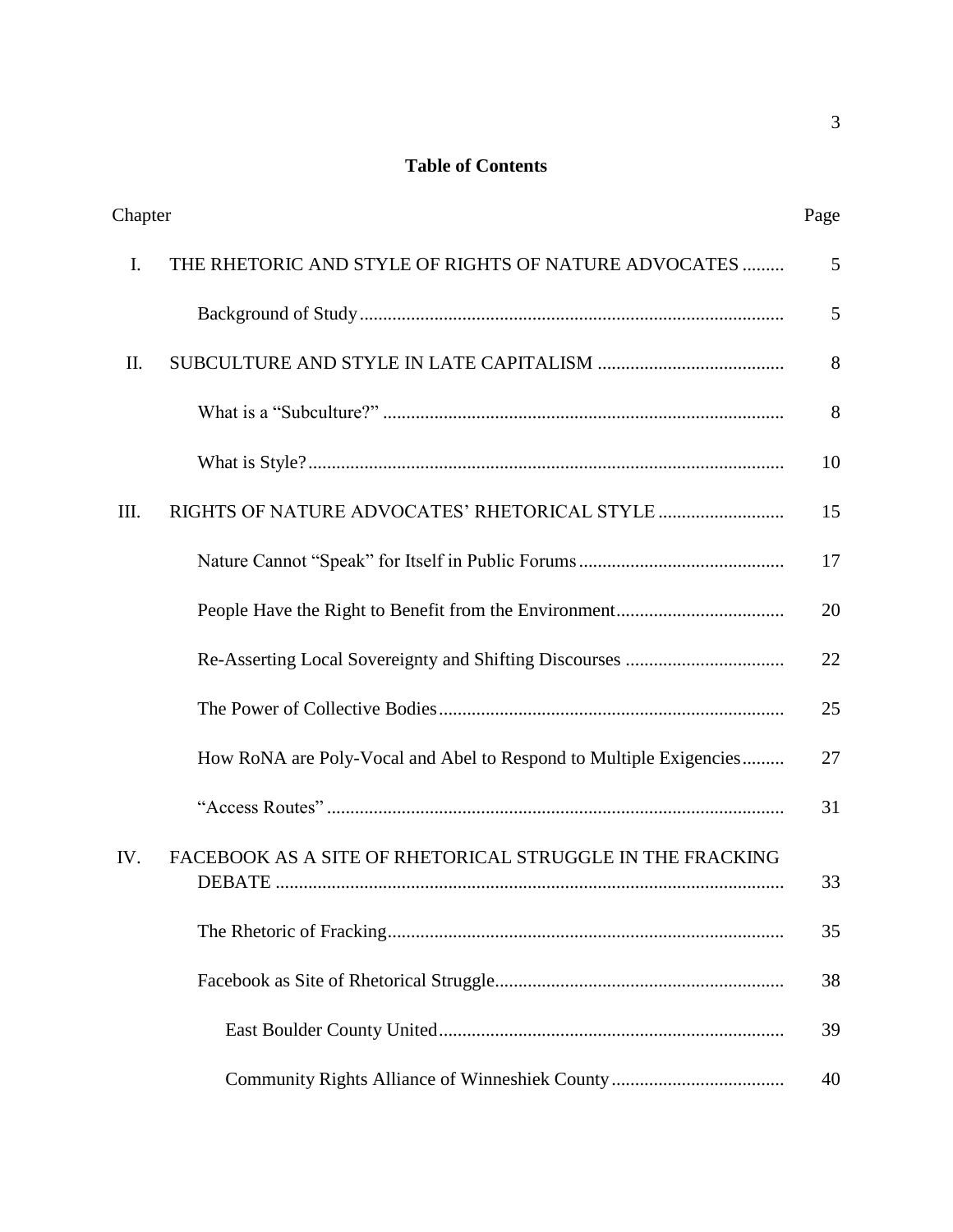## **Table of Contents**

| Chapter |                                                                    | Page |
|---------|--------------------------------------------------------------------|------|
| I.      | THE RHETORIC AND STYLE OF RIGHTS OF NATURE ADVOCATES               | 5    |
|         |                                                                    | 5    |
| II.     |                                                                    | 8    |
|         |                                                                    | 8    |
|         |                                                                    | 10   |
| III.    |                                                                    | 15   |
|         |                                                                    | 17   |
|         |                                                                    | 20   |
|         |                                                                    | 22   |
|         |                                                                    | 25   |
|         | How RoNA are Poly-Vocal and Abel to Respond to Multiple Exigencies | 27   |
|         |                                                                    | 31   |
| IV.     | FACEBOOK AS A SITE OF RHETORICAL STRUGGLE IN THE FRACKING          | 33   |
|         |                                                                    | 35   |
|         |                                                                    | 38   |
|         |                                                                    | 39   |
|         |                                                                    | 40   |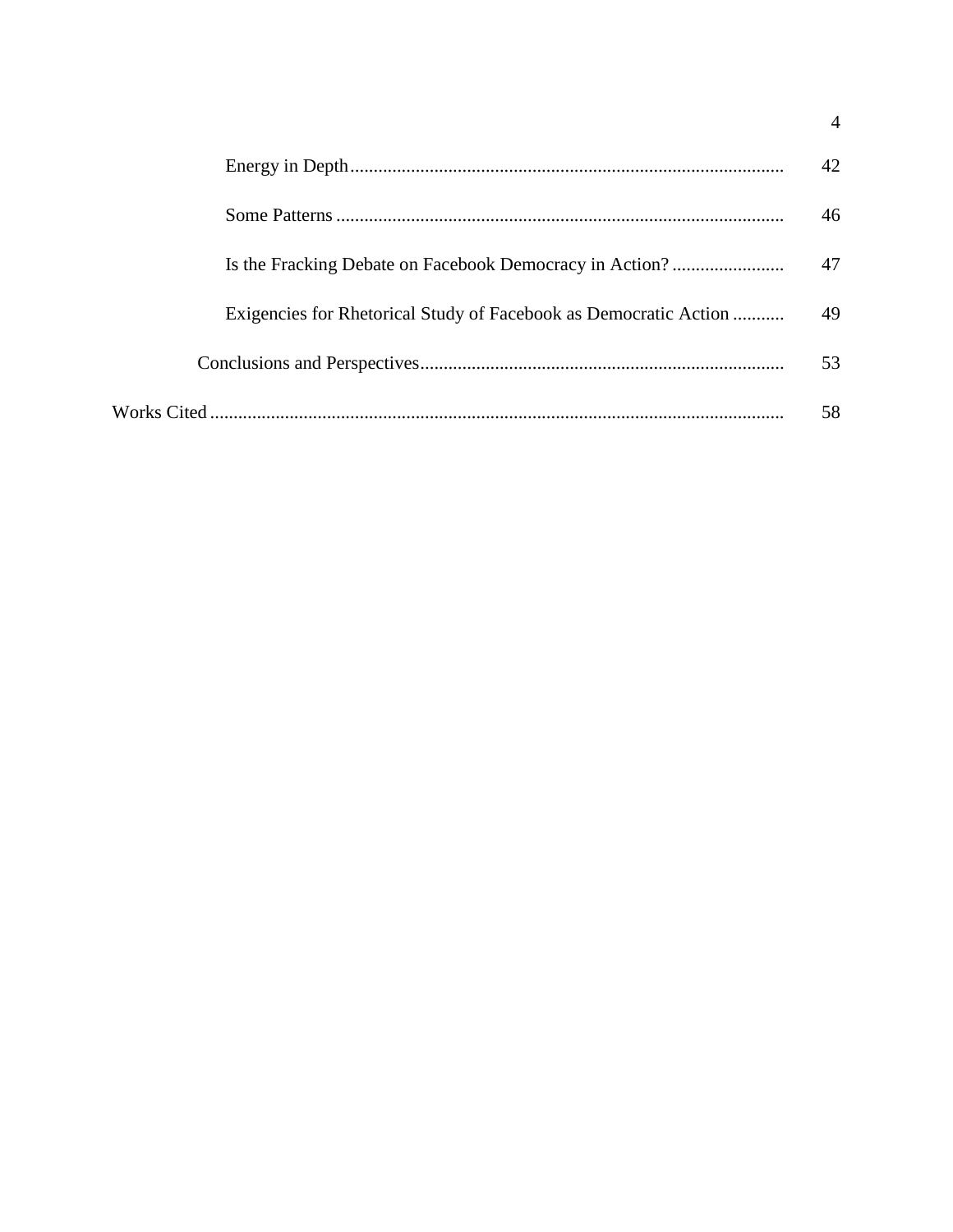|                                                                  | 42 |
|------------------------------------------------------------------|----|
|                                                                  | 46 |
| Is the Fracking Debate on Facebook Democracy in Action?          | 47 |
| Exigencies for Rhetorical Study of Facebook as Democratic Action | 49 |
|                                                                  | 53 |
|                                                                  | 58 |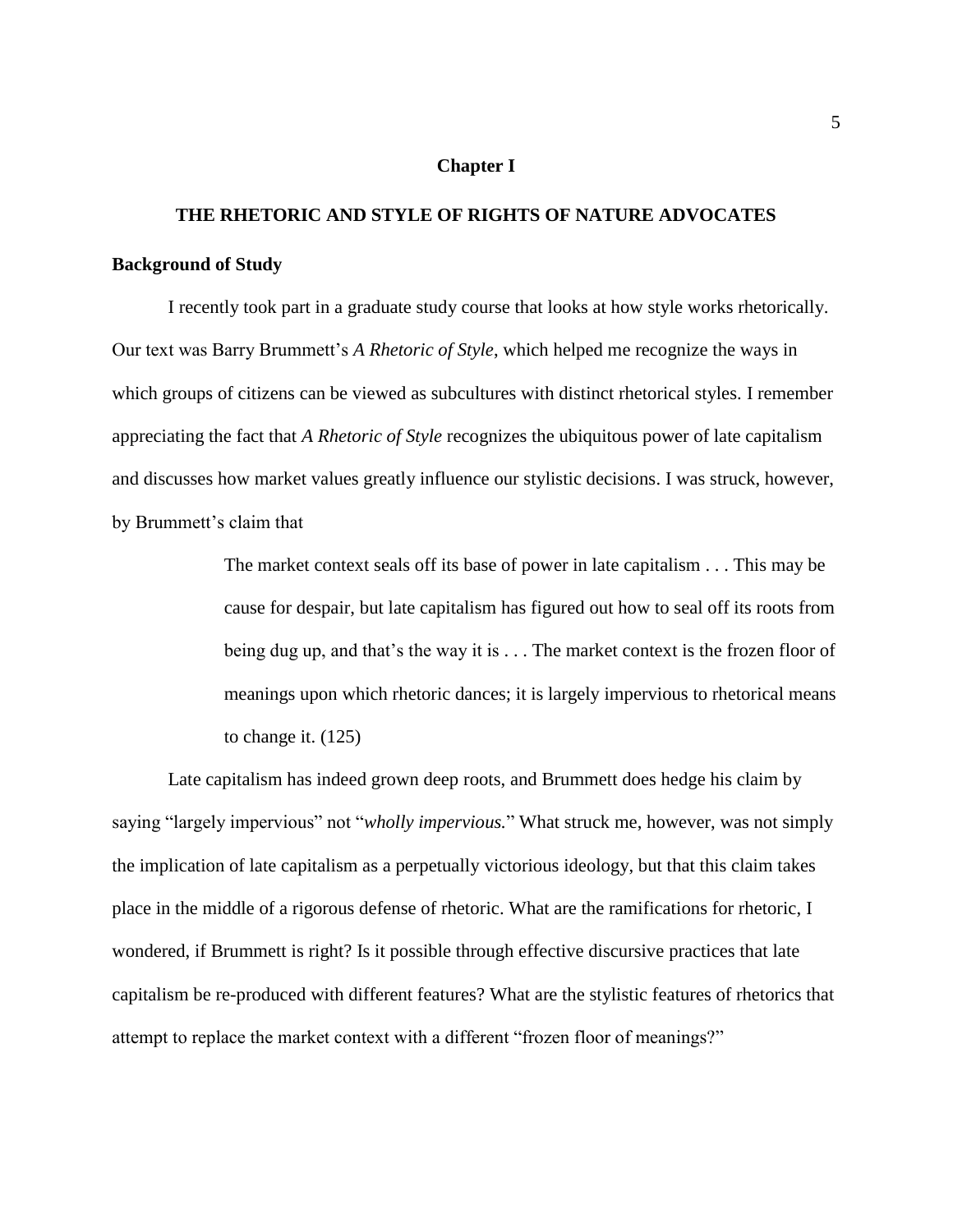#### **Chapter I**

# **THE RHETORIC AND STYLE OF RIGHTS OF NATURE ADVOCATES Background of Study**

I recently took part in a graduate study course that looks at how style works rhetorically. Our text was Barry Brummett's *A Rhetoric of Style*, which helped me recognize the ways in which groups of citizens can be viewed as subcultures with distinct rhetorical styles. I remember appreciating the fact that *A Rhetoric of Style* recognizes the ubiquitous power of late capitalism and discusses how market values greatly influence our stylistic decisions. I was struck, however, by Brummett's claim that

> The market context seals off its base of power in late capitalism . . . This may be cause for despair, but late capitalism has figured out how to seal off its roots from being dug up, and that's the way it is . . . The market context is the frozen floor of meanings upon which rhetoric dances; it is largely impervious to rhetorical means to change it. (125)

Late capitalism has indeed grown deep roots, and Brummett does hedge his claim by saying "largely impervious" not "*wholly impervious.*" What struck me, however, was not simply the implication of late capitalism as a perpetually victorious ideology, but that this claim takes place in the middle of a rigorous defense of rhetoric. What are the ramifications for rhetoric, I wondered, if Brummett is right? Is it possible through effective discursive practices that late capitalism be re-produced with different features? What are the stylistic features of rhetorics that attempt to replace the market context with a different "frozen floor of meanings?"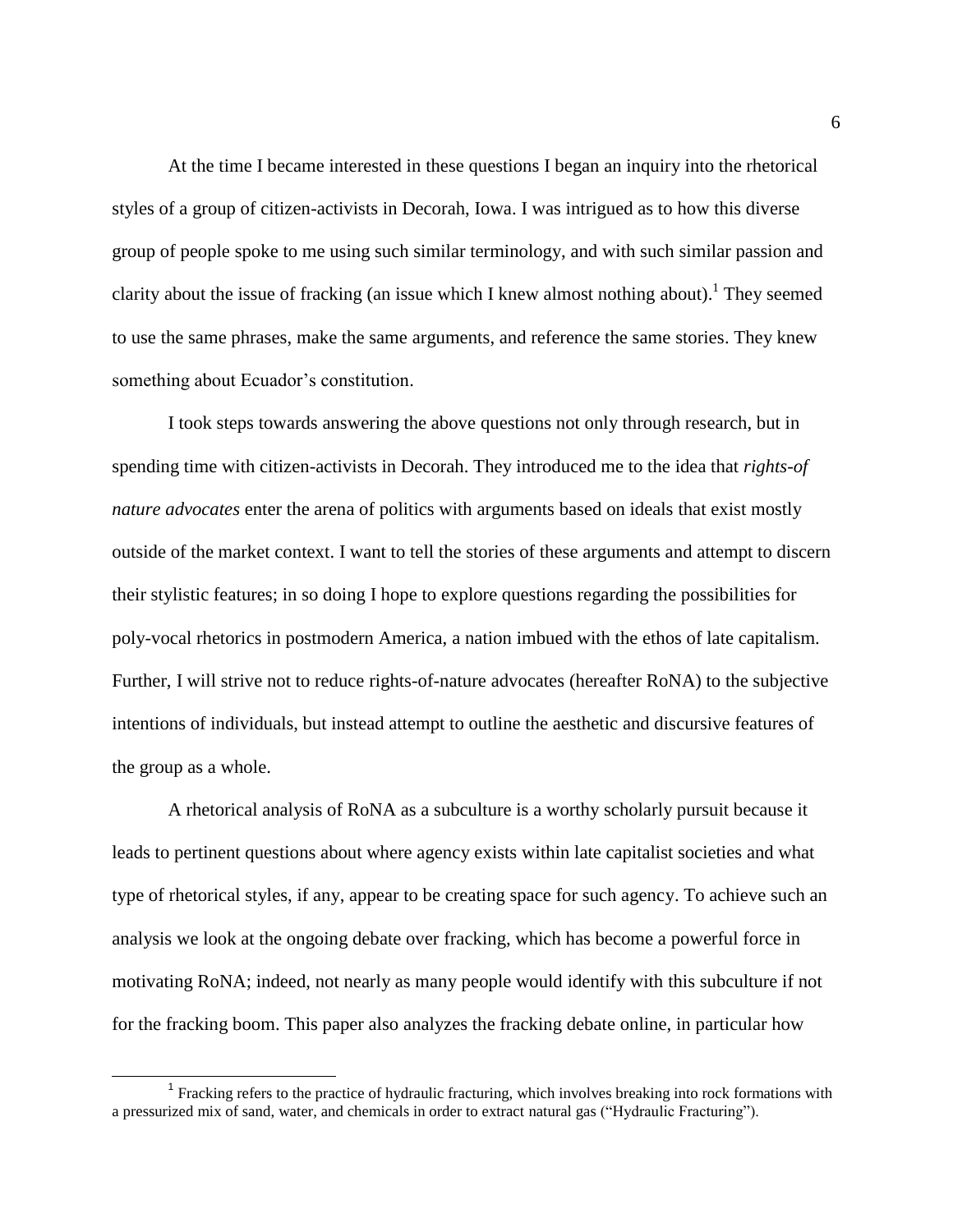At the time I became interested in these questions I began an inquiry into the rhetorical styles of a group of citizen-activists in Decorah, Iowa. I was intrigued as to how this diverse group of people spoke to me using such similar terminology, and with such similar passion and clarity about the issue of fracking (an issue which I knew almost nothing about).<sup>1</sup> They seemed to use the same phrases, make the same arguments, and reference the same stories. They knew something about Ecuador's constitution.

I took steps towards answering the above questions not only through research, but in spending time with citizen-activists in Decorah. They introduced me to the idea that *rights-of nature advocates* enter the arena of politics with arguments based on ideals that exist mostly outside of the market context. I want to tell the stories of these arguments and attempt to discern their stylistic features; in so doing I hope to explore questions regarding the possibilities for poly-vocal rhetorics in postmodern America, a nation imbued with the ethos of late capitalism. Further, I will strive not to reduce rights-of-nature advocates (hereafter RoNA) to the subjective intentions of individuals, but instead attempt to outline the aesthetic and discursive features of the group as a whole.

A rhetorical analysis of RoNA as a subculture is a worthy scholarly pursuit because it leads to pertinent questions about where agency exists within late capitalist societies and what type of rhetorical styles, if any, appear to be creating space for such agency. To achieve such an analysis we look at the ongoing debate over fracking, which has become a powerful force in motivating RoNA; indeed, not nearly as many people would identify with this subculture if not for the fracking boom. This paper also analyzes the fracking debate online, in particular how

<sup>&</sup>lt;sup>1</sup> Fracking refers to the practice of hydraulic fracturing, which involves breaking into rock formations with a pressurized mix of sand, water, and chemicals in order to extract natural gas ("Hydraulic Fracturing").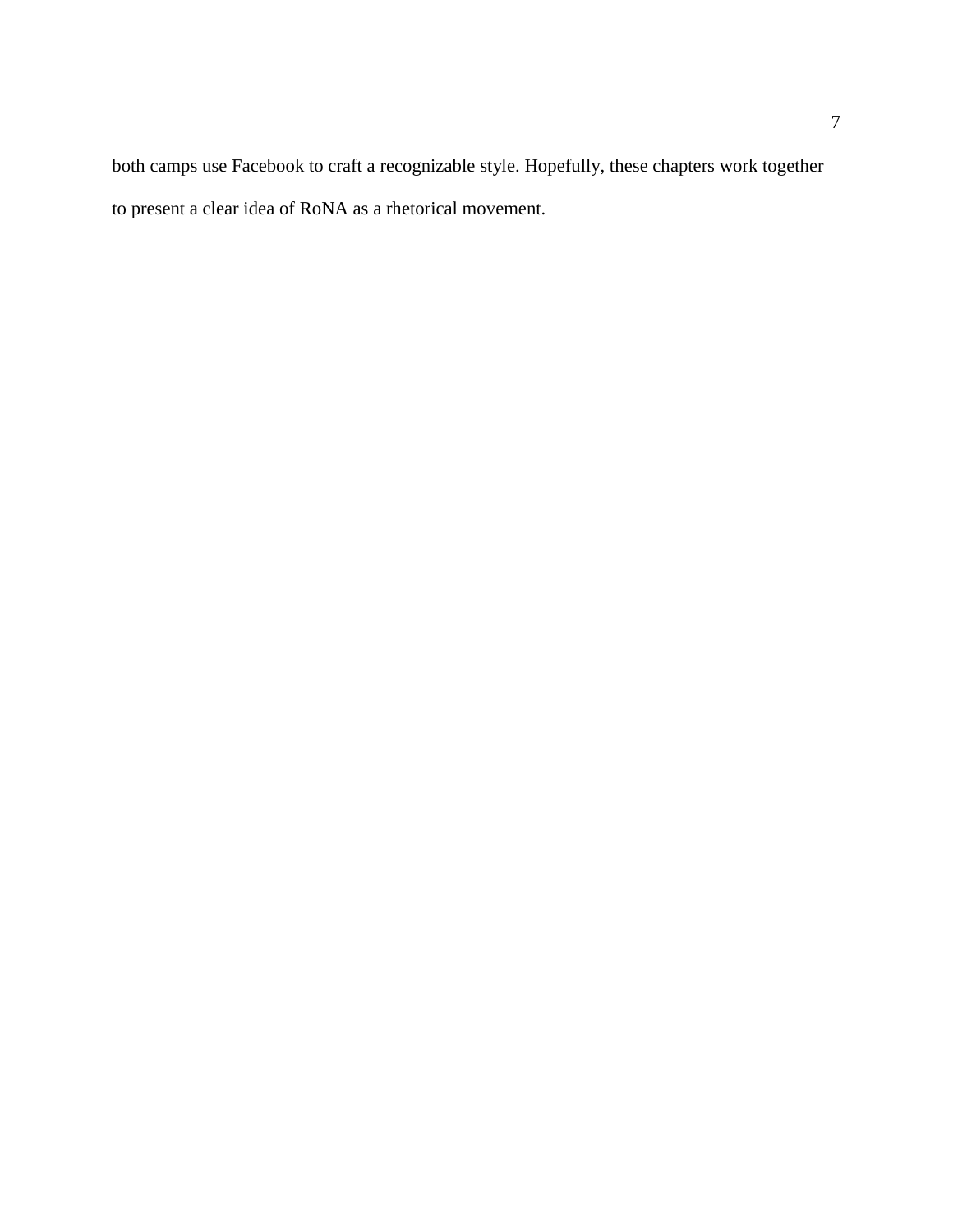both camps use Facebook to craft a recognizable style. Hopefully, these chapters work together to present a clear idea of RoNA as a rhetorical movement.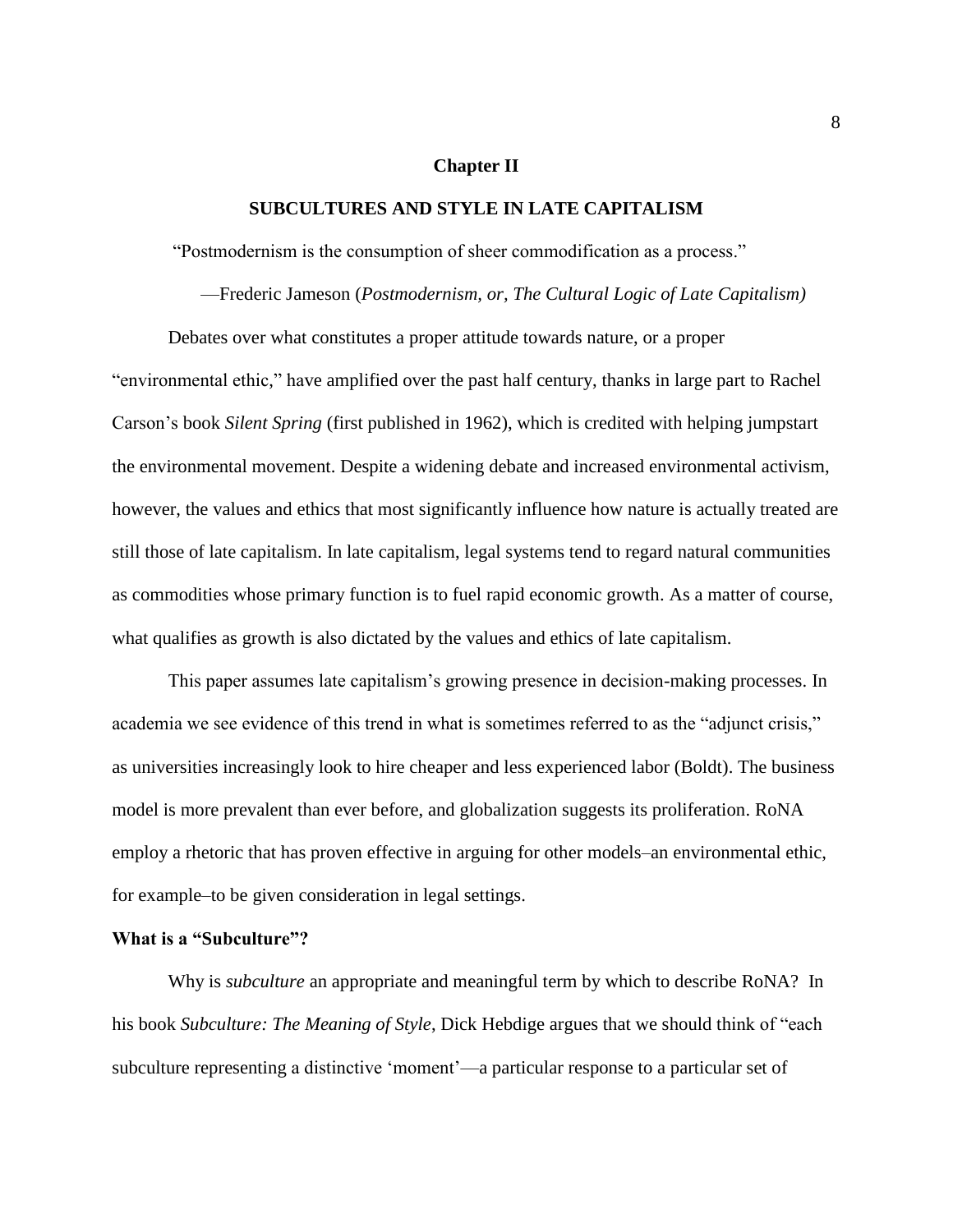#### **Chapter II**

#### **SUBCULTURES AND STYLE IN LATE CAPITALISM**

"Postmodernism is the consumption of sheer commodification as a process."

—Frederic Jameson (*Postmodernism, or, The Cultural Logic of Late Capitalism)*

Debates over what constitutes a proper attitude towards nature, or a proper "environmental ethic," have amplified over the past half century, thanks in large part to Rachel Carson's book *Silent Spring* (first published in 1962), which is credited with helping jumpstart the environmental movement. Despite a widening debate and increased environmental activism, however, the values and ethics that most significantly influence how nature is actually treated are still those of late capitalism. In late capitalism, legal systems tend to regard natural communities as commodities whose primary function is to fuel rapid economic growth. As a matter of course, what qualifies as growth is also dictated by the values and ethics of late capitalism.

This paper assumes late capitalism's growing presence in decision-making processes. In academia we see evidence of this trend in what is sometimes referred to as the "adjunct crisis," as universities increasingly look to hire cheaper and less experienced labor (Boldt). The business model is more prevalent than ever before, and globalization suggests its proliferation. RoNA employ a rhetoric that has proven effective in arguing for other models–an environmental ethic, for example–to be given consideration in legal settings.

#### **What is a "Subculture"?**

Why is *subculture* an appropriate and meaningful term by which to describe RoNA? In his book *Subculture: The Meaning of Style*, Dick Hebdige argues that we should think of "each subculture representing a distinctive 'moment'—a particular response to a particular set of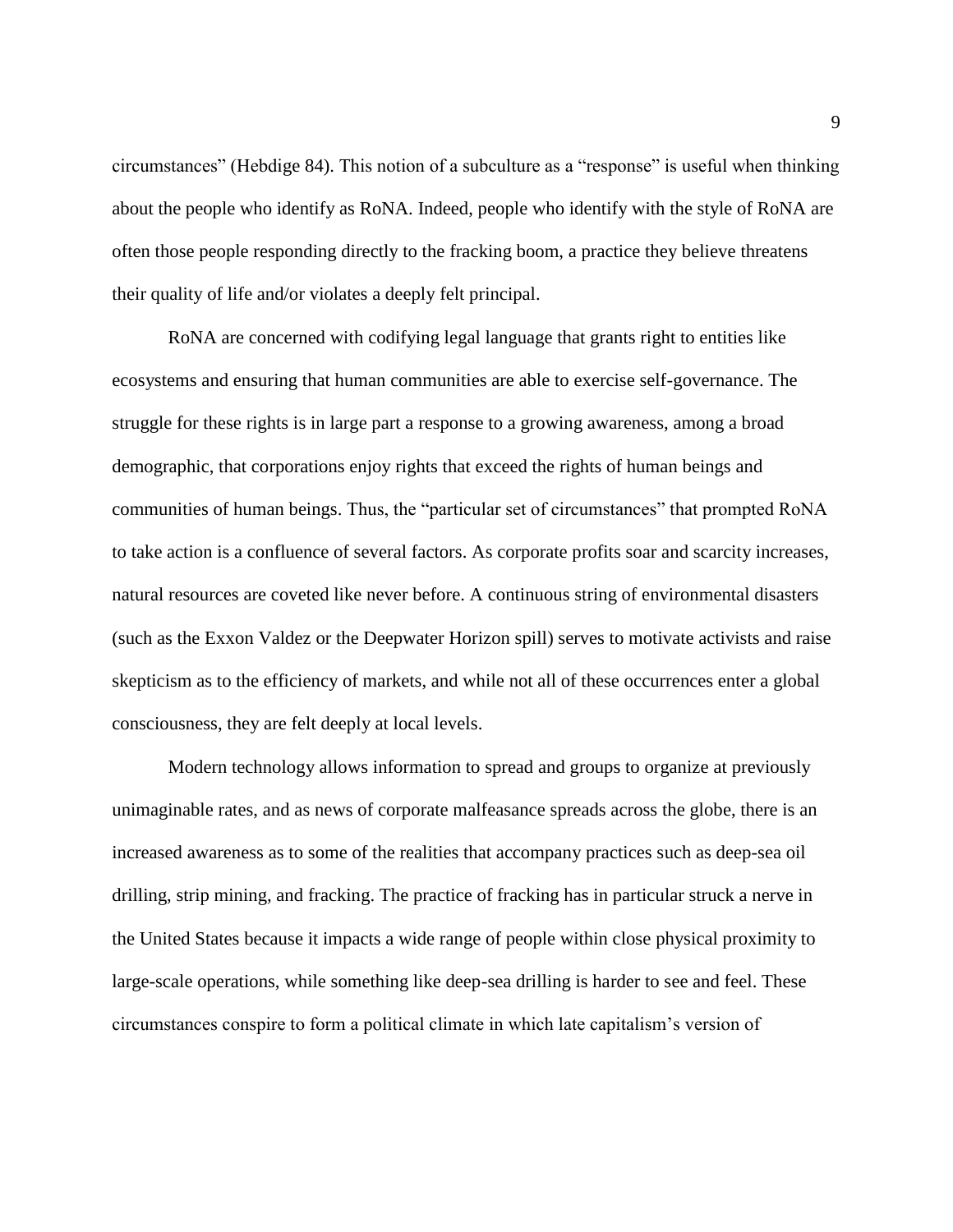circumstances" (Hebdige 84). This notion of a subculture as a "response" is useful when thinking about the people who identify as RoNA. Indeed, people who identify with the style of RoNA are often those people responding directly to the fracking boom, a practice they believe threatens their quality of life and/or violates a deeply felt principal.

RoNA are concerned with codifying legal language that grants right to entities like ecosystems and ensuring that human communities are able to exercise self-governance. The struggle for these rights is in large part a response to a growing awareness, among a broad demographic, that corporations enjoy rights that exceed the rights of human beings and communities of human beings. Thus, the "particular set of circumstances" that prompted RoNA to take action is a confluence of several factors. As corporate profits soar and scarcity increases, natural resources are coveted like never before. A continuous string of environmental disasters (such as the Exxon Valdez or the Deepwater Horizon spill) serves to motivate activists and raise skepticism as to the efficiency of markets, and while not all of these occurrences enter a global consciousness, they are felt deeply at local levels.

Modern technology allows information to spread and groups to organize at previously unimaginable rates, and as news of corporate malfeasance spreads across the globe, there is an increased awareness as to some of the realities that accompany practices such as deep-sea oil drilling, strip mining, and fracking. The practice of fracking has in particular struck a nerve in the United States because it impacts a wide range of people within close physical proximity to large-scale operations, while something like deep-sea drilling is harder to see and feel. These circumstances conspire to form a political climate in which late capitalism's version of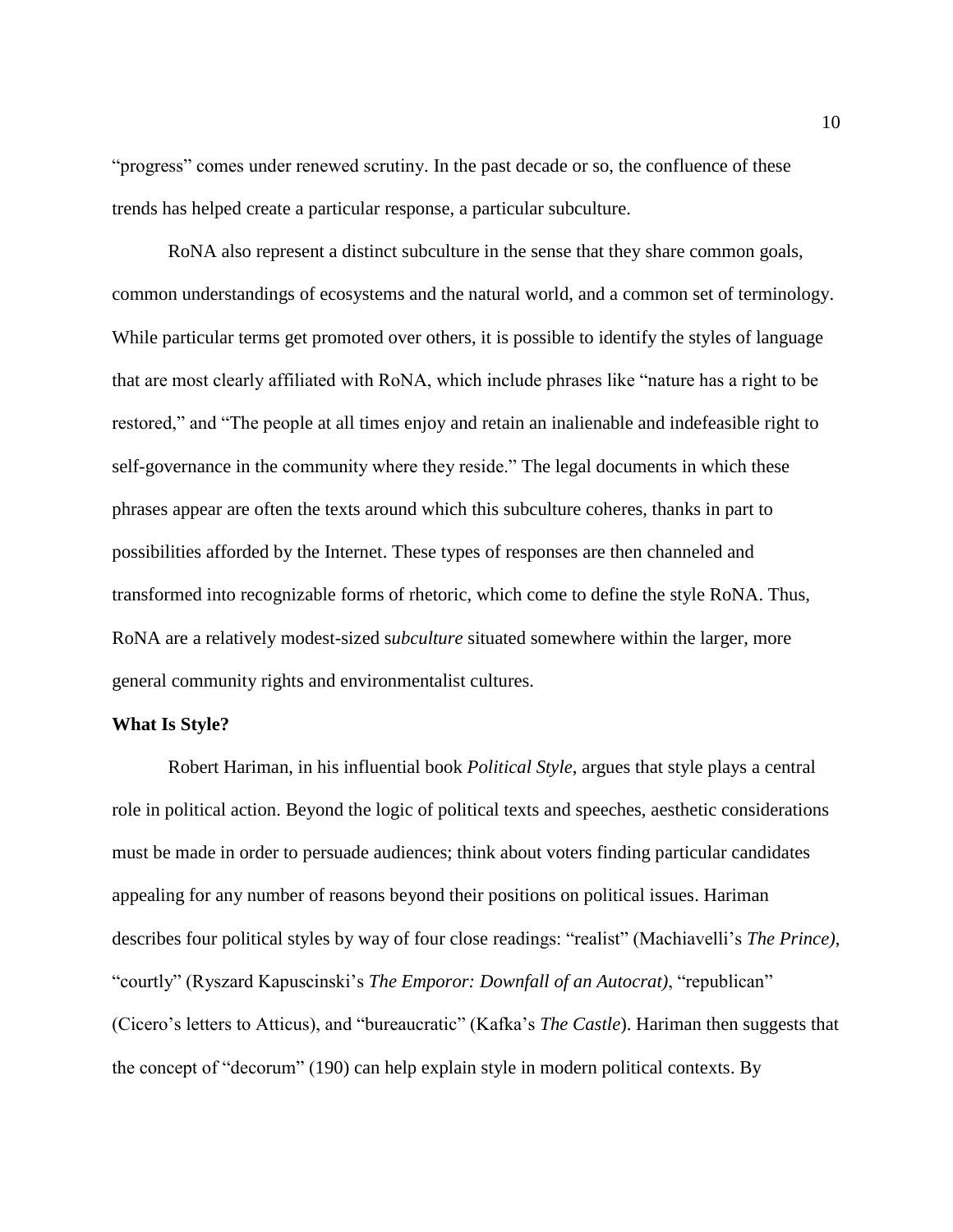"progress" comes under renewed scrutiny. In the past decade or so, the confluence of these trends has helped create a particular response, a particular subculture.

RoNA also represent a distinct subculture in the sense that they share common goals, common understandings of ecosystems and the natural world, and a common set of terminology. While particular terms get promoted over others, it is possible to identify the styles of language that are most clearly affiliated with RoNA, which include phrases like "nature has a right to be restored," and "The people at all times enjoy and retain an inalienable and indefeasible right to self-governance in the community where they reside." The legal documents in which these phrases appear are often the texts around which this subculture coheres, thanks in part to possibilities afforded by the Internet. These types of responses are then channeled and transformed into recognizable forms of rhetoric, which come to define the style RoNA. Thus, RoNA are a relatively modest-sized s*ubculture* situated somewhere within the larger, more general community rights and environmentalist cultures.

#### **What Is Style?**

Robert Hariman, in his influential book *Political Style*, argues that style plays a central role in political action. Beyond the logic of political texts and speeches, aesthetic considerations must be made in order to persuade audiences; think about voters finding particular candidates appealing for any number of reasons beyond their positions on political issues. Hariman describes four political styles by way of four close readings: "realist" (Machiavelli's *The Prince)*, "courtly" (Ryszard Kapuscinski's *The Emporor: Downfall of an Autocrat)*, "republican" (Cicero's letters to Atticus), and "bureaucratic" (Kafka's *The Castle*). Hariman then suggests that the concept of "decorum" (190) can help explain style in modern political contexts. By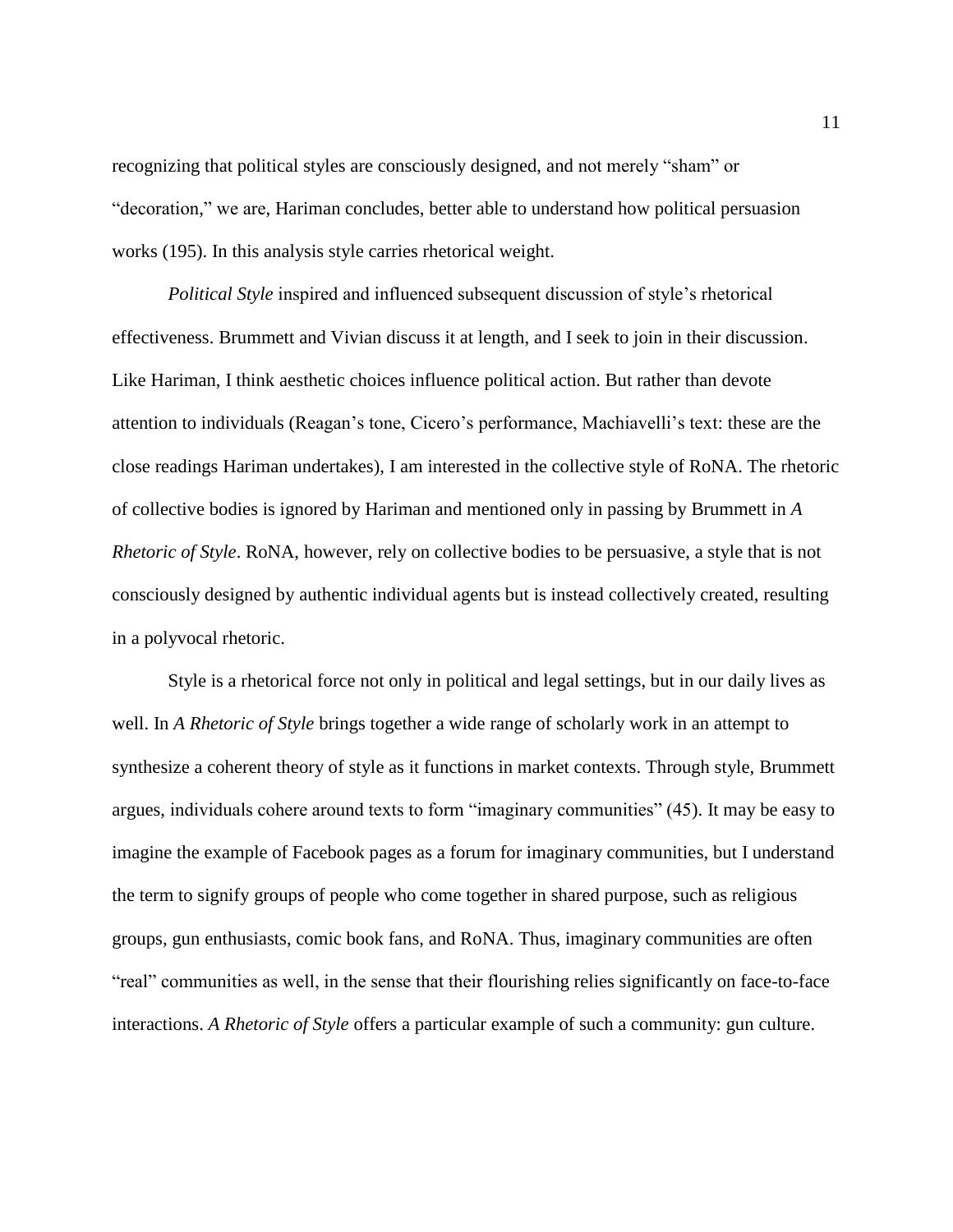recognizing that political styles are consciously designed, and not merely "sham" or "decoration," we are, Hariman concludes, better able to understand how political persuasion works (195). In this analysis style carries rhetorical weight.

*Political Style* inspired and influenced subsequent discussion of style's rhetorical effectiveness. Brummett and Vivian discuss it at length, and I seek to join in their discussion. Like Hariman, I think aesthetic choices influence political action. But rather than devote attention to individuals (Reagan's tone, Cicero's performance, Machiavelli's text: these are the close readings Hariman undertakes), I am interested in the collective style of RoNA. The rhetoric of collective bodies is ignored by Hariman and mentioned only in passing by Brummett in *A Rhetoric of Style*. RoNA, however, rely on collective bodies to be persuasive, a style that is not consciously designed by authentic individual agents but is instead collectively created, resulting in a polyvocal rhetoric.

Style is a rhetorical force not only in political and legal settings, but in our daily lives as well. In *A Rhetoric of Style* brings together a wide range of scholarly work in an attempt to synthesize a coherent theory of style as it functions in market contexts. Through style, Brummett argues, individuals cohere around texts to form "imaginary communities" (45). It may be easy to imagine the example of Facebook pages as a forum for imaginary communities, but I understand the term to signify groups of people who come together in shared purpose, such as religious groups, gun enthusiasts, comic book fans, and RoNA. Thus, imaginary communities are often "real" communities as well, in the sense that their flourishing relies significantly on face-to-face interactions. *A Rhetoric of Style* offers a particular example of such a community: gun culture.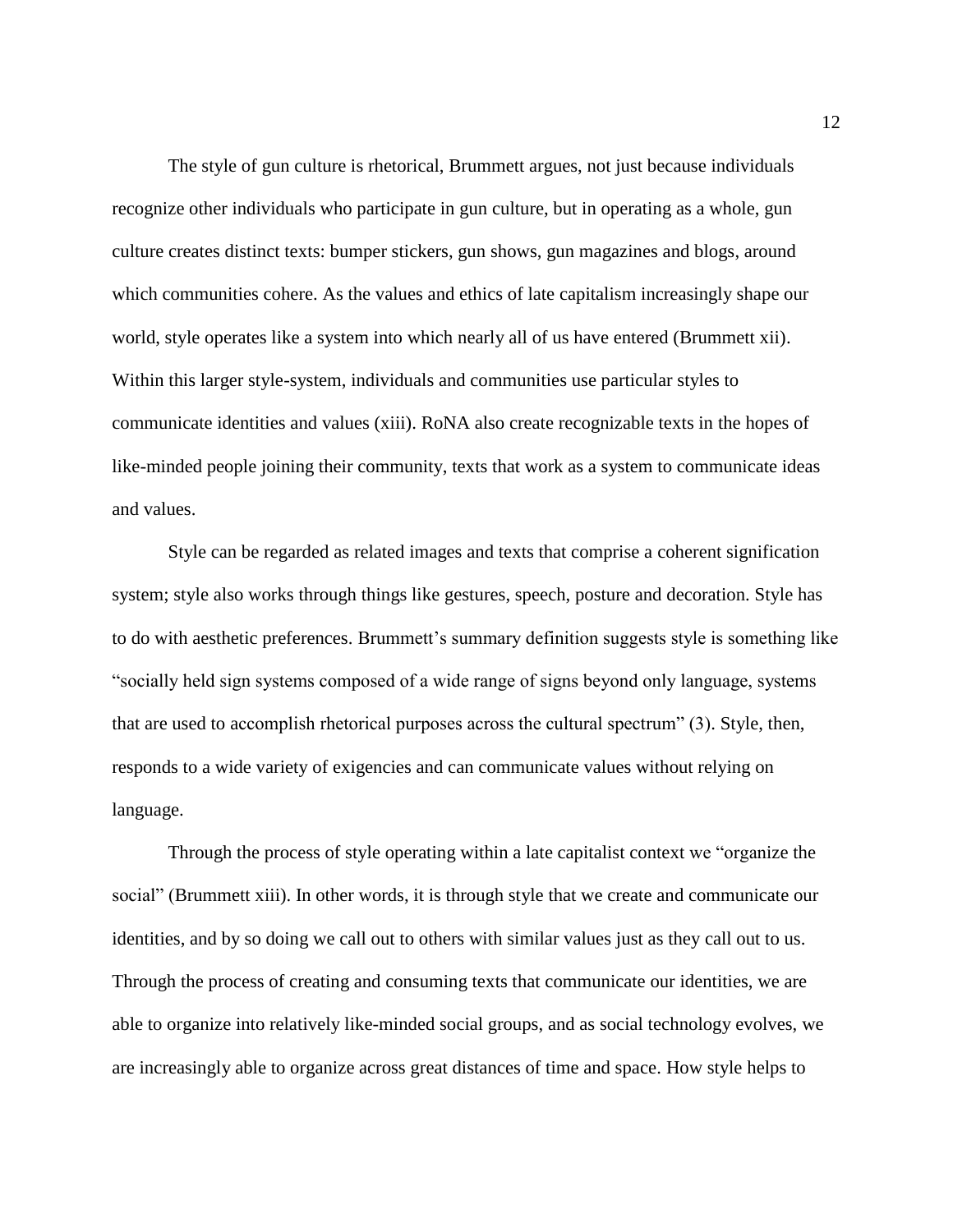The style of gun culture is rhetorical, Brummett argues, not just because individuals recognize other individuals who participate in gun culture, but in operating as a whole, gun culture creates distinct texts: bumper stickers, gun shows, gun magazines and blogs, around which communities cohere. As the values and ethics of late capitalism increasingly shape our world, style operates like a system into which nearly all of us have entered (Brummett xii). Within this larger style-system, individuals and communities use particular styles to communicate identities and values (xiii). RoNA also create recognizable texts in the hopes of like-minded people joining their community, texts that work as a system to communicate ideas and values.

Style can be regarded as related images and texts that comprise a coherent signification system; style also works through things like gestures, speech, posture and decoration. Style has to do with aesthetic preferences. Brummett's summary definition suggests style is something like "socially held sign systems composed of a wide range of signs beyond only language, systems that are used to accomplish rhetorical purposes across the cultural spectrum" (3). Style, then, responds to a wide variety of exigencies and can communicate values without relying on language.

Through the process of style operating within a late capitalist context we "organize the social" (Brummett xiii). In other words, it is through style that we create and communicate our identities, and by so doing we call out to others with similar values just as they call out to us. Through the process of creating and consuming texts that communicate our identities, we are able to organize into relatively like-minded social groups, and as social technology evolves, we are increasingly able to organize across great distances of time and space. How style helps to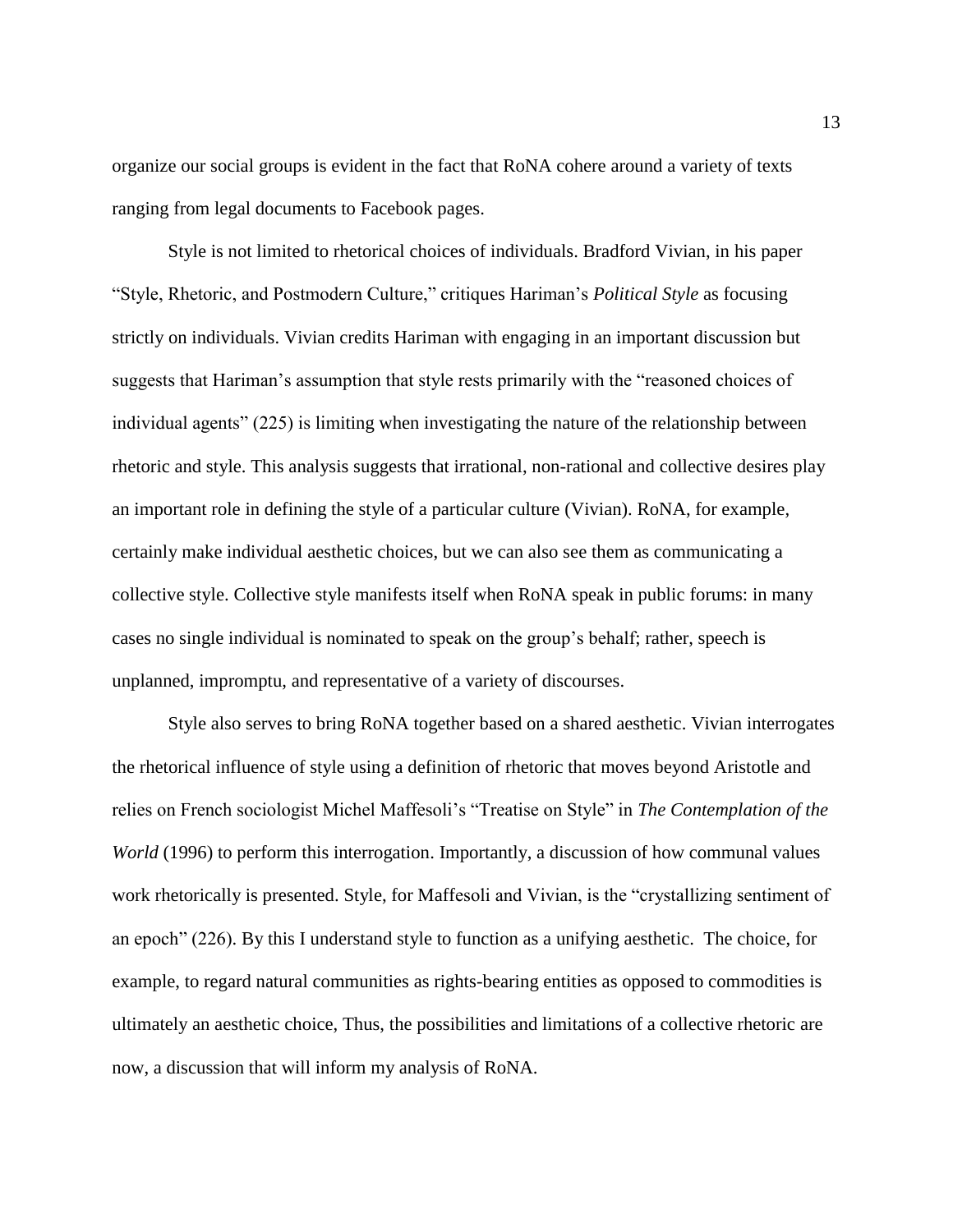organize our social groups is evident in the fact that RoNA cohere around a variety of texts ranging from legal documents to Facebook pages.

Style is not limited to rhetorical choices of individuals. Bradford Vivian, in his paper "Style, Rhetoric, and Postmodern Culture," critiques Hariman's *Political Style* as focusing strictly on individuals. Vivian credits Hariman with engaging in an important discussion but suggests that Hariman's assumption that style rests primarily with the "reasoned choices of individual agents" (225) is limiting when investigating the nature of the relationship between rhetoric and style. This analysis suggests that irrational, non-rational and collective desires play an important role in defining the style of a particular culture (Vivian). RoNA, for example, certainly make individual aesthetic choices, but we can also see them as communicating a collective style. Collective style manifests itself when RoNA speak in public forums: in many cases no single individual is nominated to speak on the group's behalf; rather, speech is unplanned, impromptu, and representative of a variety of discourses.

Style also serves to bring RoNA together based on a shared aesthetic. Vivian interrogates the rhetorical influence of style using a definition of rhetoric that moves beyond Aristotle and relies on French sociologist Michel Maffesoli's "Treatise on Style" in *The Contemplation of the World* (1996) to perform this interrogation. Importantly, a discussion of how communal values work rhetorically is presented. Style, for Maffesoli and Vivian, is the "crystallizing sentiment of an epoch" (226). By this I understand style to function as a unifying aesthetic. The choice, for example, to regard natural communities as rights-bearing entities as opposed to commodities is ultimately an aesthetic choice, Thus, the possibilities and limitations of a collective rhetoric are now, a discussion that will inform my analysis of RoNA.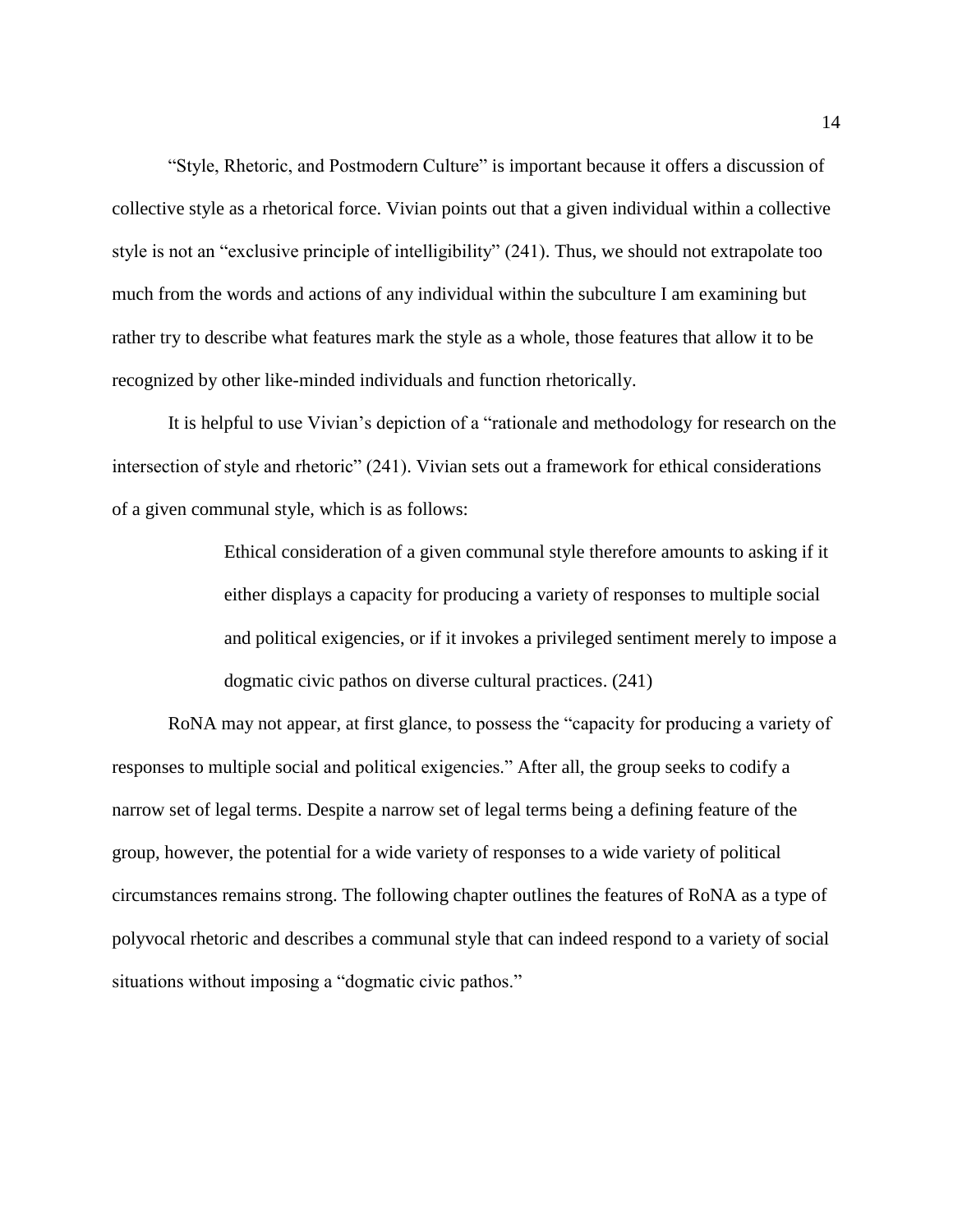"Style, Rhetoric, and Postmodern Culture" is important because it offers a discussion of collective style as a rhetorical force. Vivian points out that a given individual within a collective style is not an "exclusive principle of intelligibility" (241). Thus, we should not extrapolate too much from the words and actions of any individual within the subculture I am examining but rather try to describe what features mark the style as a whole, those features that allow it to be recognized by other like-minded individuals and function rhetorically.

It is helpful to use Vivian's depiction of a "rationale and methodology for research on the intersection of style and rhetoric" (241). Vivian sets out a framework for ethical considerations of a given communal style, which is as follows:

> Ethical consideration of a given communal style therefore amounts to asking if it either displays a capacity for producing a variety of responses to multiple social and political exigencies, or if it invokes a privileged sentiment merely to impose a dogmatic civic pathos on diverse cultural practices. (241)

RoNA may not appear, at first glance, to possess the "capacity for producing a variety of responses to multiple social and political exigencies." After all, the group seeks to codify a narrow set of legal terms. Despite a narrow set of legal terms being a defining feature of the group, however, the potential for a wide variety of responses to a wide variety of political circumstances remains strong. The following chapter outlines the features of RoNA as a type of polyvocal rhetoric and describes a communal style that can indeed respond to a variety of social situations without imposing a "dogmatic civic pathos."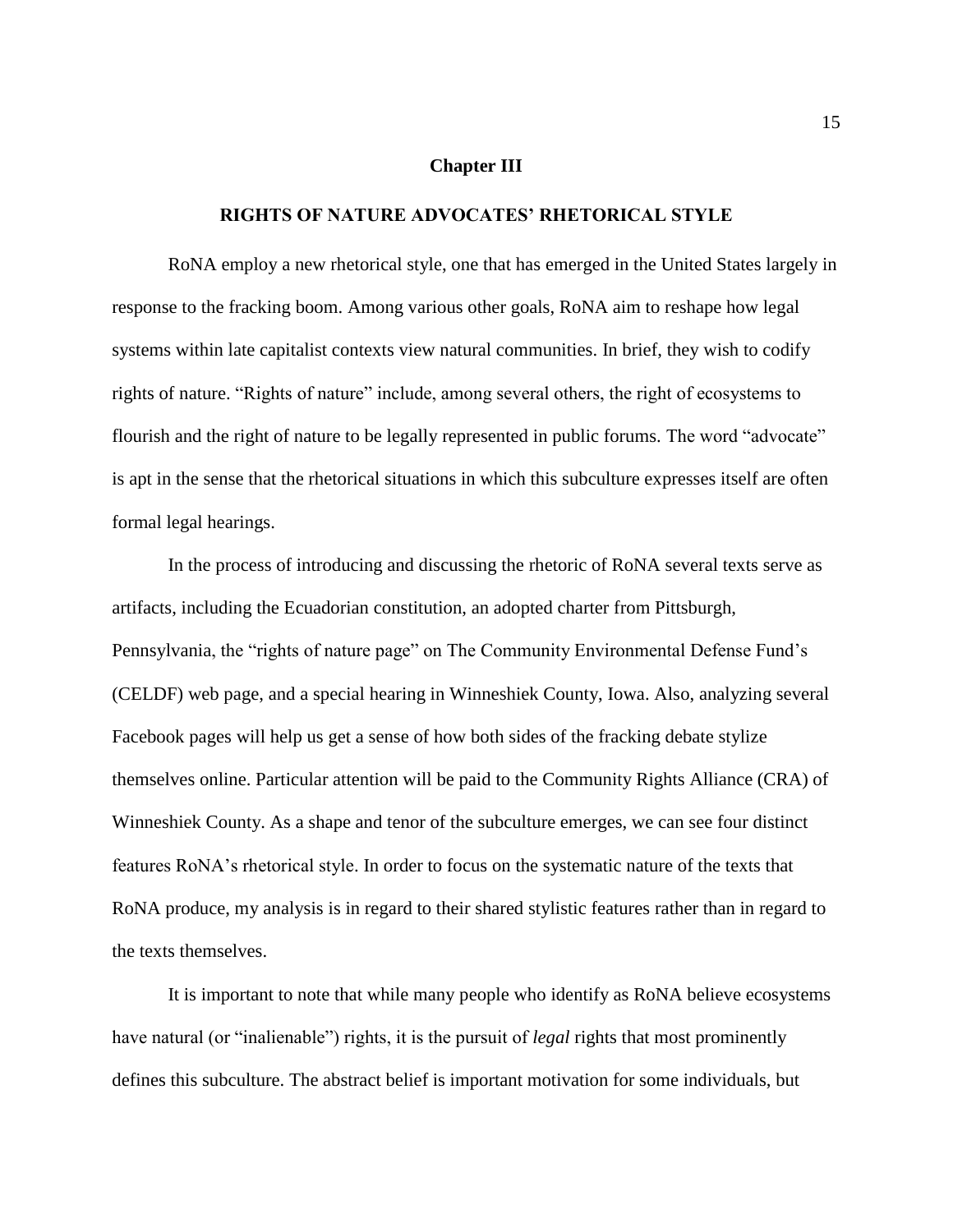#### **Chapter III**

#### **RIGHTS OF NATURE ADVOCATES' RHETORICAL STYLE**

RoNA employ a new rhetorical style, one that has emerged in the United States largely in response to the fracking boom. Among various other goals, RoNA aim to reshape how legal systems within late capitalist contexts view natural communities. In brief, they wish to codify rights of nature. "Rights of nature" include, among several others, the right of ecosystems to flourish and the right of nature to be legally represented in public forums. The word "advocate" is apt in the sense that the rhetorical situations in which this subculture expresses itself are often formal legal hearings.

In the process of introducing and discussing the rhetoric of RoNA several texts serve as artifacts, including the Ecuadorian constitution, an adopted charter from Pittsburgh, Pennsylvania, the "rights of nature page" on The Community Environmental Defense Fund's (CELDF) web page, and a special hearing in Winneshiek County, Iowa. Also, analyzing several Facebook pages will help us get a sense of how both sides of the fracking debate stylize themselves online. Particular attention will be paid to the Community Rights Alliance (CRA) of Winneshiek County. As a shape and tenor of the subculture emerges, we can see four distinct features RoNA's rhetorical style. In order to focus on the systematic nature of the texts that RoNA produce, my analysis is in regard to their shared stylistic features rather than in regard to the texts themselves.

It is important to note that while many people who identify as RoNA believe ecosystems have natural (or "inalienable") rights, it is the pursuit of *legal* rights that most prominently defines this subculture. The abstract belief is important motivation for some individuals, but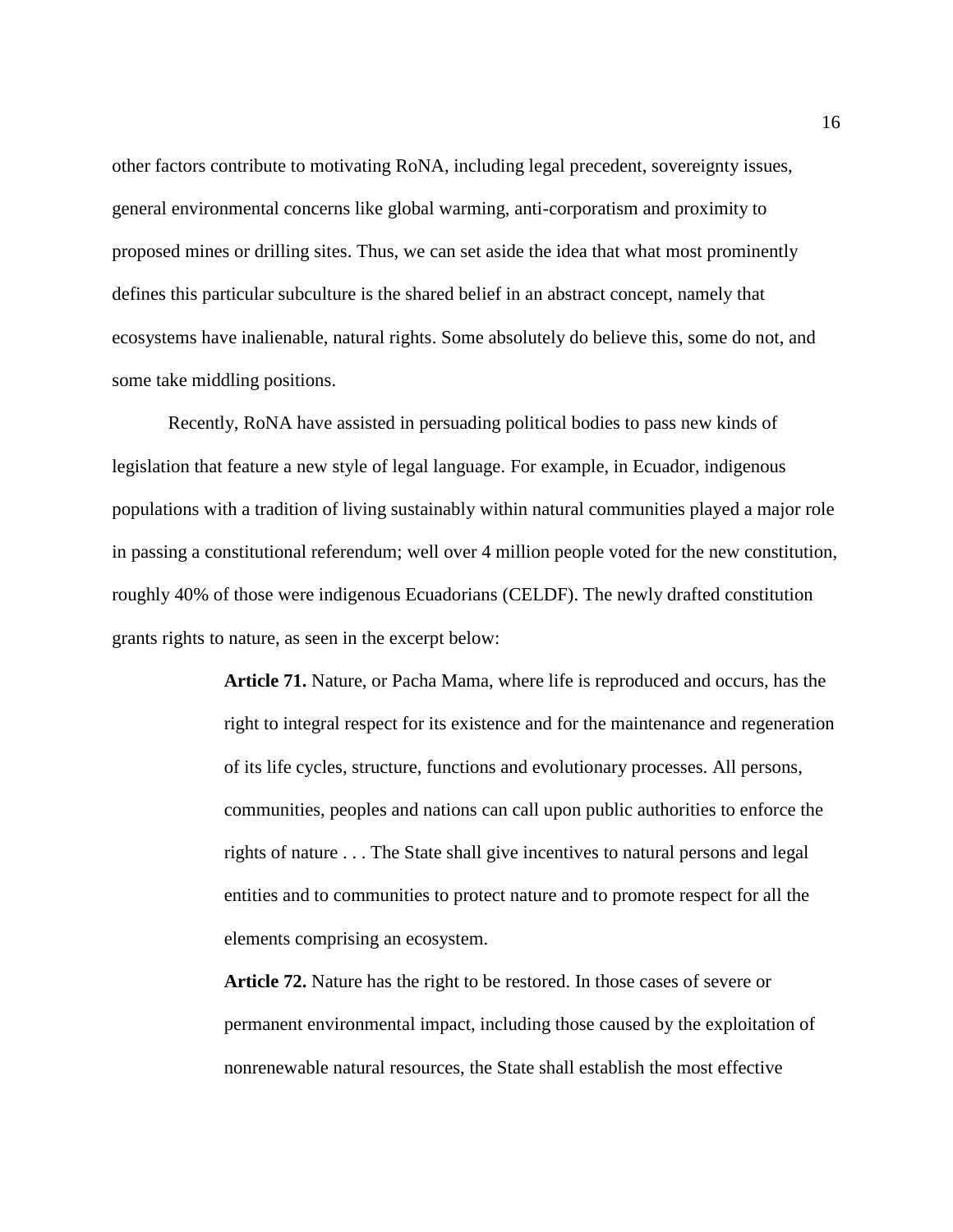other factors contribute to motivating RoNA, including legal precedent, sovereignty issues, general environmental concerns like global warming, anti-corporatism and proximity to proposed mines or drilling sites. Thus, we can set aside the idea that what most prominently defines this particular subculture is the shared belief in an abstract concept, namely that ecosystems have inalienable, natural rights. Some absolutely do believe this, some do not, and some take middling positions.

Recently, RoNA have assisted in persuading political bodies to pass new kinds of legislation that feature a new style of legal language. For example, in Ecuador, indigenous populations with a tradition of living sustainably within natural communities played a major role in passing a constitutional referendum; well over 4 million people voted for the new constitution, roughly 40% of those were indigenous Ecuadorians (CELDF). The newly drafted constitution grants rights to nature, as seen in the excerpt below:

> **Article 71.** Nature, or Pacha Mama, where life is reproduced and occurs, has the right to integral respect for its existence and for the maintenance and regeneration of its life cycles, structure, functions and evolutionary processes. All persons, communities, peoples and nations can call upon public authorities to enforce the rights of nature . . . The State shall give incentives to natural persons and legal entities and to communities to protect nature and to promote respect for all the elements comprising an ecosystem.

**Article 72.** Nature has the right to be restored. In those cases of severe or permanent environmental impact, including those caused by the exploitation of nonrenewable natural resources, the State shall establish the most effective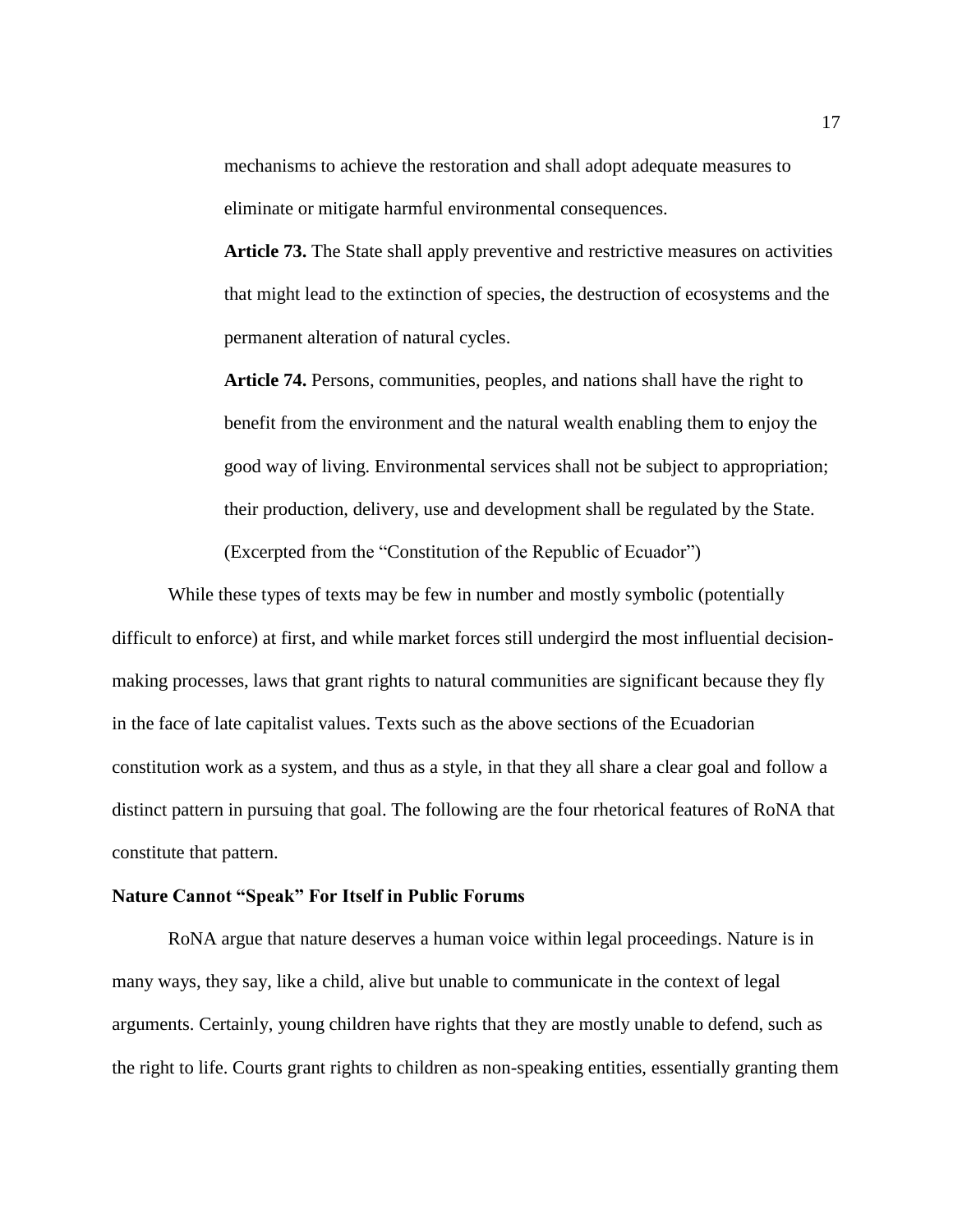mechanisms to achieve the restoration and shall adopt adequate measures to eliminate or mitigate harmful environmental consequences.

**Article 73.** The State shall apply preventive and restrictive measures on activities that might lead to the extinction of species, the destruction of ecosystems and the permanent alteration of natural cycles.

**Article 74.** Persons, communities, peoples, and nations shall have the right to benefit from the environment and the natural wealth enabling them to enjoy the good way of living. Environmental services shall not be subject to appropriation; their production, delivery, use and development shall be regulated by the State. (Excerpted from the "Constitution of the Republic of Ecuador")

While these types of texts may be few in number and mostly symbolic (potentially difficult to enforce) at first, and while market forces still undergird the most influential decisionmaking processes, laws that grant rights to natural communities are significant because they fly in the face of late capitalist values. Texts such as the above sections of the Ecuadorian constitution work as a system, and thus as a style, in that they all share a clear goal and follow a distinct pattern in pursuing that goal. The following are the four rhetorical features of RoNA that constitute that pattern.

#### **Nature Cannot "Speak" For Itself in Public Forums**

RoNA argue that nature deserves a human voice within legal proceedings. Nature is in many ways, they say, like a child, alive but unable to communicate in the context of legal arguments. Certainly, young children have rights that they are mostly unable to defend, such as the right to life. Courts grant rights to children as non-speaking entities, essentially granting them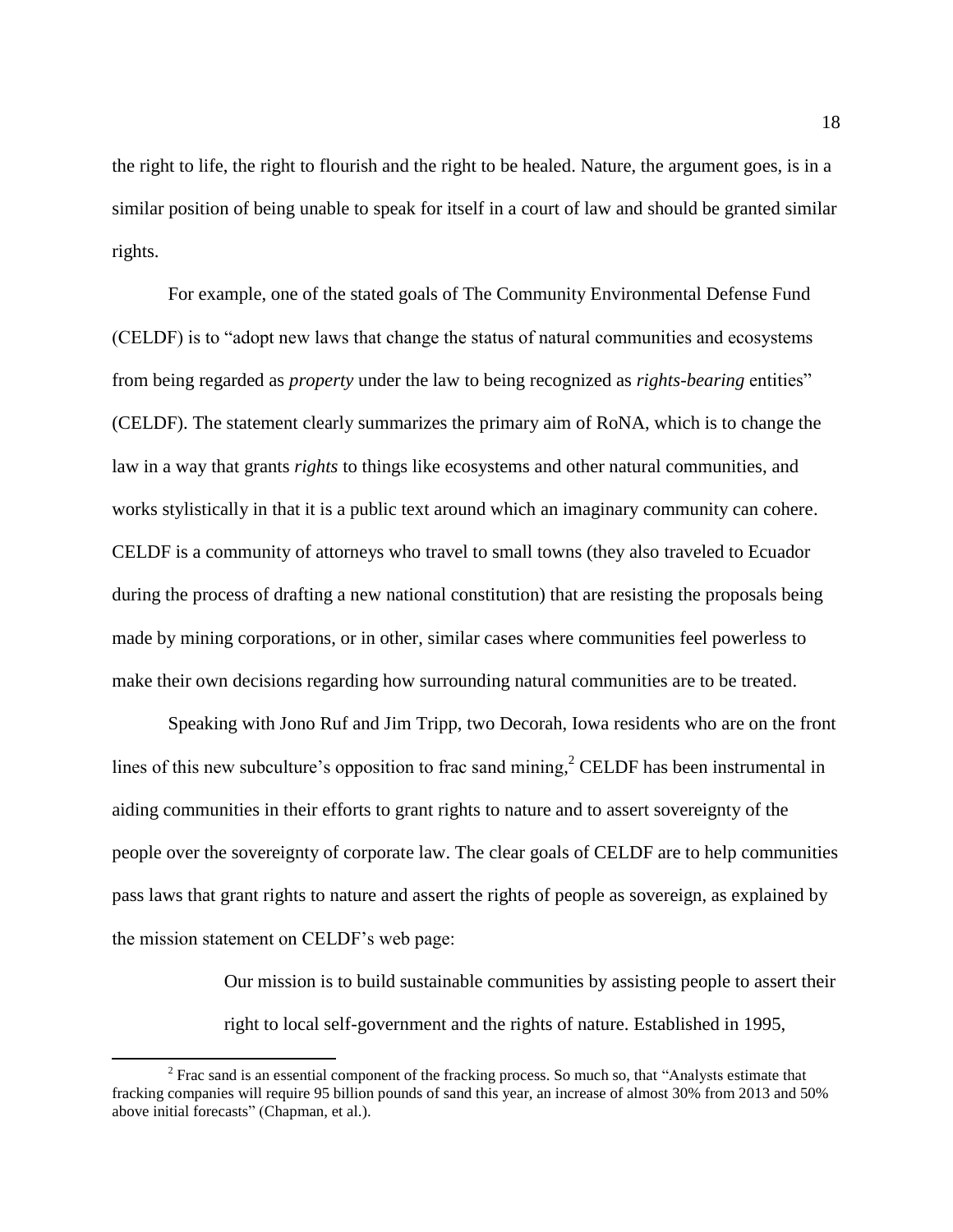the right to life, the right to flourish and the right to be healed. Nature, the argument goes, is in a similar position of being unable to speak for itself in a court of law and should be granted similar rights.

For example, one of the stated goals of The Community Environmental Defense Fund (CELDF) is to "adopt new laws that change the status of natural communities and ecosystems from being regarded as *property* under the law to being recognized as *rights-bearing* entities" (CELDF). The statement clearly summarizes the primary aim of RoNA, which is to change the law in a way that grants *rights* to things like ecosystems and other natural communities, and works stylistically in that it is a public text around which an imaginary community can cohere. CELDF is a community of attorneys who travel to small towns (they also traveled to Ecuador during the process of drafting a new national constitution) that are resisting the proposals being made by mining corporations, or in other, similar cases where communities feel powerless to make their own decisions regarding how surrounding natural communities are to be treated.

Speaking with Jono Ruf and Jim Tripp, two Decorah, Iowa residents who are on the front lines of this new subculture's opposition to frac sand mining,<sup>2</sup> CELDF has been instrumental in aiding communities in their efforts to grant rights to nature and to assert sovereignty of the people over the sovereignty of corporate law. The clear goals of CELDF are to help communities pass laws that grant rights to nature and assert the rights of people as sovereign, as explained by the mission statement on CELDF's web page:

> Our mission is to build sustainable communities by assisting people to assert their right to local self-government and the rights of nature. Established in 1995,

 $\overline{a}$ 

 $2^2$  Frac sand is an essential component of the fracking process. So much so, that "Analysts estimate that fracking companies will require 95 billion pounds of sand this year, an increase of almost 30% from 2013 and 50% above initial forecasts" (Chapman, et al.).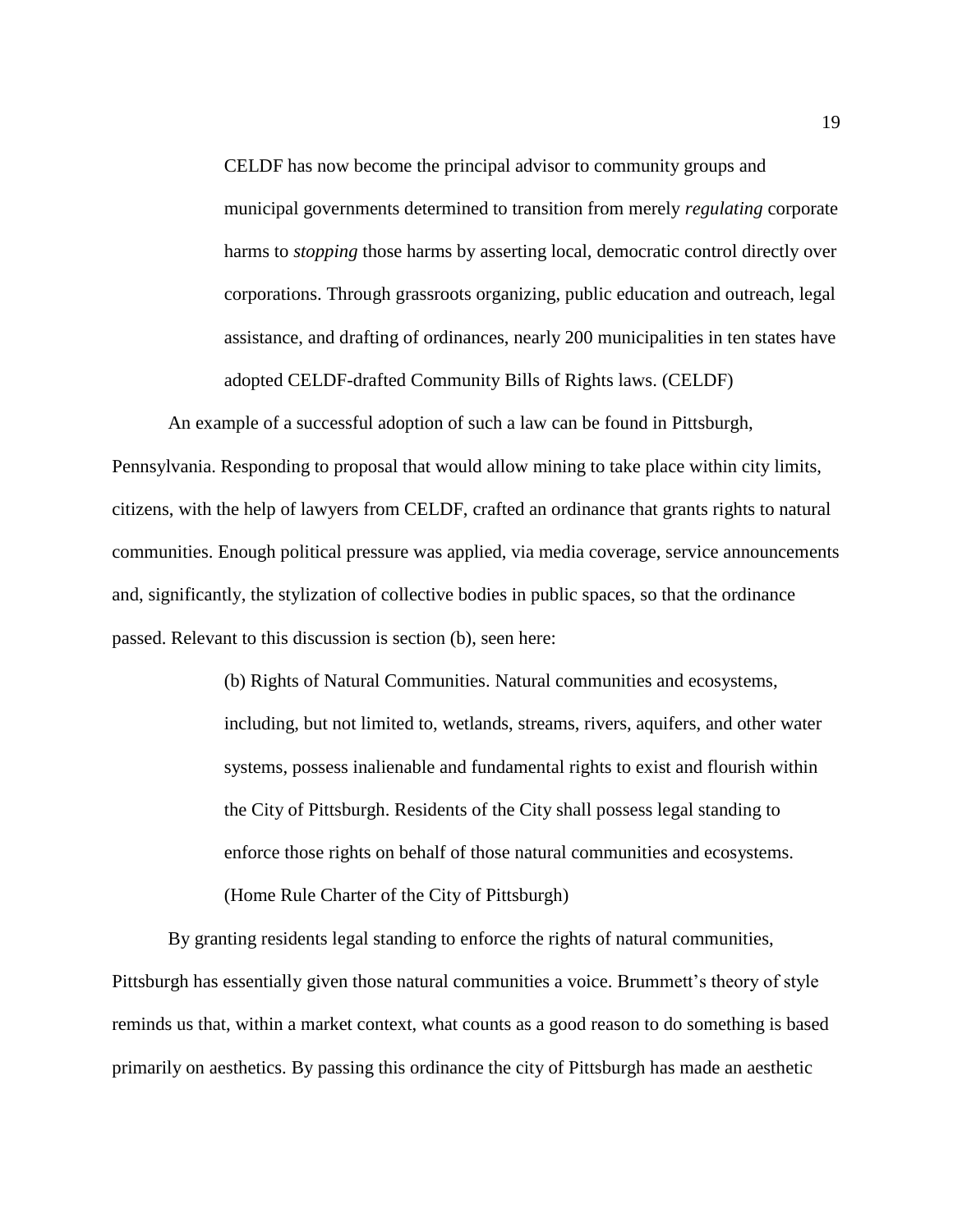CELDF has now become the principal advisor to community groups and municipal governments determined to transition from merely *regulating* corporate harms to *stopping* those harms by asserting local, democratic control directly over corporations. Through grassroots organizing, public education and outreach, legal assistance, and drafting of ordinances, nearly 200 municipalities in ten states have adopted CELDF-drafted Community Bills of Rights laws. (CELDF)

An example of a successful adoption of such a law can be found in Pittsburgh, Pennsylvania. Responding to proposal that would allow mining to take place within city limits, citizens, with the help of lawyers from CELDF, crafted an ordinance that grants rights to natural communities. Enough political pressure was applied, via media coverage, service announcements and, significantly, the stylization of collective bodies in public spaces, so that the ordinance passed. Relevant to this discussion is section (b), seen here:

> (b) Rights of Natural Communities. Natural communities and ecosystems, including, but not limited to, wetlands, streams, rivers, aquifers, and other water systems, possess inalienable and fundamental rights to exist and flourish within the City of Pittsburgh. Residents of the City shall possess legal standing to enforce those rights on behalf of those natural communities and ecosystems. (Home Rule Charter of the City of Pittsburgh)

By granting residents legal standing to enforce the rights of natural communities, Pittsburgh has essentially given those natural communities a voice. Brummett's theory of style reminds us that, within a market context, what counts as a good reason to do something is based primarily on aesthetics. By passing this ordinance the city of Pittsburgh has made an aesthetic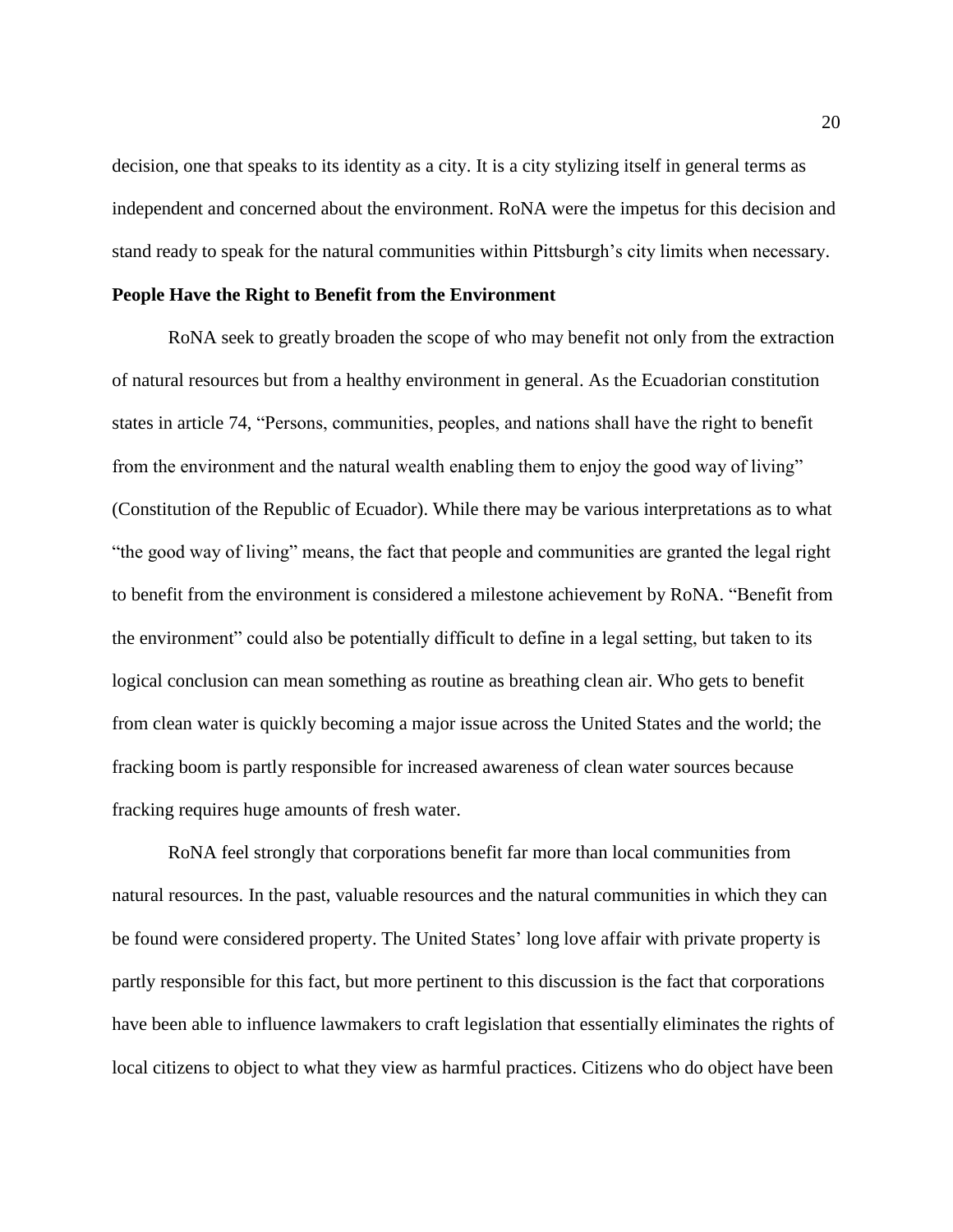decision, one that speaks to its identity as a city. It is a city stylizing itself in general terms as independent and concerned about the environment. RoNA were the impetus for this decision and stand ready to speak for the natural communities within Pittsburgh's city limits when necessary.

#### **People Have the Right to Benefit from the Environment**

RoNA seek to greatly broaden the scope of who may benefit not only from the extraction of natural resources but from a healthy environment in general. As the Ecuadorian constitution states in article 74, "Persons, communities, peoples, and nations shall have the right to benefit from the environment and the natural wealth enabling them to enjoy the good way of living" (Constitution of the Republic of Ecuador). While there may be various interpretations as to what "the good way of living" means, the fact that people and communities are granted the legal right to benefit from the environment is considered a milestone achievement by RoNA. "Benefit from the environment" could also be potentially difficult to define in a legal setting, but taken to its logical conclusion can mean something as routine as breathing clean air. Who gets to benefit from clean water is quickly becoming a major issue across the United States and the world; the fracking boom is partly responsible for increased awareness of clean water sources because fracking requires huge amounts of fresh water.

RoNA feel strongly that corporations benefit far more than local communities from natural resources. In the past, valuable resources and the natural communities in which they can be found were considered property. The United States' long love affair with private property is partly responsible for this fact, but more pertinent to this discussion is the fact that corporations have been able to influence lawmakers to craft legislation that essentially eliminates the rights of local citizens to object to what they view as harmful practices. Citizens who do object have been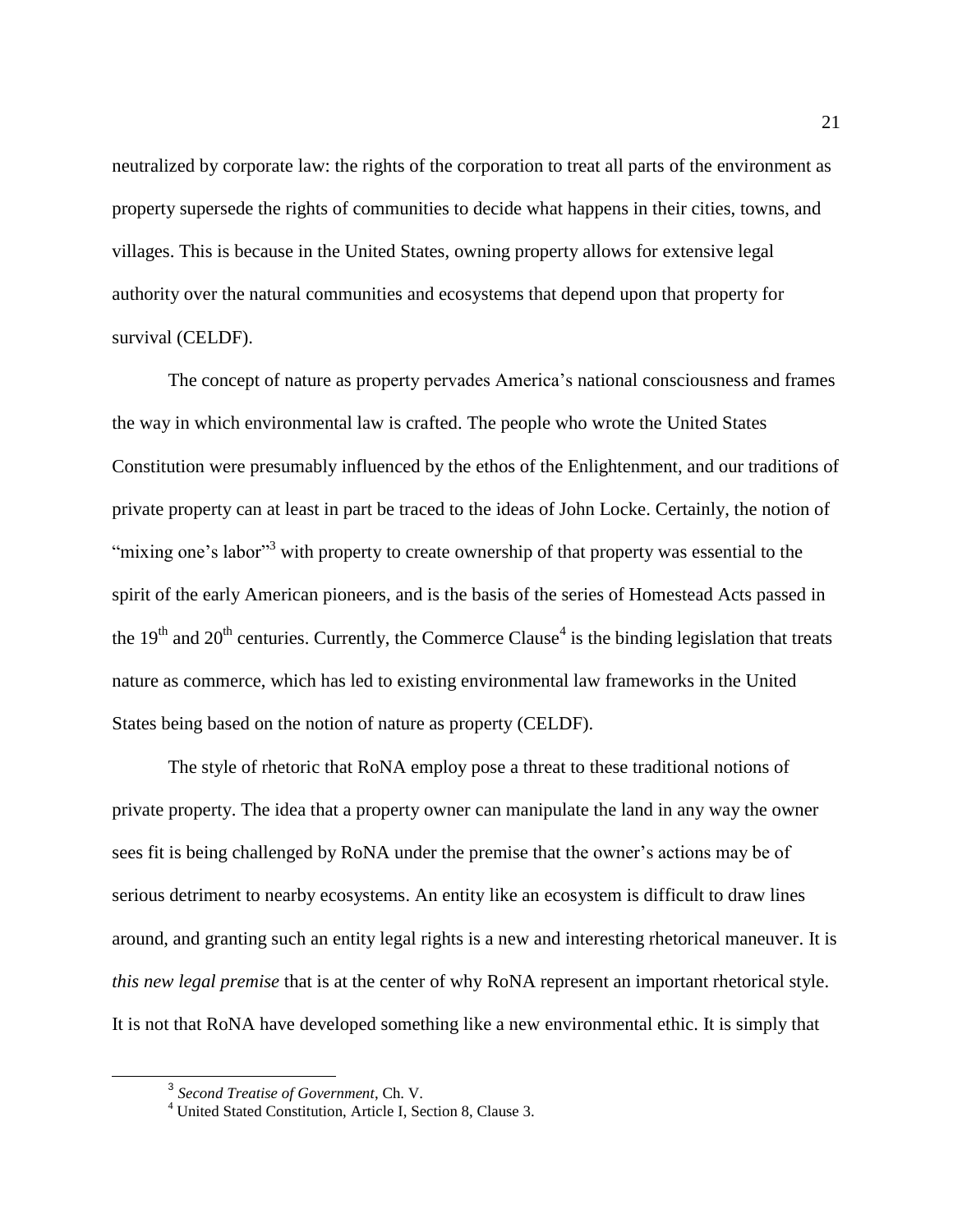neutralized by corporate law: the rights of the corporation to treat all parts of the environment as property supersede the rights of communities to decide what happens in their cities, towns, and villages. This is because in the United States, owning property allows for extensive legal authority over the natural communities and ecosystems that depend upon that property for survival (CELDF).

The concept of nature as property pervades America's national consciousness and frames the way in which environmental law is crafted. The people who wrote the United States Constitution were presumably influenced by the ethos of the Enlightenment, and our traditions of private property can at least in part be traced to the ideas of John Locke. Certainly, the notion of "mixing one's labor"<sup>3</sup> with property to create ownership of that property was essential to the spirit of the early American pioneers, and is the basis of the series of Homestead Acts passed in the  $19<sup>th</sup>$  and  $20<sup>th</sup>$  centuries. Currently, the Commerce Clause<sup>4</sup> is the binding legislation that treats nature as commerce, which has led to existing environmental law frameworks in the United States being based on the notion of nature as property (CELDF).

The style of rhetoric that RoNA employ pose a threat to these traditional notions of private property. The idea that a property owner can manipulate the land in any way the owner sees fit is being challenged by RoNA under the premise that the owner's actions may be of serious detriment to nearby ecosystems. An entity like an ecosystem is difficult to draw lines around, and granting such an entity legal rights is a new and interesting rhetorical maneuver. It is *this new legal premise* that is at the center of why RoNA represent an important rhetorical style. It is not that RoNA have developed something like a new environmental ethic. It is simply that

<sup>3</sup> *Second Treatise of Government*, Ch. V.

<sup>4</sup> United Stated Constitution, Article I, Section 8, Clause 3.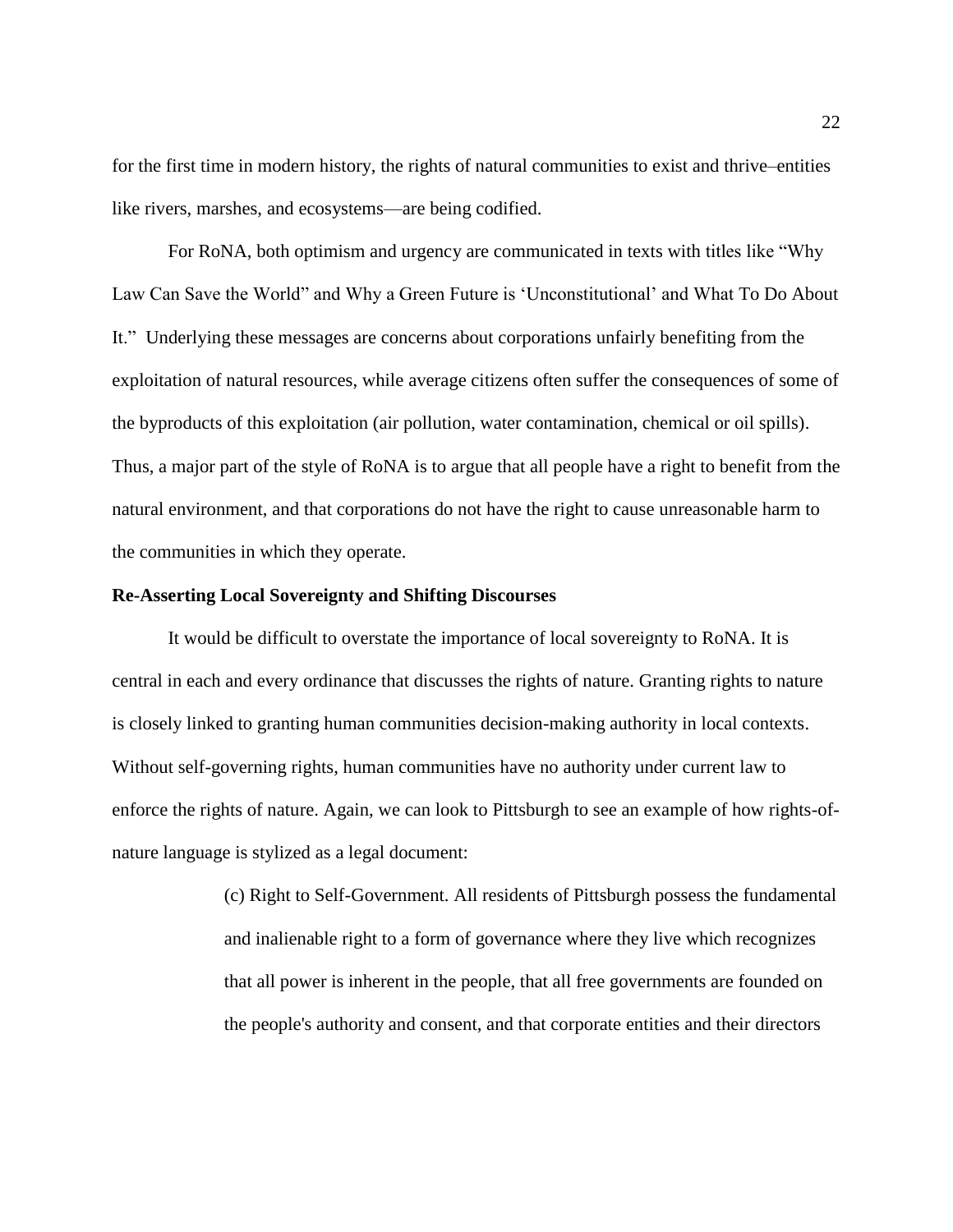for the first time in modern history, the rights of natural communities to exist and thrive–entities like rivers, marshes, and ecosystems—are being codified.

For RoNA, both optimism and urgency are communicated in texts with titles like "Why Law Can Save the World" and Why a Green Future is 'Unconstitutional' and What To Do About It." Underlying these messages are concerns about corporations unfairly benefiting from the exploitation of natural resources, while average citizens often suffer the consequences of some of the byproducts of this exploitation (air pollution, water contamination, chemical or oil spills). Thus, a major part of the style of RoNA is to argue that all people have a right to benefit from the natural environment, and that corporations do not have the right to cause unreasonable harm to the communities in which they operate.

#### **Re-Asserting Local Sovereignty and Shifting Discourses**

It would be difficult to overstate the importance of local sovereignty to RoNA. It is central in each and every ordinance that discusses the rights of nature. Granting rights to nature is closely linked to granting human communities decision-making authority in local contexts. Without self-governing rights, human communities have no authority under current law to enforce the rights of nature. Again, we can look to Pittsburgh to see an example of how rights-ofnature language is stylized as a legal document:

> (c) Right to Self-Government. All residents of Pittsburgh possess the fundamental and inalienable right to a form of governance where they live which recognizes that all power is inherent in the people, that all free governments are founded on the people's authority and consent, and that corporate entities and their directors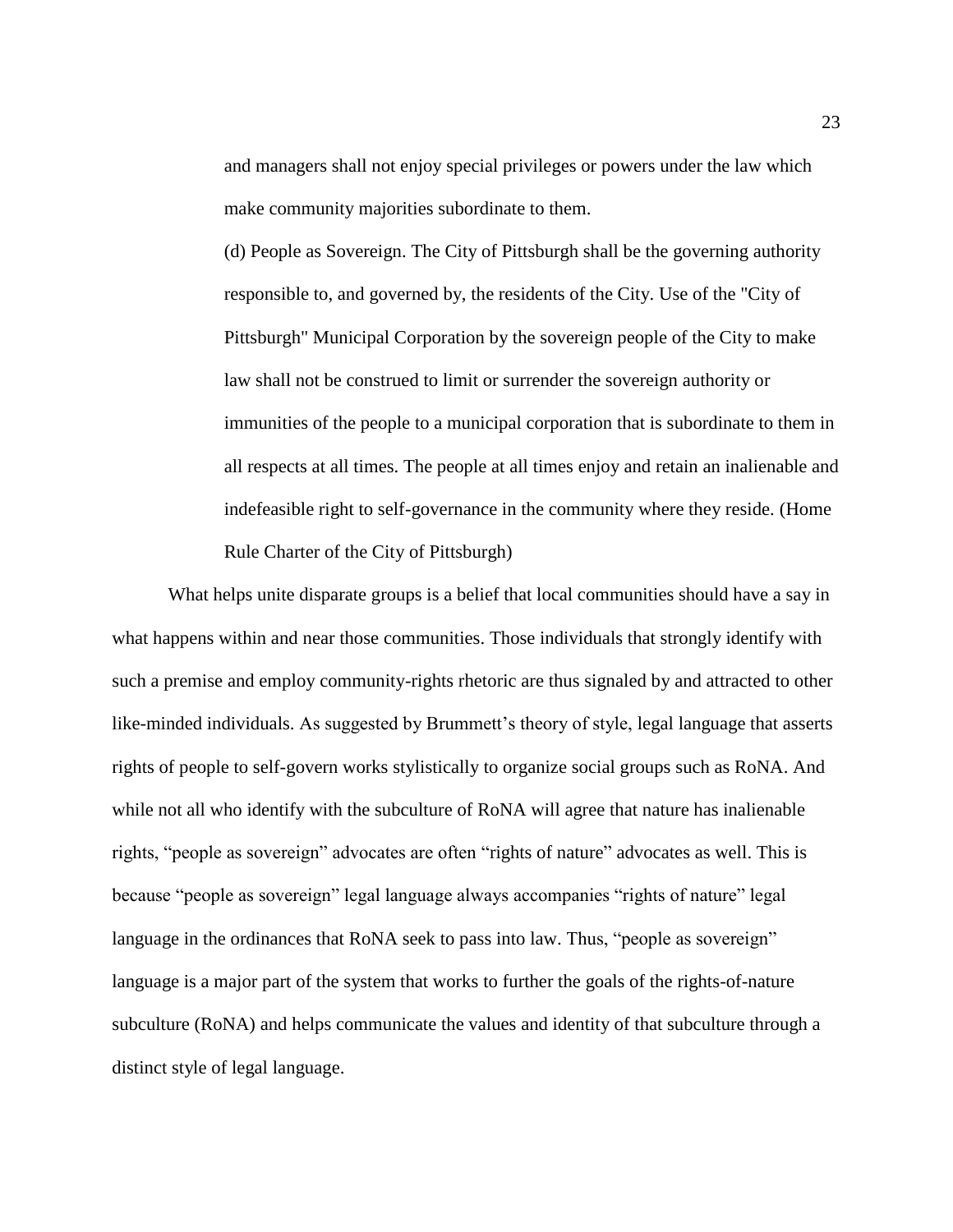and managers shall not enjoy special privileges or powers under the law which make community majorities subordinate to them.

(d) People as Sovereign. The City of Pittsburgh shall be the governing authority responsible to, and governed by, the residents of the City. Use of the "City of Pittsburgh" Municipal Corporation by the sovereign people of the City to make law shall not be construed to limit or surrender the sovereign authority or immunities of the people to a municipal corporation that is subordinate to them in all respects at all times. The people at all times enjoy and retain an inalienable and indefeasible right to self-governance in the community where they reside. (Home Rule Charter of the City of Pittsburgh)

What helps unite disparate groups is a belief that local communities should have a say in what happens within and near those communities. Those individuals that strongly identify with such a premise and employ community-rights rhetoric are thus signaled by and attracted to other like-minded individuals. As suggested by Brummett's theory of style, legal language that asserts rights of people to self-govern works stylistically to organize social groups such as RoNA. And while not all who identify with the subculture of RoNA will agree that nature has inalienable rights, "people as sovereign" advocates are often "rights of nature" advocates as well. This is because "people as sovereign" legal language always accompanies "rights of nature" legal language in the ordinances that RoNA seek to pass into law. Thus, "people as sovereign" language is a major part of the system that works to further the goals of the rights-of-nature subculture (RoNA) and helps communicate the values and identity of that subculture through a distinct style of legal language.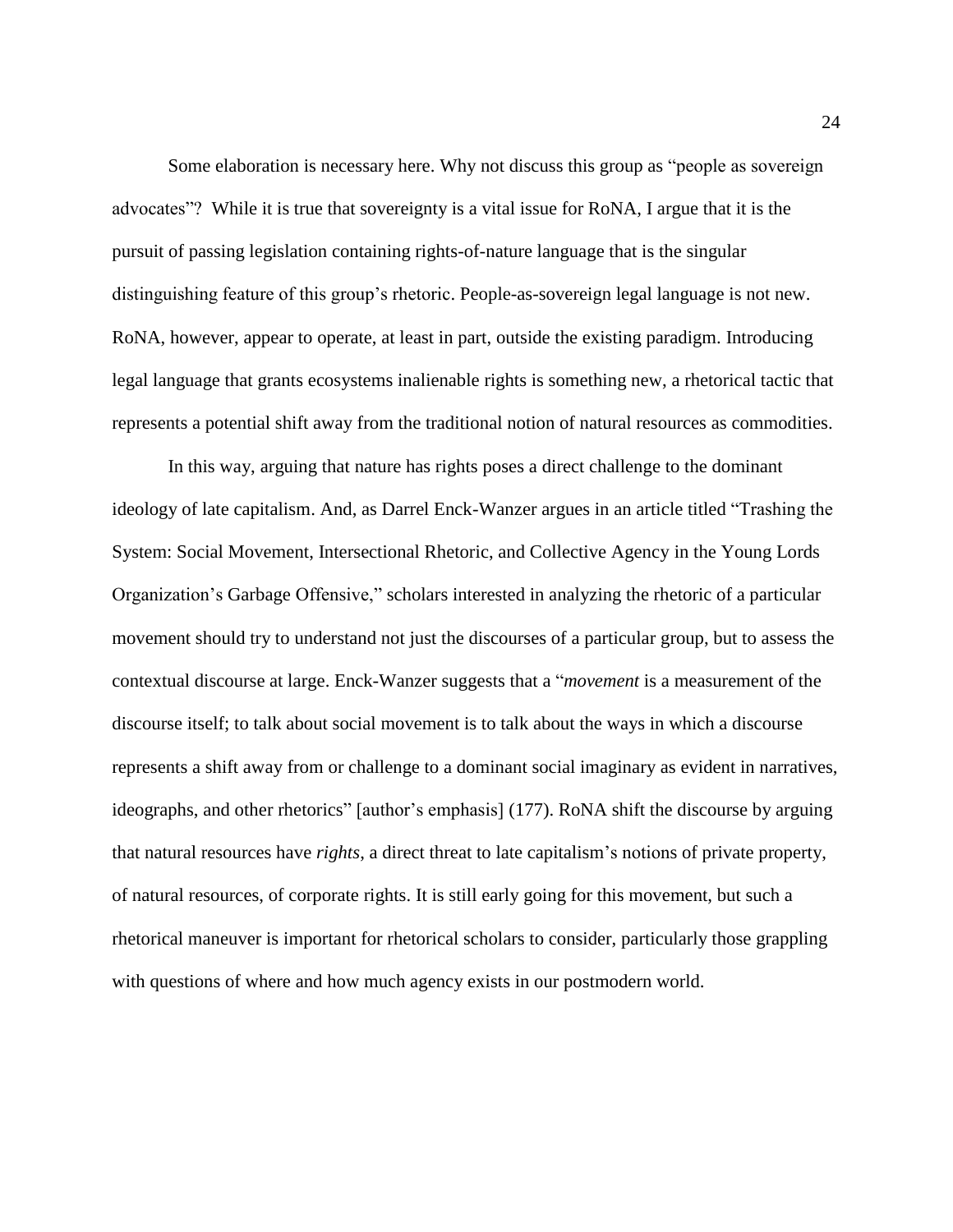Some elaboration is necessary here. Why not discuss this group as "people as sovereign advocates"? While it is true that sovereignty is a vital issue for RoNA, I argue that it is the pursuit of passing legislation containing rights-of-nature language that is the singular distinguishing feature of this group's rhetoric. People-as-sovereign legal language is not new. RoNA, however, appear to operate, at least in part, outside the existing paradigm. Introducing legal language that grants ecosystems inalienable rights is something new, a rhetorical tactic that represents a potential shift away from the traditional notion of natural resources as commodities.

In this way, arguing that nature has rights poses a direct challenge to the dominant ideology of late capitalism. And, as Darrel Enck-Wanzer argues in an article titled "Trashing the System: Social Movement, Intersectional Rhetoric, and Collective Agency in the Young Lords Organization's Garbage Offensive," scholars interested in analyzing the rhetoric of a particular movement should try to understand not just the discourses of a particular group, but to assess the contextual discourse at large. Enck-Wanzer suggests that a "*movement* is a measurement of the discourse itself; to talk about social movement is to talk about the ways in which a discourse represents a shift away from or challenge to a dominant social imaginary as evident in narratives, ideographs, and other rhetorics" [author's emphasis] (177). RoNA shift the discourse by arguing that natural resources have *rights*, a direct threat to late capitalism's notions of private property, of natural resources, of corporate rights. It is still early going for this movement, but such a rhetorical maneuver is important for rhetorical scholars to consider, particularly those grappling with questions of where and how much agency exists in our postmodern world.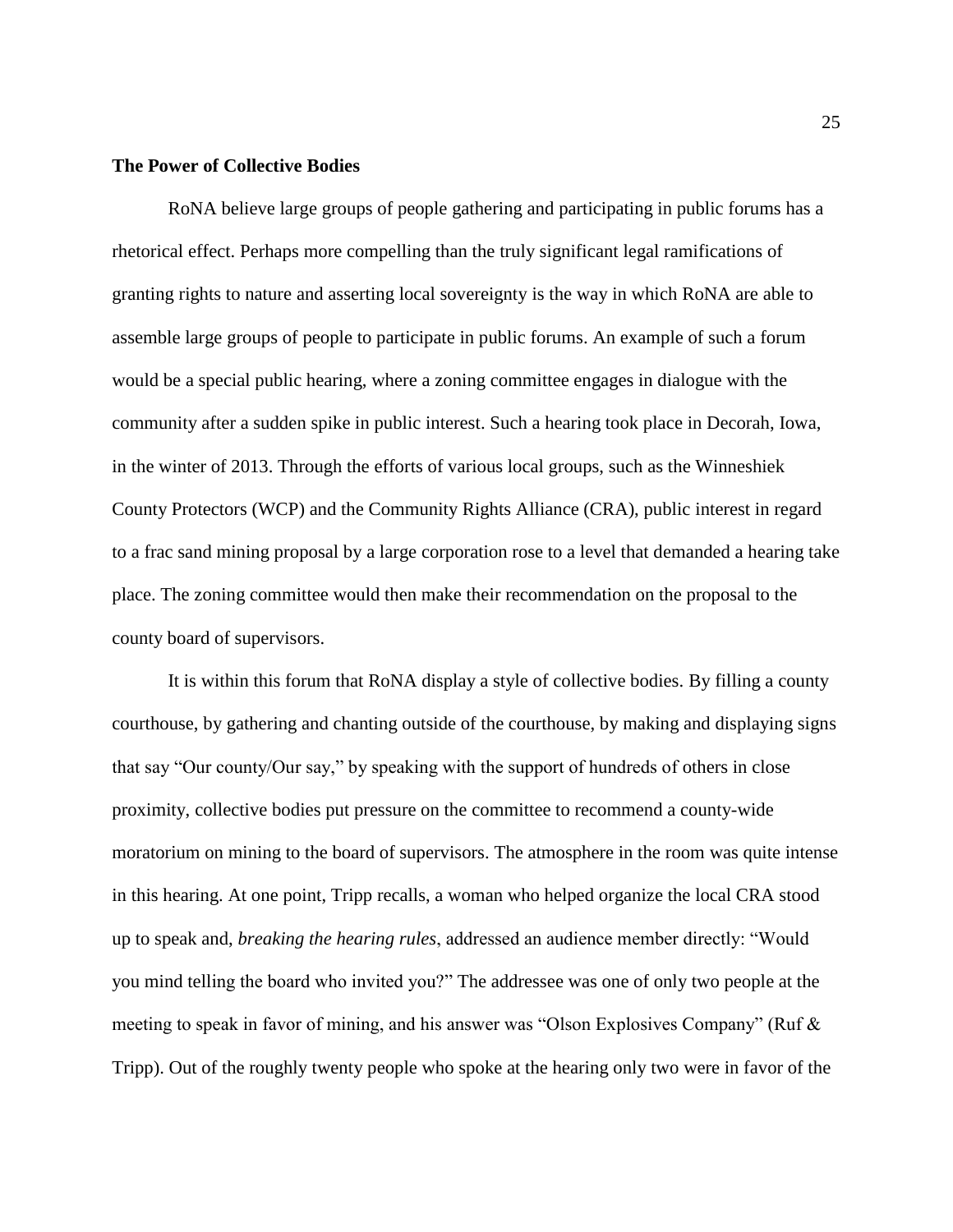#### **The Power of Collective Bodies**

RoNA believe large groups of people gathering and participating in public forums has a rhetorical effect. Perhaps more compelling than the truly significant legal ramifications of granting rights to nature and asserting local sovereignty is the way in which RoNA are able to assemble large groups of people to participate in public forums. An example of such a forum would be a special public hearing, where a zoning committee engages in dialogue with the community after a sudden spike in public interest. Such a hearing took place in Decorah, Iowa, in the winter of 2013. Through the efforts of various local groups, such as the Winneshiek County Protectors (WCP) and the Community Rights Alliance (CRA), public interest in regard to a frac sand mining proposal by a large corporation rose to a level that demanded a hearing take place. The zoning committee would then make their recommendation on the proposal to the county board of supervisors.

It is within this forum that RoNA display a style of collective bodies. By filling a county courthouse, by gathering and chanting outside of the courthouse, by making and displaying signs that say "Our county/Our say," by speaking with the support of hundreds of others in close proximity, collective bodies put pressure on the committee to recommend a county-wide moratorium on mining to the board of supervisors. The atmosphere in the room was quite intense in this hearing. At one point, Tripp recalls, a woman who helped organize the local CRA stood up to speak and, *breaking the hearing rules*, addressed an audience member directly: "Would you mind telling the board who invited you?" The addressee was one of only two people at the meeting to speak in favor of mining, and his answer was "Olson Explosives Company" (Ruf & Tripp). Out of the roughly twenty people who spoke at the hearing only two were in favor of the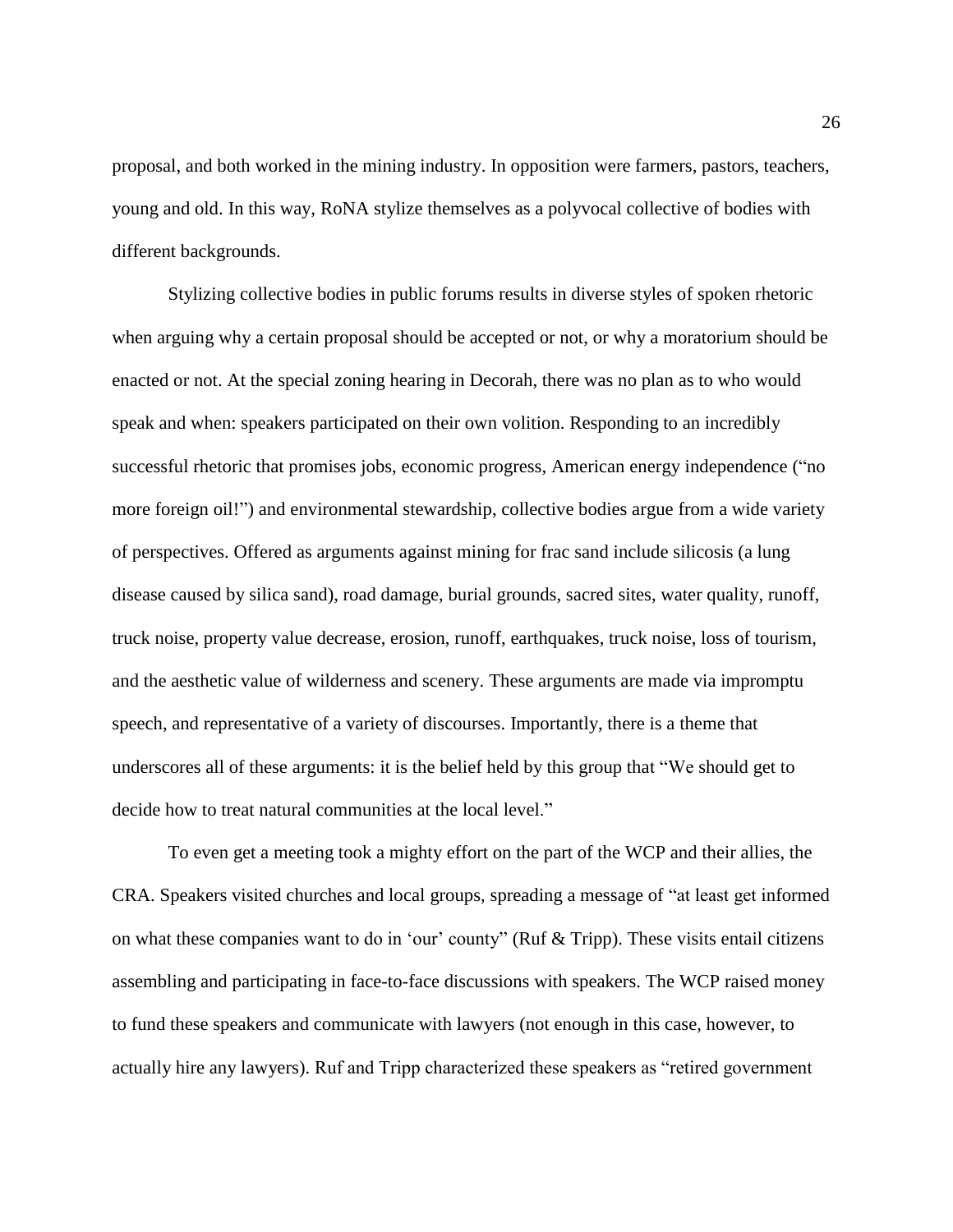proposal, and both worked in the mining industry. In opposition were farmers, pastors, teachers, young and old. In this way, RoNA stylize themselves as a polyvocal collective of bodies with different backgrounds.

Stylizing collective bodies in public forums results in diverse styles of spoken rhetoric when arguing why a certain proposal should be accepted or not, or why a moratorium should be enacted or not. At the special zoning hearing in Decorah, there was no plan as to who would speak and when: speakers participated on their own volition. Responding to an incredibly successful rhetoric that promises jobs, economic progress, American energy independence ("no more foreign oil!") and environmental stewardship, collective bodies argue from a wide variety of perspectives. Offered as arguments against mining for frac sand include silicosis (a lung disease caused by silica sand), road damage, burial grounds, sacred sites, water quality, runoff, truck noise, property value decrease, erosion, runoff, earthquakes, truck noise, loss of tourism, and the aesthetic value of wilderness and scenery. These arguments are made via impromptu speech, and representative of a variety of discourses. Importantly, there is a theme that underscores all of these arguments: it is the belief held by this group that "We should get to decide how to treat natural communities at the local level."

To even get a meeting took a mighty effort on the part of the WCP and their allies, the CRA. Speakers visited churches and local groups, spreading a message of "at least get informed on what these companies want to do in 'our' county" (Ruf & Tripp). These visits entail citizens assembling and participating in face-to-face discussions with speakers. The WCP raised money to fund these speakers and communicate with lawyers (not enough in this case, however, to actually hire any lawyers). Ruf and Tripp characterized these speakers as "retired government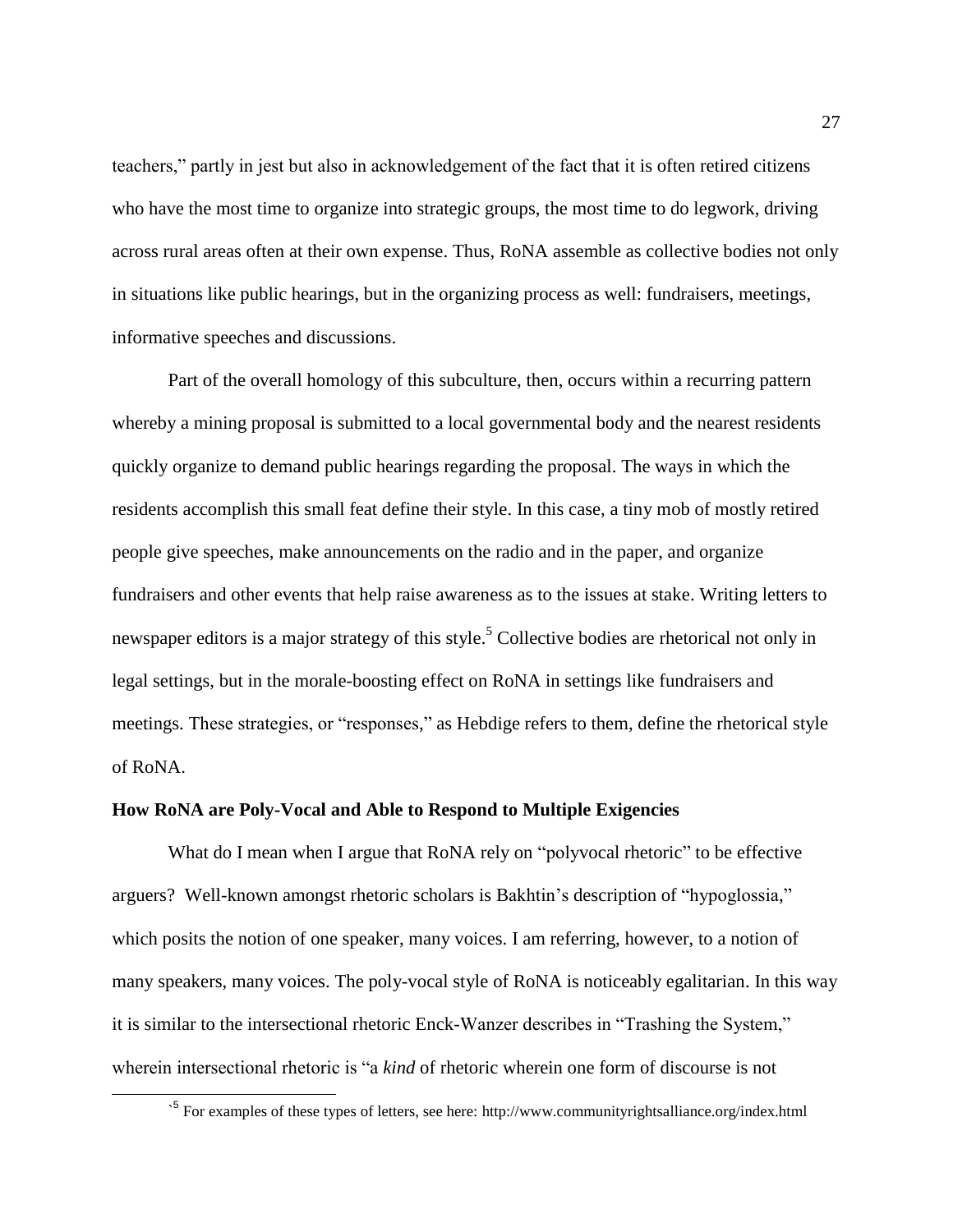teachers," partly in jest but also in acknowledgement of the fact that it is often retired citizens who have the most time to organize into strategic groups, the most time to do legwork, driving across rural areas often at their own expense. Thus, RoNA assemble as collective bodies not only in situations like public hearings, but in the organizing process as well: fundraisers, meetings, informative speeches and discussions.

Part of the overall homology of this subculture, then, occurs within a recurring pattern whereby a mining proposal is submitted to a local governmental body and the nearest residents quickly organize to demand public hearings regarding the proposal. The ways in which the residents accomplish this small feat define their style. In this case, a tiny mob of mostly retired people give speeches, make announcements on the radio and in the paper, and organize fundraisers and other events that help raise awareness as to the issues at stake. Writing letters to newspaper editors is a major strategy of this style.<sup>5</sup> Collective bodies are rhetorical not only in legal settings, but in the morale-boosting effect on RoNA in settings like fundraisers and meetings. These strategies, or "responses," as Hebdige refers to them, define the rhetorical style of RoNA.

#### **How RoNA are Poly-Vocal and Able to Respond to Multiple Exigencies**

 $\overline{a}$ 

What do I mean when I argue that RoNA rely on "polyvocal rhetoric" to be effective arguers? Well-known amongst rhetoric scholars is Bakhtin's description of "hypoglossia," which posits the notion of one speaker, many voices. I am referring, however, to a notion of many speakers, many voices. The poly-vocal style of RoNA is noticeably egalitarian. In this way it is similar to the intersectional rhetoric Enck-Wanzer describes in "Trashing the System," wherein intersectional rhetoric is "a *kind* of rhetoric wherein one form of discourse is not

<sup>&</sup>lt;sup>5</sup> For examples of these types of letters, see here: http://www.communityrightsalliance.org/index.html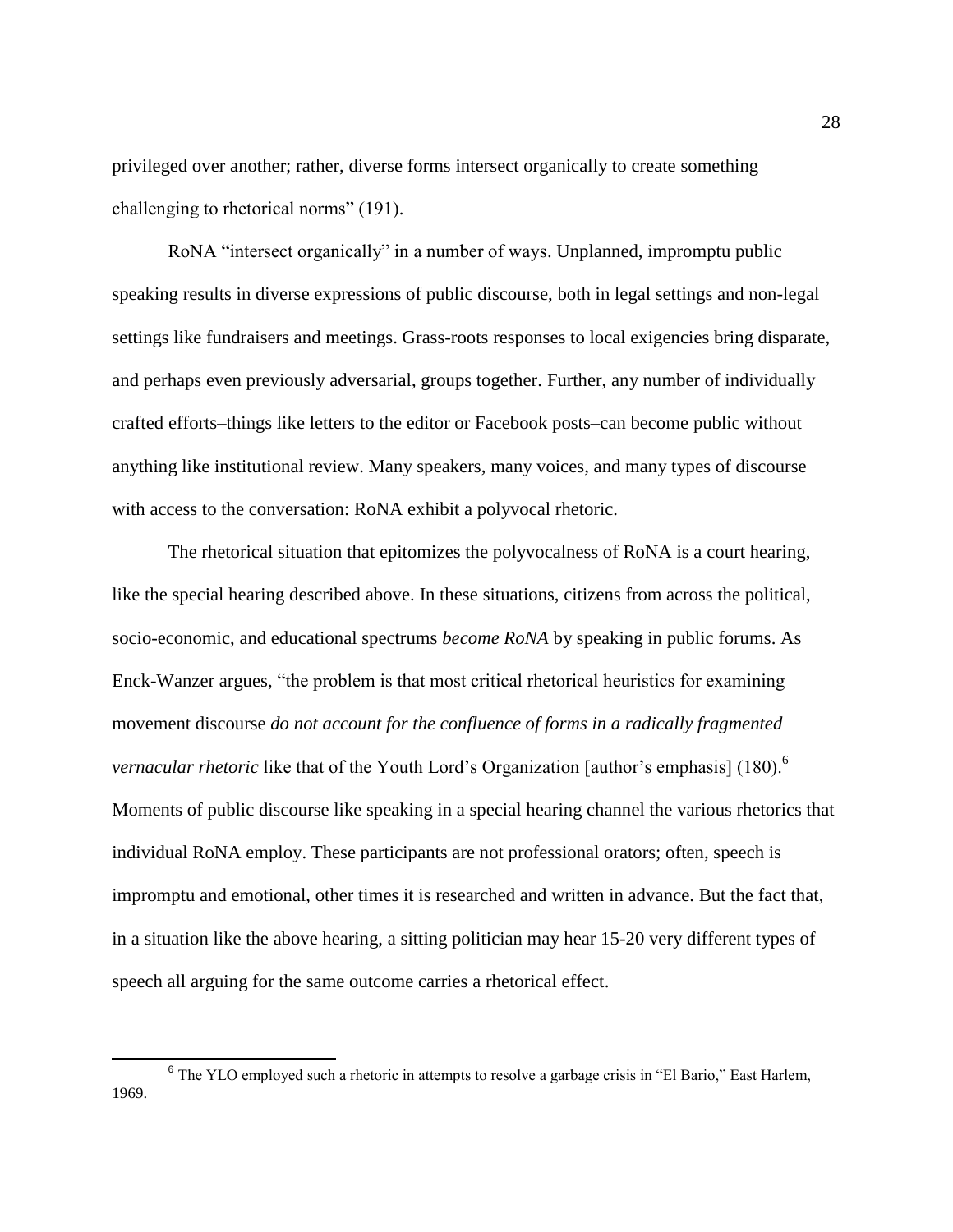privileged over another; rather, diverse forms intersect organically to create something challenging to rhetorical norms" (191).

RoNA "intersect organically" in a number of ways. Unplanned, impromptu public speaking results in diverse expressions of public discourse, both in legal settings and non-legal settings like fundraisers and meetings. Grass-roots responses to local exigencies bring disparate, and perhaps even previously adversarial, groups together. Further, any number of individually crafted efforts–things like letters to the editor or Facebook posts–can become public without anything like institutional review. Many speakers, many voices, and many types of discourse with access to the conversation: RoNA exhibit a polyvocal rhetoric.

The rhetorical situation that epitomizes the polyvocalness of RoNA is a court hearing, like the special hearing described above. In these situations, citizens from across the political, socio-economic, and educational spectrums *become RoNA* by speaking in public forums. As Enck-Wanzer argues, "the problem is that most critical rhetorical heuristics for examining movement discourse *do not account for the confluence of forms in a radically fragmented vernacular rhetoric* like that of the Youth Lord's Organization [author's emphasis] (180).<sup>6</sup> Moments of public discourse like speaking in a special hearing channel the various rhetorics that individual RoNA employ. These participants are not professional orators; often, speech is impromptu and emotional, other times it is researched and written in advance. But the fact that, in a situation like the above hearing, a sitting politician may hear 15-20 very different types of speech all arguing for the same outcome carries a rhetorical effect.

 $\overline{a}$ 

<sup>&</sup>lt;sup>6</sup> The YLO employed such a rhetoric in attempts to resolve a garbage crisis in "El Bario," East Harlem, 1969.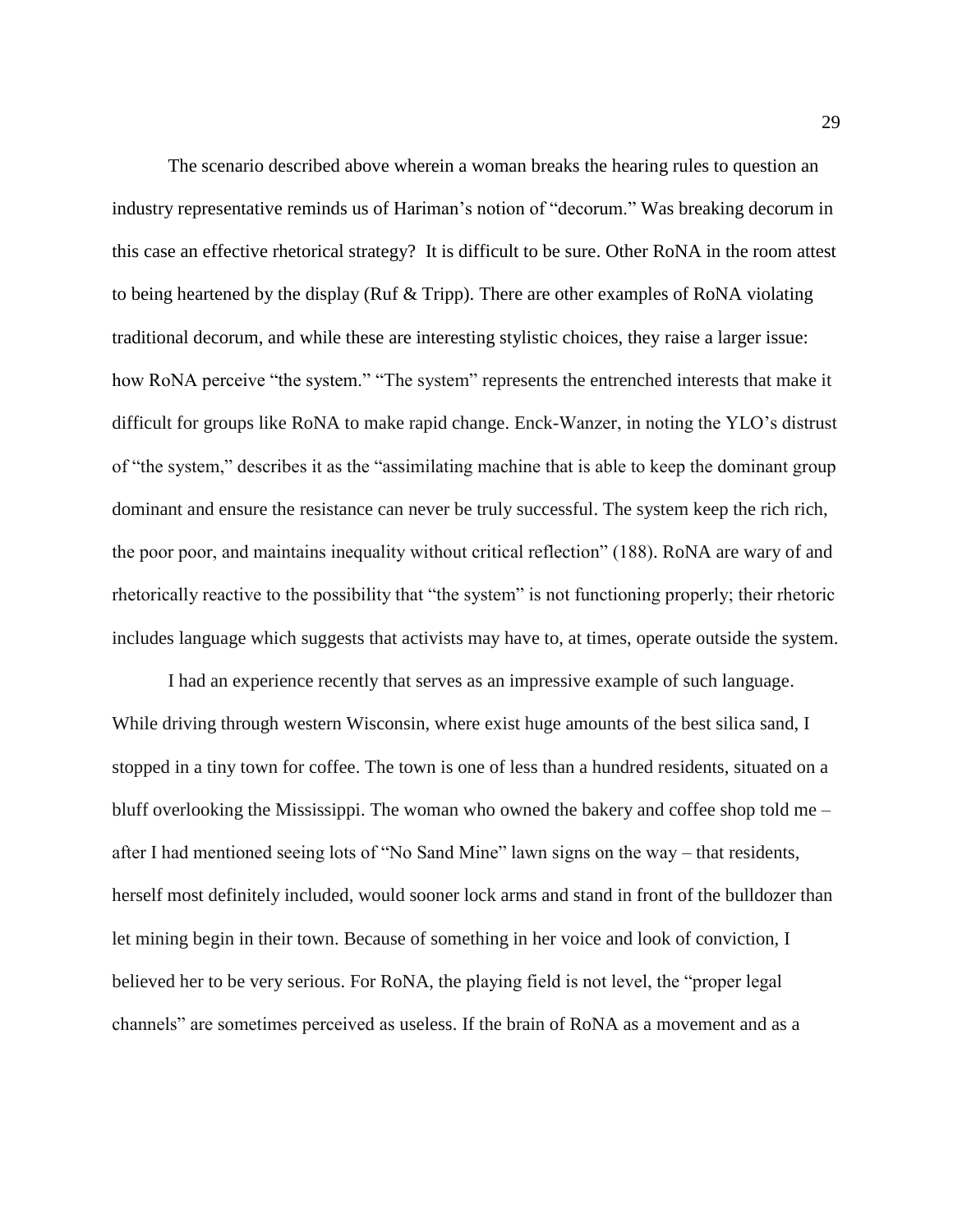The scenario described above wherein a woman breaks the hearing rules to question an industry representative reminds us of Hariman's notion of "decorum." Was breaking decorum in this case an effective rhetorical strategy? It is difficult to be sure. Other RoNA in the room attest to being heartened by the display (Ruf & Tripp). There are other examples of RoNA violating traditional decorum, and while these are interesting stylistic choices, they raise a larger issue: how RoNA perceive "the system." "The system" represents the entrenched interests that make it difficult for groups like RoNA to make rapid change. Enck-Wanzer, in noting the YLO's distrust of "the system," describes it as the "assimilating machine that is able to keep the dominant group dominant and ensure the resistance can never be truly successful. The system keep the rich rich, the poor poor, and maintains inequality without critical reflection" (188). RoNA are wary of and rhetorically reactive to the possibility that "the system" is not functioning properly; their rhetoric includes language which suggests that activists may have to, at times, operate outside the system.

I had an experience recently that serves as an impressive example of such language. While driving through western Wisconsin, where exist huge amounts of the best silica sand, I stopped in a tiny town for coffee. The town is one of less than a hundred residents, situated on a bluff overlooking the Mississippi. The woman who owned the bakery and coffee shop told me – after I had mentioned seeing lots of "No Sand Mine" lawn signs on the way – that residents, herself most definitely included, would sooner lock arms and stand in front of the bulldozer than let mining begin in their town. Because of something in her voice and look of conviction, I believed her to be very serious. For RoNA, the playing field is not level, the "proper legal channels" are sometimes perceived as useless. If the brain of RoNA as a movement and as a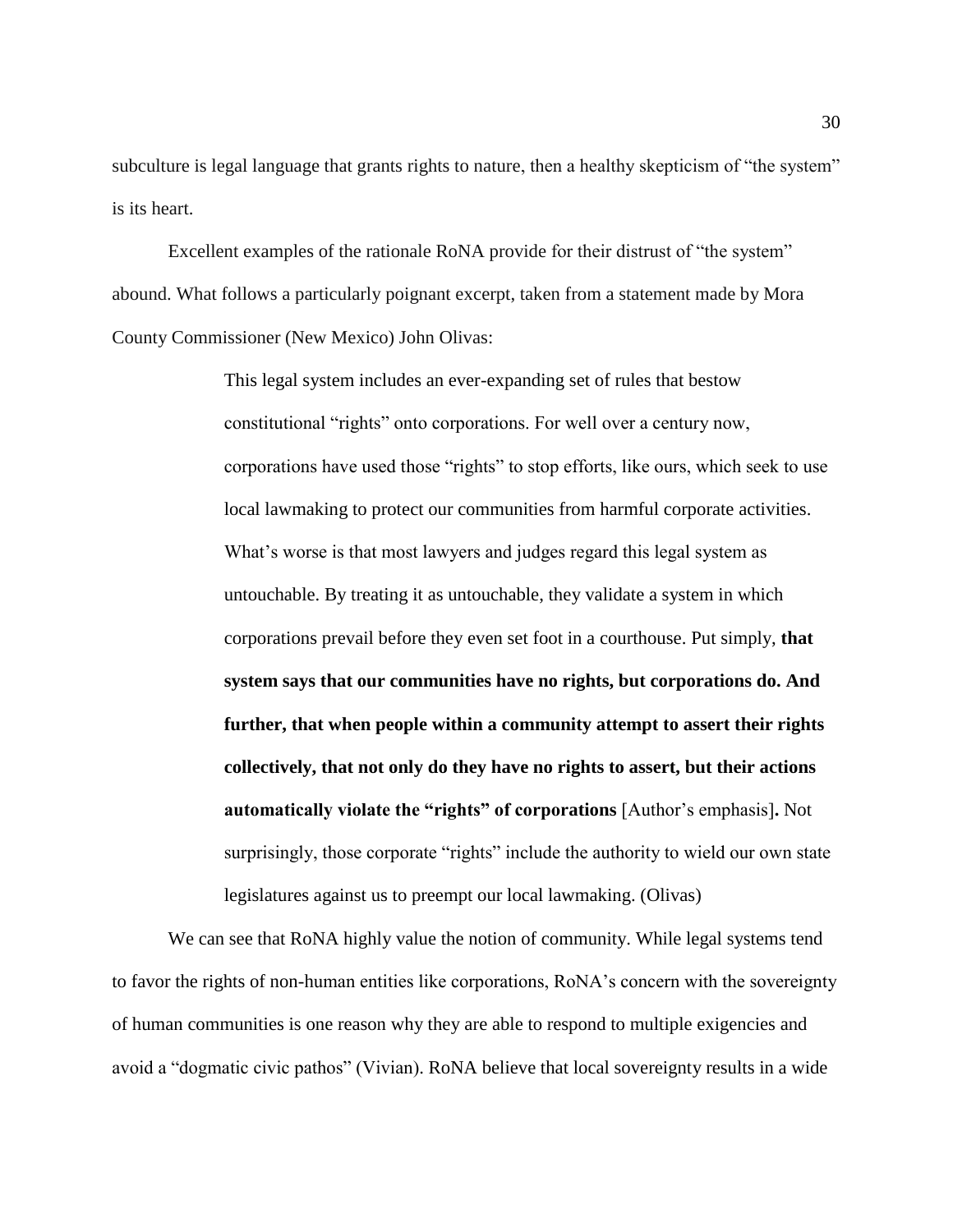subculture is legal language that grants rights to nature, then a healthy skepticism of "the system" is its heart.

Excellent examples of the rationale RoNA provide for their distrust of "the system" abound. What follows a particularly poignant excerpt, taken from a statement made by Mora County Commissioner (New Mexico) John Olivas:

> This legal system includes an ever-expanding set of rules that bestow constitutional "rights" onto corporations. For well over a century now, corporations have used those "rights" to stop efforts, like ours, which seek to use local lawmaking to protect our communities from harmful corporate activities. What's worse is that most lawyers and judges regard this legal system as untouchable. By treating it as untouchable, they validate a system in which corporations prevail before they even set foot in a courthouse. Put simply, **that system says that our communities have no rights, but corporations do. And further, that when people within a community attempt to assert their rights collectively, that not only do they have no rights to assert, but their actions automatically violate the "rights" of corporations** [Author's emphasis]**.** Not surprisingly, those corporate "rights" include the authority to wield our own state legislatures against us to preempt our local lawmaking. (Olivas)

We can see that RoNA highly value the notion of community. While legal systems tend to favor the rights of non-human entities like corporations, RoNA's concern with the sovereignty of human communities is one reason why they are able to respond to multiple exigencies and avoid a "dogmatic civic pathos" (Vivian). RoNA believe that local sovereignty results in a wide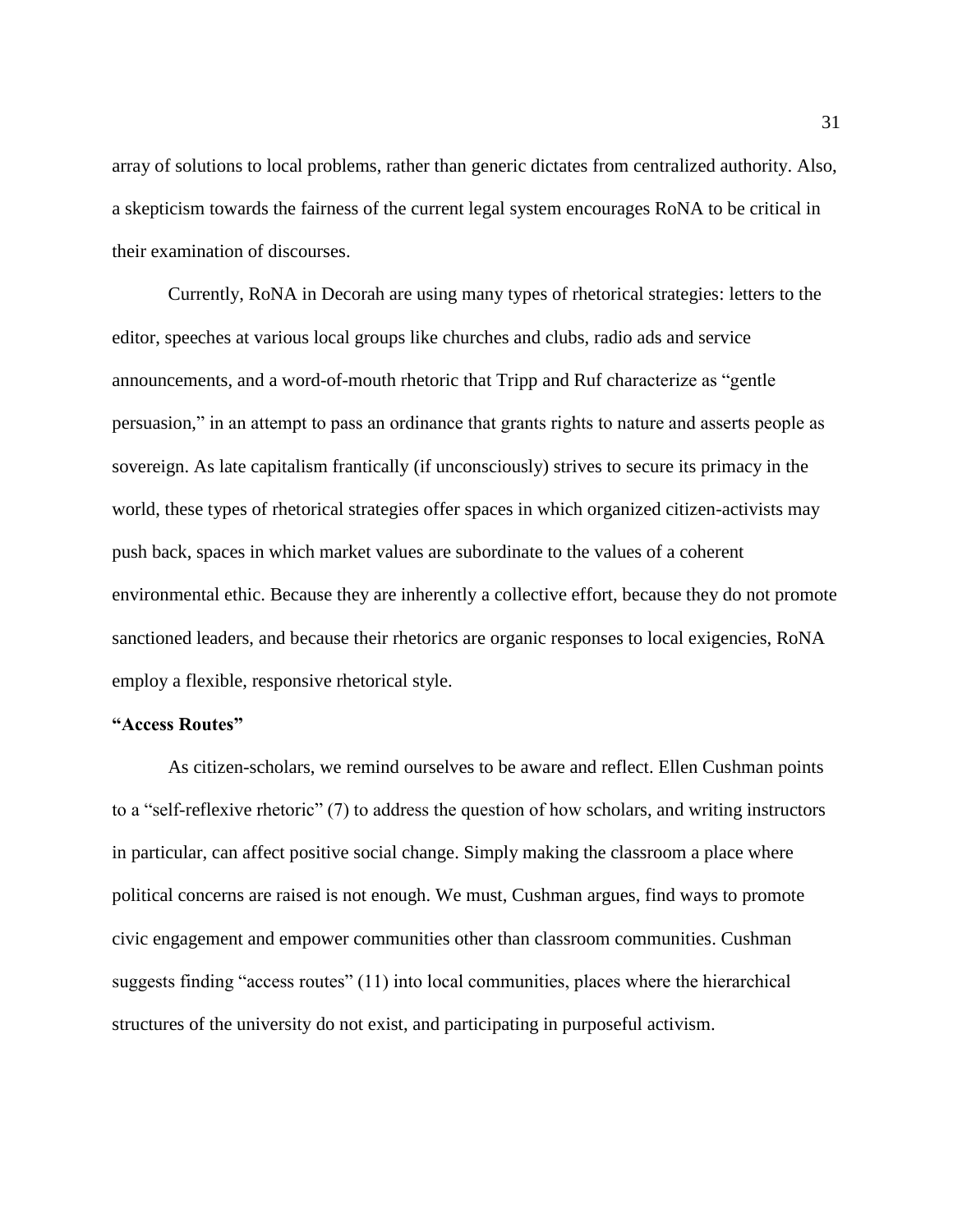array of solutions to local problems, rather than generic dictates from centralized authority. Also, a skepticism towards the fairness of the current legal system encourages RoNA to be critical in their examination of discourses.

Currently, RoNA in Decorah are using many types of rhetorical strategies: letters to the editor, speeches at various local groups like churches and clubs, radio ads and service announcements, and a word-of-mouth rhetoric that Tripp and Ruf characterize as "gentle persuasion," in an attempt to pass an ordinance that grants rights to nature and asserts people as sovereign. As late capitalism frantically (if unconsciously) strives to secure its primacy in the world, these types of rhetorical strategies offer spaces in which organized citizen-activists may push back, spaces in which market values are subordinate to the values of a coherent environmental ethic. Because they are inherently a collective effort, because they do not promote sanctioned leaders, and because their rhetorics are organic responses to local exigencies, RoNA employ a flexible, responsive rhetorical style.

#### **"Access Routes"**

As citizen-scholars, we remind ourselves to be aware and reflect. Ellen Cushman points to a "self-reflexive rhetoric" (7) to address the question of how scholars, and writing instructors in particular, can affect positive social change. Simply making the classroom a place where political concerns are raised is not enough. We must, Cushman argues, find ways to promote civic engagement and empower communities other than classroom communities. Cushman suggests finding "access routes" (11) into local communities, places where the hierarchical structures of the university do not exist, and participating in purposeful activism.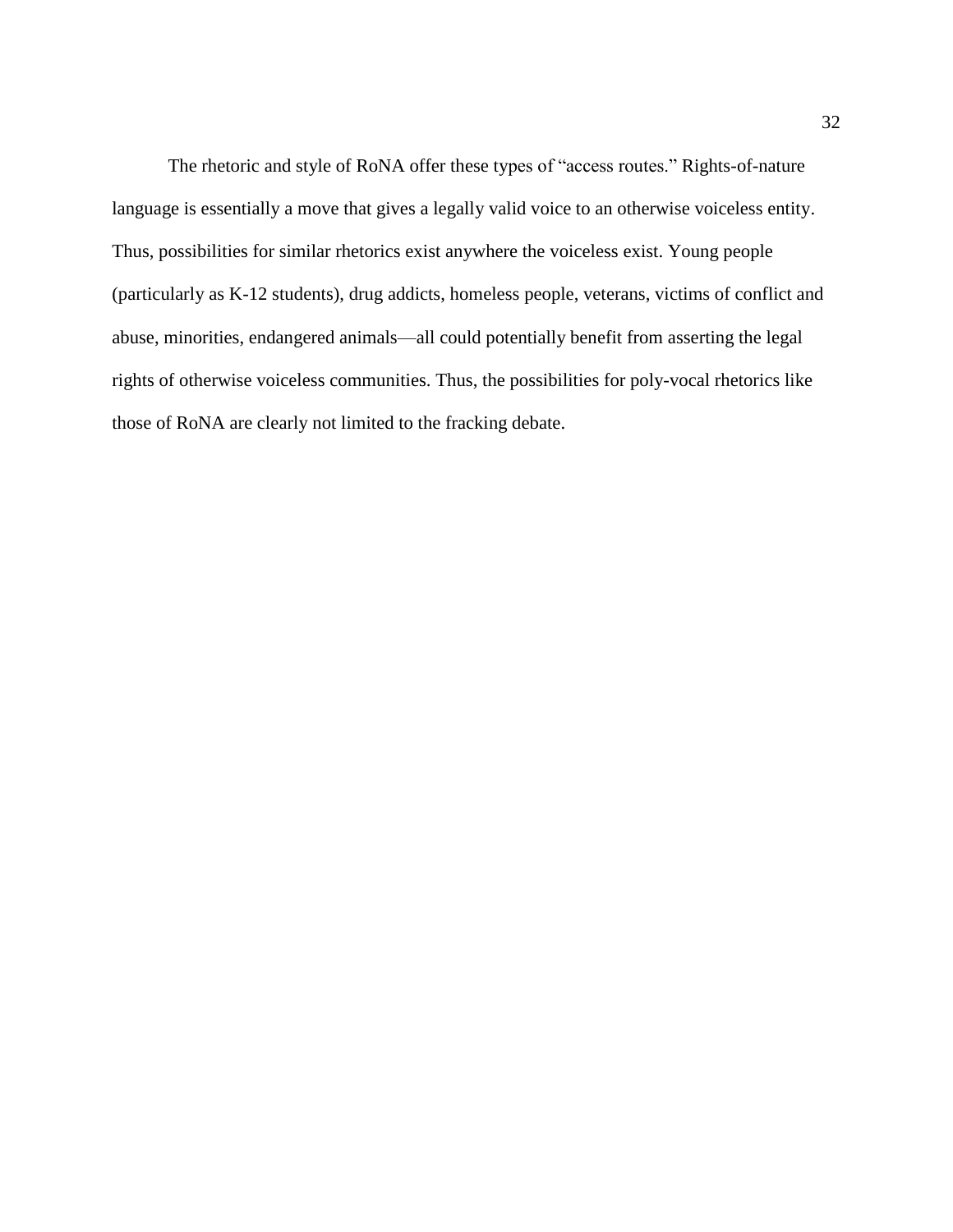The rhetoric and style of RoNA offer these types of "access routes." Rights-of-nature language is essentially a move that gives a legally valid voice to an otherwise voiceless entity. Thus, possibilities for similar rhetorics exist anywhere the voiceless exist. Young people (particularly as K-12 students), drug addicts, homeless people, veterans, victims of conflict and abuse, minorities, endangered animals—all could potentially benefit from asserting the legal rights of otherwise voiceless communities. Thus, the possibilities for poly-vocal rhetorics like those of RoNA are clearly not limited to the fracking debate.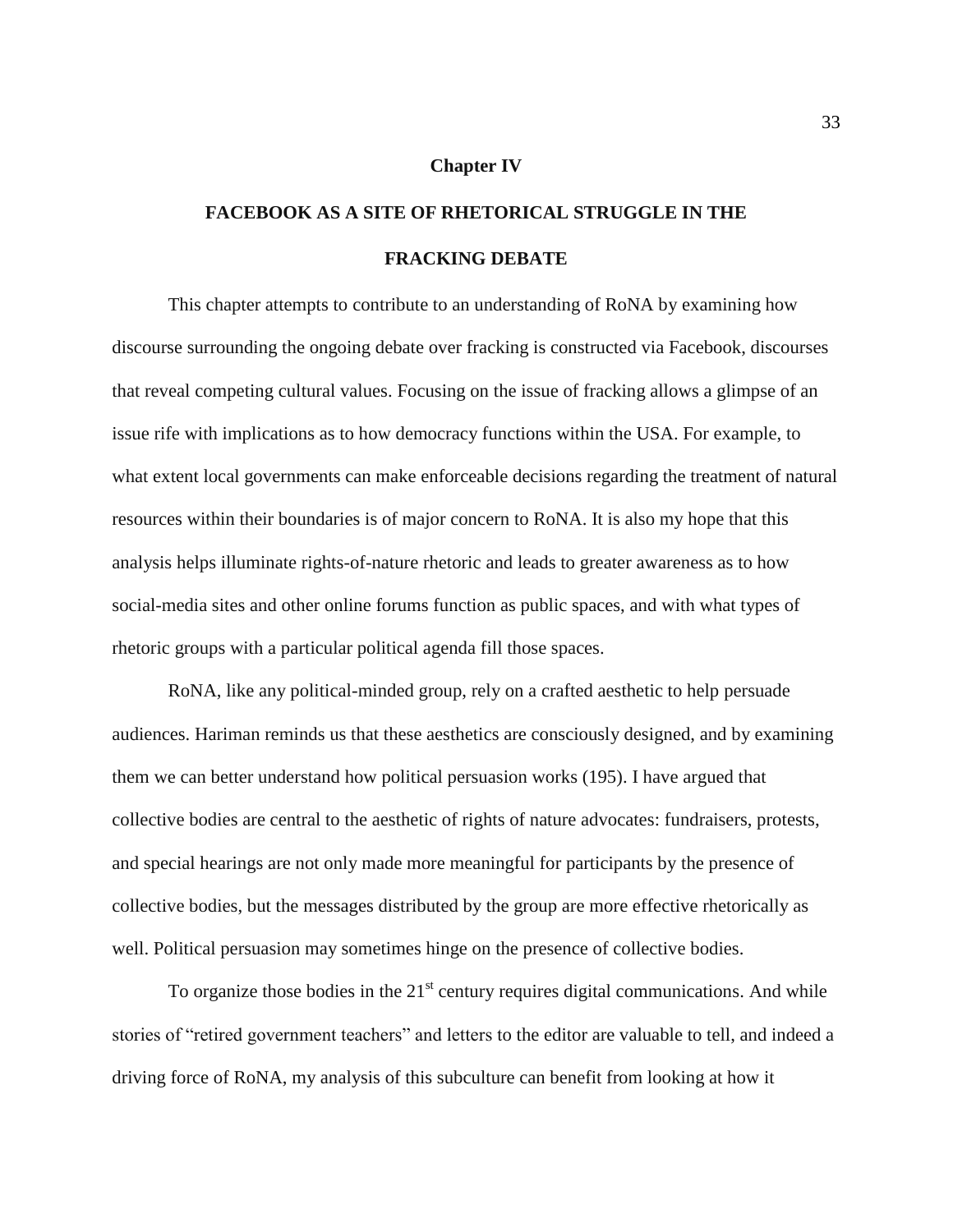#### **Chapter IV**

# **FACEBOOK AS A SITE OF RHETORICAL STRUGGLE IN THE FRACKING DEBATE**

This chapter attempts to contribute to an understanding of RoNA by examining how discourse surrounding the ongoing debate over fracking is constructed via Facebook, discourses that reveal competing cultural values. Focusing on the issue of fracking allows a glimpse of an issue rife with implications as to how democracy functions within the USA. For example, to what extent local governments can make enforceable decisions regarding the treatment of natural resources within their boundaries is of major concern to RoNA. It is also my hope that this analysis helps illuminate rights-of-nature rhetoric and leads to greater awareness as to how social-media sites and other online forums function as public spaces, and with what types of rhetoric groups with a particular political agenda fill those spaces.

RoNA, like any political-minded group, rely on a crafted aesthetic to help persuade audiences. Hariman reminds us that these aesthetics are consciously designed, and by examining them we can better understand how political persuasion works (195). I have argued that collective bodies are central to the aesthetic of rights of nature advocates: fundraisers, protests, and special hearings are not only made more meaningful for participants by the presence of collective bodies, but the messages distributed by the group are more effective rhetorically as well. Political persuasion may sometimes hinge on the presence of collective bodies.

To organize those bodies in the  $21<sup>st</sup>$  century requires digital communications. And while stories of "retired government teachers" and letters to the editor are valuable to tell, and indeed a driving force of RoNA, my analysis of this subculture can benefit from looking at how it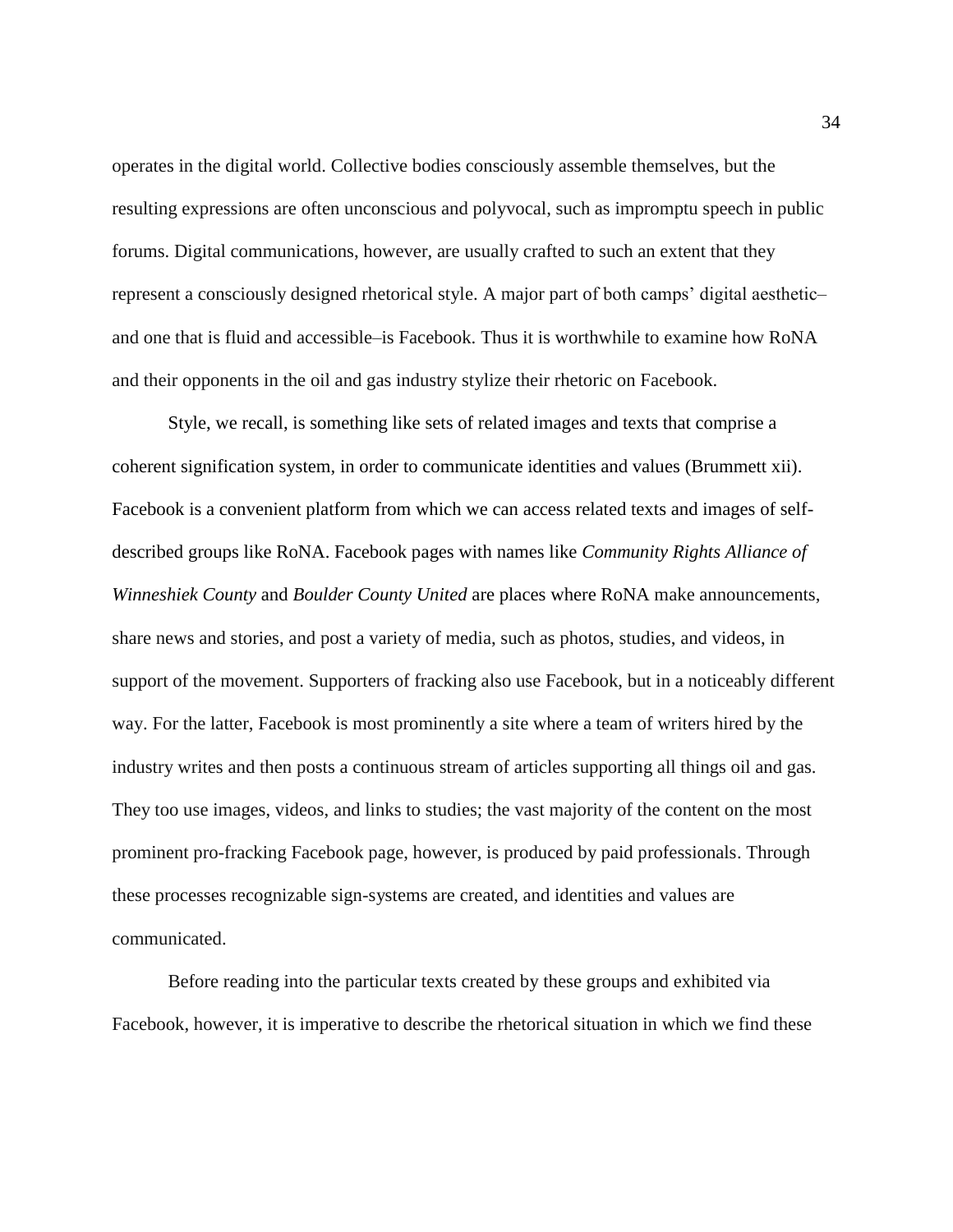operates in the digital world. Collective bodies consciously assemble themselves, but the resulting expressions are often unconscious and polyvocal, such as impromptu speech in public forums. Digital communications, however, are usually crafted to such an extent that they represent a consciously designed rhetorical style. A major part of both camps' digital aesthetic– and one that is fluid and accessible–is Facebook. Thus it is worthwhile to examine how RoNA and their opponents in the oil and gas industry stylize their rhetoric on Facebook.

Style, we recall, is something like sets of related images and texts that comprise a coherent signification system, in order to communicate identities and values (Brummett xii). Facebook is a convenient platform from which we can access related texts and images of selfdescribed groups like RoNA. Facebook pages with names like *Community Rights Alliance of Winneshiek County* and *Boulder County United* are places where RoNA make announcements, share news and stories, and post a variety of media, such as photos, studies, and videos, in support of the movement. Supporters of fracking also use Facebook, but in a noticeably different way. For the latter, Facebook is most prominently a site where a team of writers hired by the industry writes and then posts a continuous stream of articles supporting all things oil and gas. They too use images, videos, and links to studies; the vast majority of the content on the most prominent pro-fracking Facebook page, however, is produced by paid professionals. Through these processes recognizable sign-systems are created, and identities and values are communicated.

Before reading into the particular texts created by these groups and exhibited via Facebook, however, it is imperative to describe the rhetorical situation in which we find these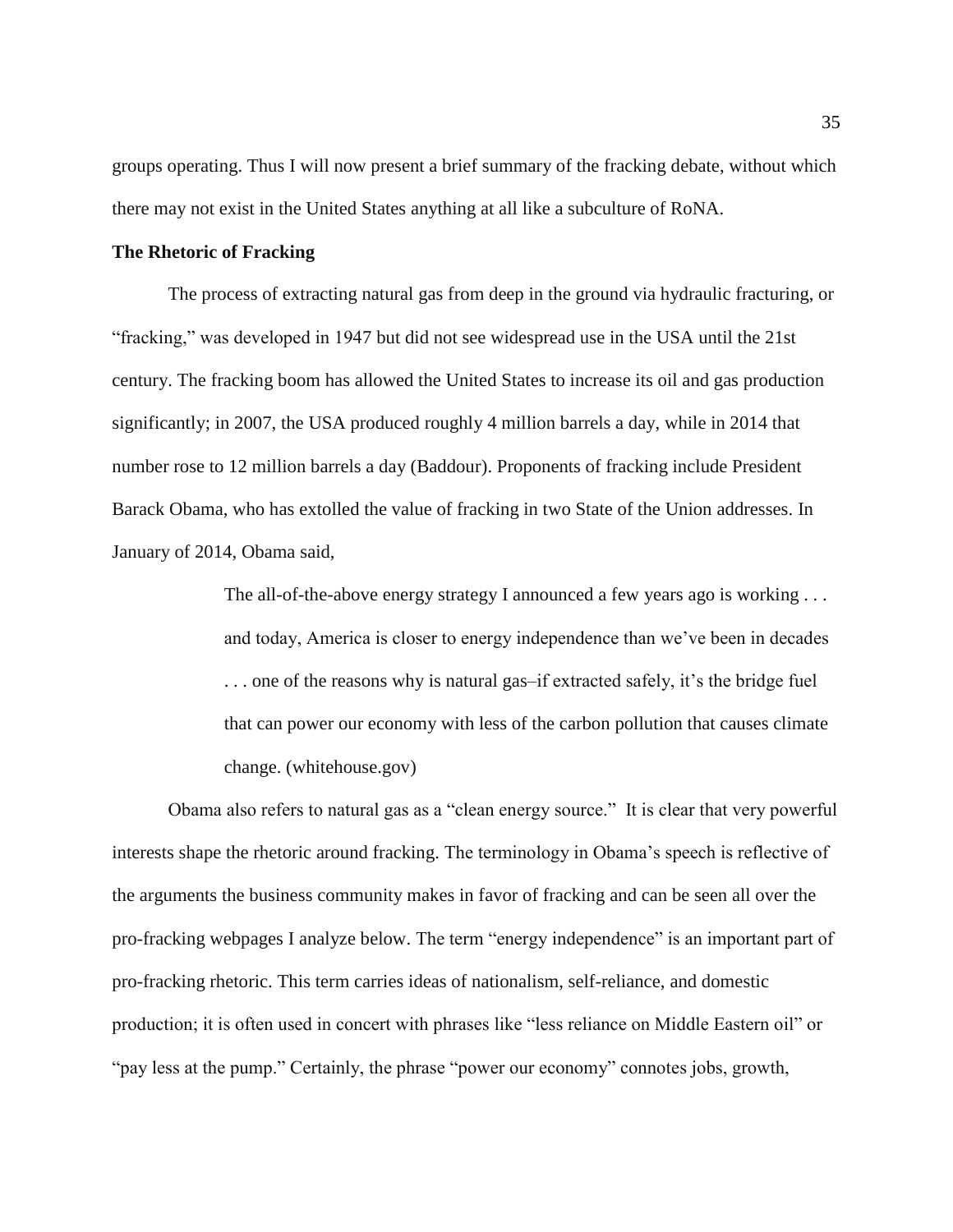groups operating. Thus I will now present a brief summary of the fracking debate, without which there may not exist in the United States anything at all like a subculture of RoNA.

#### **The Rhetoric of Fracking**

The process of extracting natural gas from deep in the ground via hydraulic fracturing, or "fracking," was developed in 1947 but did not see widespread use in the USA until the 21st century. The fracking boom has allowed the United States to increase its oil and gas production significantly; in 2007, the USA produced roughly 4 million barrels a day, while in 2014 that number rose to 12 million barrels a day (Baddour). Proponents of fracking include President Barack Obama, who has extolled the value of fracking in two State of the Union addresses. In January of 2014, Obama said,

> The all-of-the-above energy strategy I announced a few years ago is working . . . and today, America is closer to energy independence than we've been in decades . . . one of the reasons why is natural gas–if extracted safely, it's the bridge fuel that can power our economy with less of the carbon pollution that causes climate change. (whitehouse.gov)

Obama also refers to natural gas as a "clean energy source." It is clear that very powerful interests shape the rhetoric around fracking. The terminology in Obama's speech is reflective of the arguments the business community makes in favor of fracking and can be seen all over the pro-fracking webpages I analyze below. The term "energy independence" is an important part of pro-fracking rhetoric. This term carries ideas of nationalism, self-reliance, and domestic production; it is often used in concert with phrases like "less reliance on Middle Eastern oil" or "pay less at the pump." Certainly, the phrase "power our economy" connotes jobs, growth,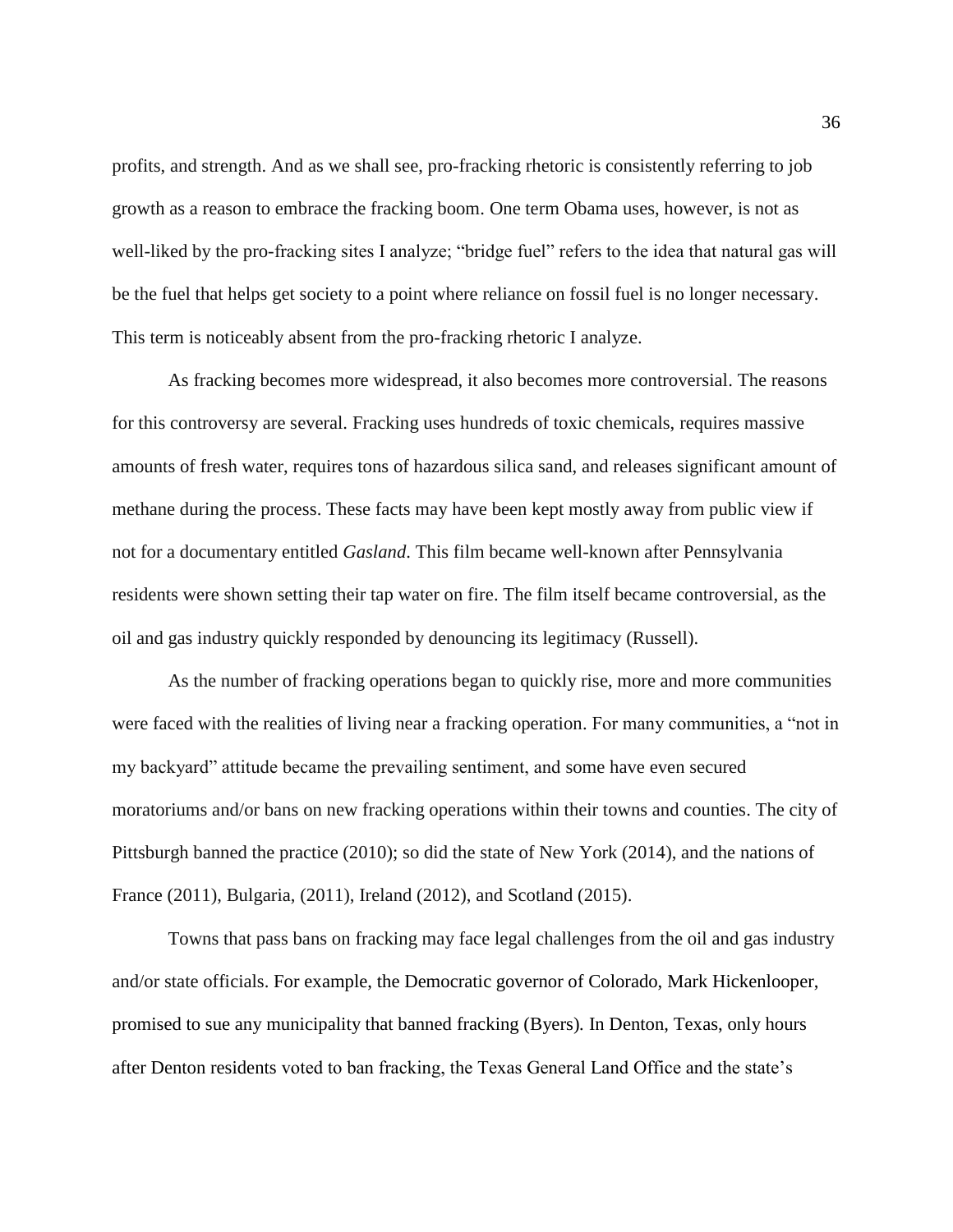profits, and strength. And as we shall see, pro-fracking rhetoric is consistently referring to job growth as a reason to embrace the fracking boom. One term Obama uses, however, is not as well-liked by the pro-fracking sites I analyze; "bridge fuel" refers to the idea that natural gas will be the fuel that helps get society to a point where reliance on fossil fuel is no longer necessary. This term is noticeably absent from the pro-fracking rhetoric I analyze.

As fracking becomes more widespread, it also becomes more controversial. The reasons for this controversy are several. Fracking uses hundreds of toxic chemicals, requires massive amounts of fresh water, requires tons of hazardous silica sand, and releases significant amount of methane during the process. These facts may have been kept mostly away from public view if not for a documentary entitled *Gasland*. This film became well-known after Pennsylvania residents were shown setting their tap water on fire. The film itself became controversial, as the oil and gas industry quickly responded by denouncing its legitimacy (Russell).

As the number of fracking operations began to quickly rise, more and more communities were faced with the realities of living near a fracking operation. For many communities, a "not in my backyard" attitude became the prevailing sentiment, and some have even secured moratoriums and/or bans on new fracking operations within their towns and counties. The city of Pittsburgh banned the practice (2010); so did the state of New York (2014), and the nations of France (2011), Bulgaria, (2011), Ireland (2012), and Scotland (2015).

Towns that pass bans on fracking may face legal challenges from the oil and gas industry and/or state officials. For example, the Democratic governor of Colorado, Mark Hickenlooper, promised to sue any municipality that banned fracking (Byers)*.* In Denton, Texas, only hours after Denton residents voted to ban fracking, the Texas General Land Office and the state's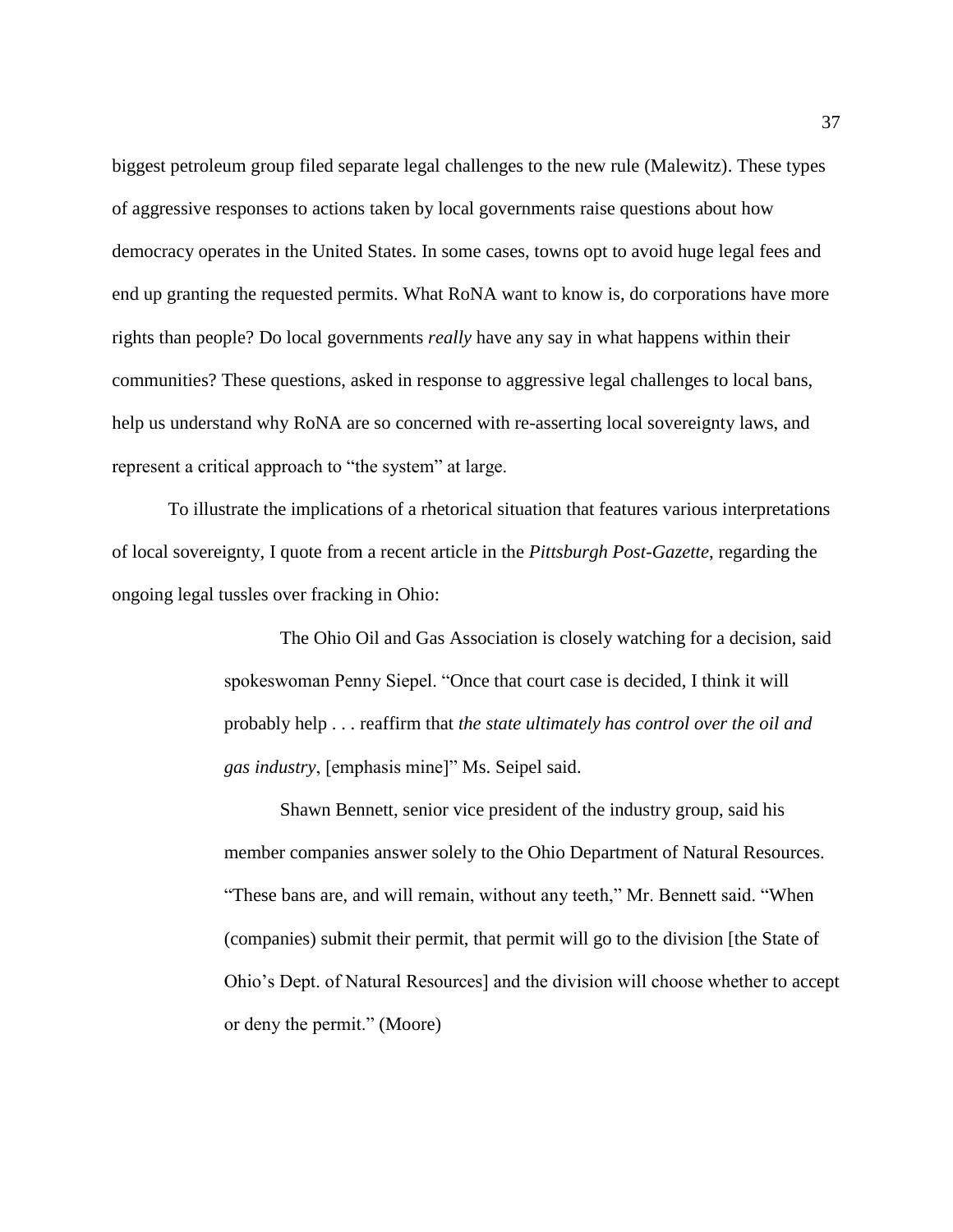biggest petroleum group filed separate legal challenges to the new rule (Malewitz). These types of aggressive responses to actions taken by local governments raise questions about how democracy operates in the United States. In some cases, towns opt to avoid huge legal fees and end up granting the requested permits. What RoNA want to know is, do corporations have more rights than people? Do local governments *really* have any say in what happens within their communities? These questions, asked in response to aggressive legal challenges to local bans, help us understand why RoNA are so concerned with re-asserting local sovereignty laws, and represent a critical approach to "the system" at large.

To illustrate the implications of a rhetorical situation that features various interpretations of local sovereignty, I quote from a recent article in the *Pittsburgh Post-Gazette*, regarding the ongoing legal tussles over fracking in Ohio:

> The Ohio Oil and Gas Association is closely watching for a decision, said spokeswoman Penny Siepel. "Once that court case is decided, I think it will probably help . . . reaffirm that *the state ultimately has control over the oil and gas industry*, [emphasis mine]" Ms. Seipel said.

Shawn Bennett, senior vice president of the industry group, said his member companies answer solely to the Ohio Department of Natural Resources. "These bans are, and will remain, without any teeth," Mr. Bennett said. "When (companies) submit their permit, that permit will go to the division [the State of Ohio's Dept. of Natural Resources] and the division will choose whether to accept or deny the permit." (Moore)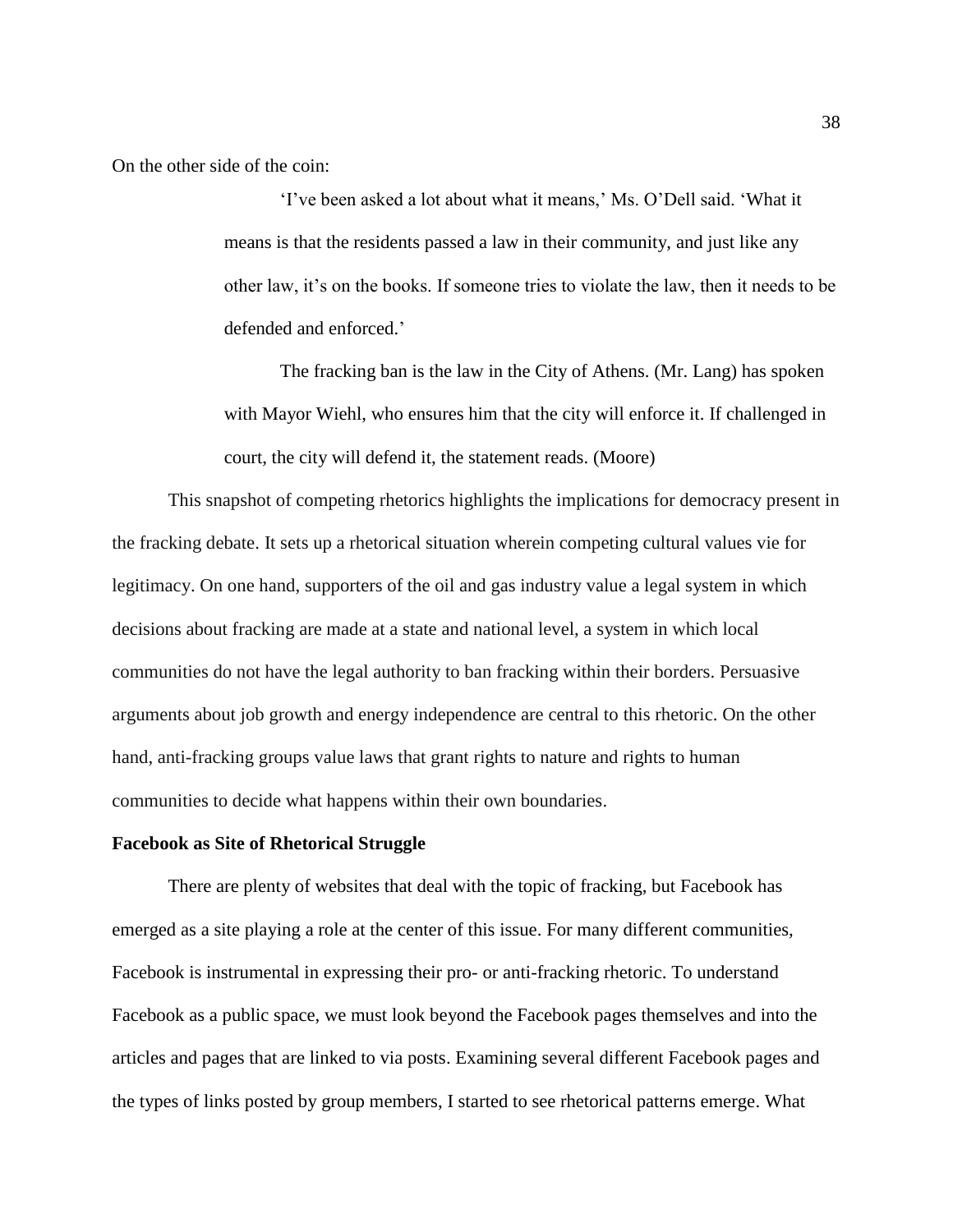On the other side of the coin:

'I've been asked a lot about what it means,' Ms. O'Dell said. 'What it means is that the residents passed a law in their community, and just like any other law, it's on the books. If someone tries to violate the law, then it needs to be defended and enforced.'

The fracking ban is the law in the City of Athens. (Mr. Lang) has spoken with Mayor Wiehl, who ensures him that the city will enforce it. If challenged in court, the city will defend it, the statement reads. (Moore)

This snapshot of competing rhetorics highlights the implications for democracy present in the fracking debate. It sets up a rhetorical situation wherein competing cultural values vie for legitimacy. On one hand, supporters of the oil and gas industry value a legal system in which decisions about fracking are made at a state and national level, a system in which local communities do not have the legal authority to ban fracking within their borders. Persuasive arguments about job growth and energy independence are central to this rhetoric. On the other hand, anti-fracking groups value laws that grant rights to nature and rights to human communities to decide what happens within their own boundaries.

#### **Facebook as Site of Rhetorical Struggle**

There are plenty of websites that deal with the topic of fracking, but Facebook has emerged as a site playing a role at the center of this issue. For many different communities, Facebook is instrumental in expressing their pro- or anti-fracking rhetoric. To understand Facebook as a public space, we must look beyond the Facebook pages themselves and into the articles and pages that are linked to via posts. Examining several different Facebook pages and the types of links posted by group members, I started to see rhetorical patterns emerge. What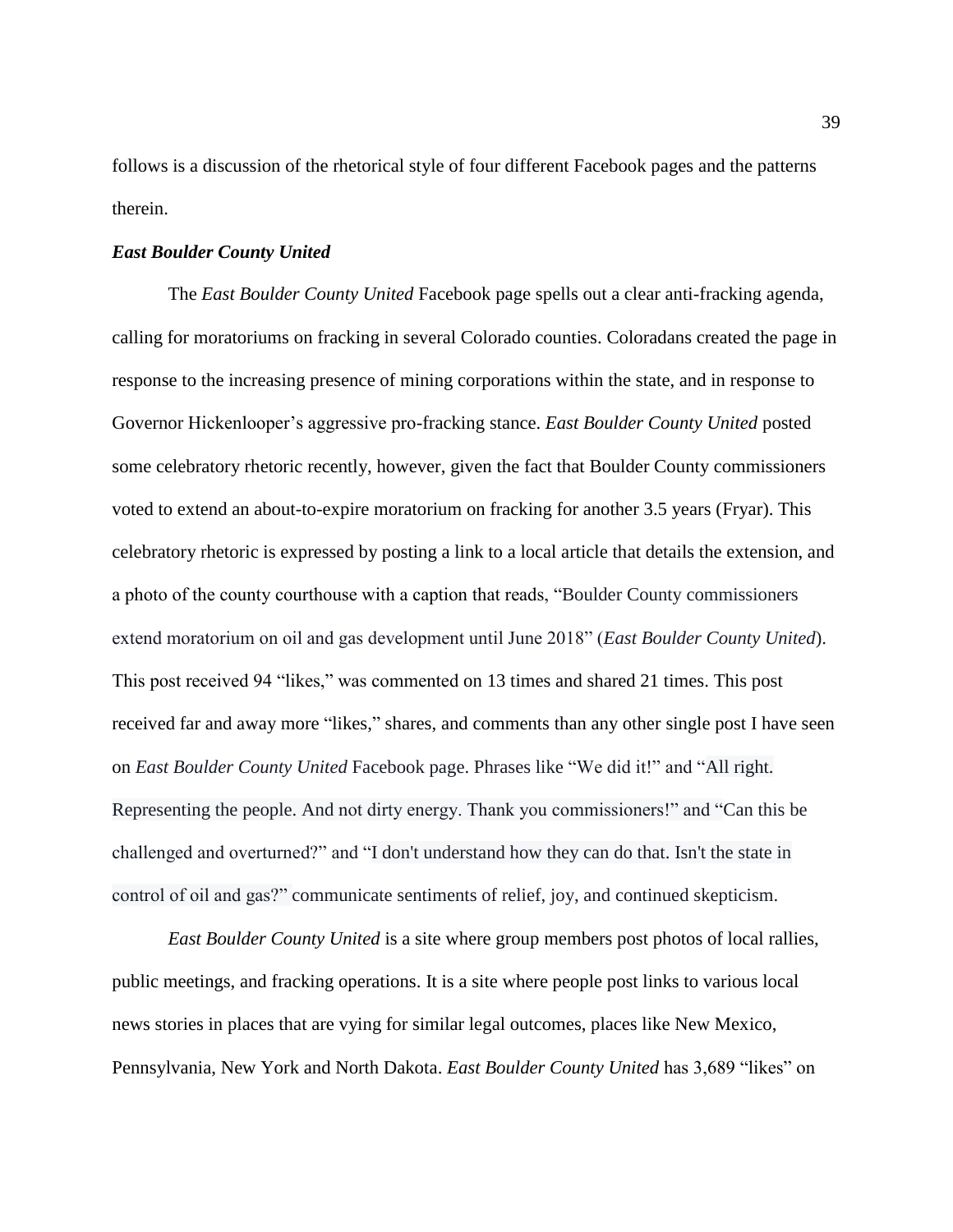follows is a discussion of the rhetorical style of four different Facebook pages and the patterns therein.

#### *East Boulder County United*

The *East Boulder County United* Facebook page spells out a clear anti-fracking agenda, calling for moratoriums on fracking in several Colorado counties. Coloradans created the page in response to the increasing presence of mining corporations within the state, and in response to Governor Hickenlooper's aggressive pro-fracking stance. *East Boulder County United* posted some celebratory rhetoric recently, however, given the fact that Boulder County commissioners voted to extend an about-to-expire moratorium on fracking for another 3.5 years (Fryar). This celebratory rhetoric is expressed by posting a link to a local article that details the extension, and a photo of the county courthouse with a caption that reads, "Boulder County commissioners extend moratorium on oil and gas development until June 2018" (*East Boulder County United*). This post received 94 "likes," was commented on 13 times and shared 21 times. This post received far and away more "likes," shares, and comments than any other single post I have seen on *East Boulder County United* Facebook page. Phrases like "We did it!" and "All right. Representing the people. And not dirty energy. Thank you commissioners!" and "Can this be challenged and overturned?" and "I don't understand how they can do that. Isn't the state in control of oil and gas?" communicate sentiments of relief, joy, and continued skepticism.

*East Boulder County United* is a site where group members post photos of local rallies, public meetings, and fracking operations. It is a site where people post links to various local news stories in places that are vying for similar legal outcomes, places like New Mexico, Pennsylvania, New York and North Dakota. *East Boulder County United* has 3,689 "likes" on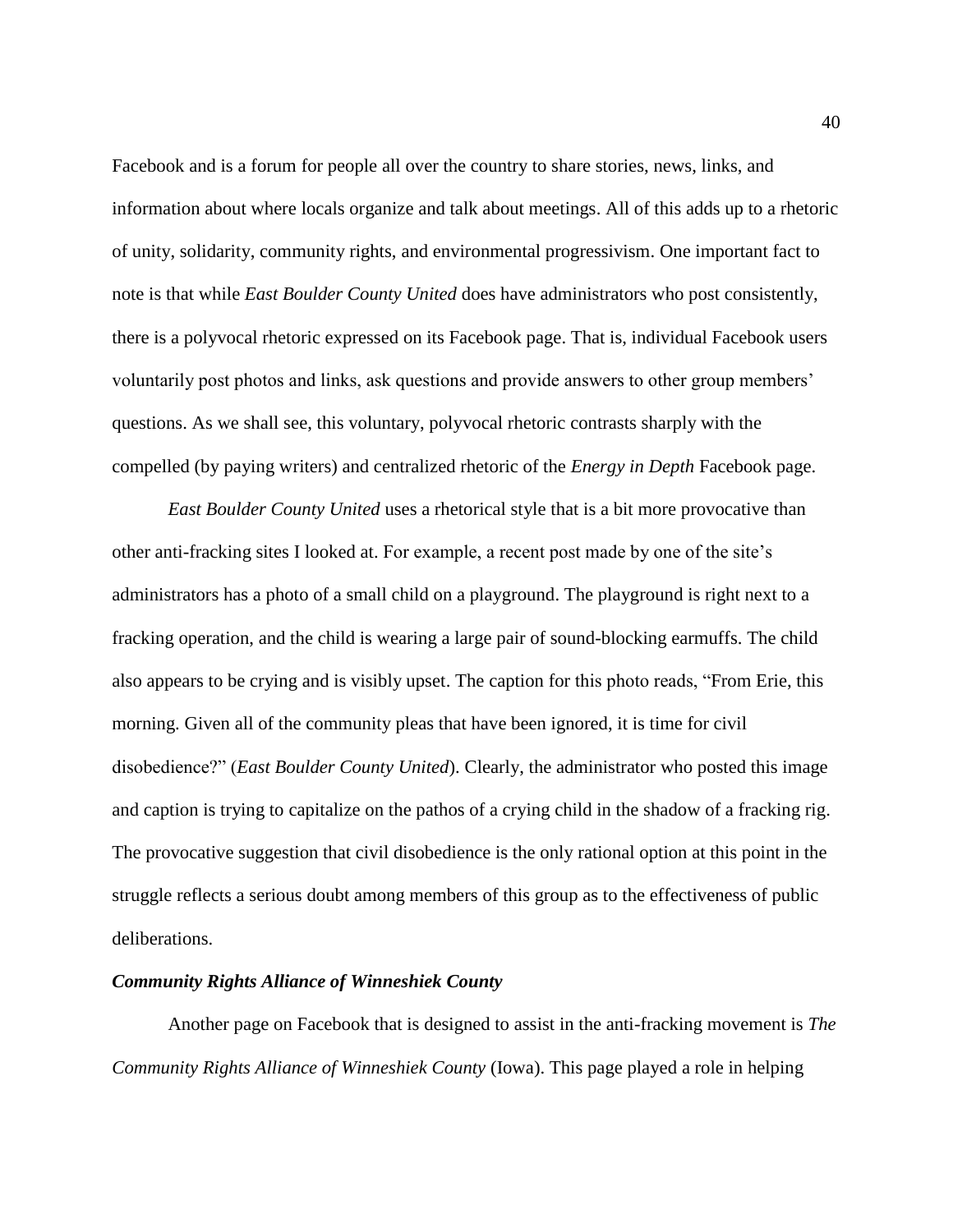Facebook and is a forum for people all over the country to share stories, news, links, and information about where locals organize and talk about meetings. All of this adds up to a rhetoric of unity, solidarity, community rights, and environmental progressivism. One important fact to note is that while *East Boulder County United* does have administrators who post consistently, there is a polyvocal rhetoric expressed on its Facebook page. That is, individual Facebook users voluntarily post photos and links, ask questions and provide answers to other group members' questions. As we shall see, this voluntary, polyvocal rhetoric contrasts sharply with the compelled (by paying writers) and centralized rhetoric of the *Energy in Depth* Facebook page.

*East Boulder County United* uses a rhetorical style that is a bit more provocative than other anti-fracking sites I looked at. For example, a recent post made by one of the site's administrators has a photo of a small child on a playground. The playground is right next to a fracking operation, and the child is wearing a large pair of sound-blocking earmuffs. The child also appears to be crying and is visibly upset. The caption for this photo reads, "From Erie, this morning. Given all of the community pleas that have been ignored, it is time for civil disobedience?" (*East Boulder County United*). Clearly, the administrator who posted this image and caption is trying to capitalize on the pathos of a crying child in the shadow of a fracking rig. The provocative suggestion that civil disobedience is the only rational option at this point in the struggle reflects a serious doubt among members of this group as to the effectiveness of public deliberations.

#### *Community Rights Alliance of Winneshiek County*

Another page on Facebook that is designed to assist in the anti-fracking movement is *The Community Rights Alliance of Winneshiek County* (Iowa). This page played a role in helping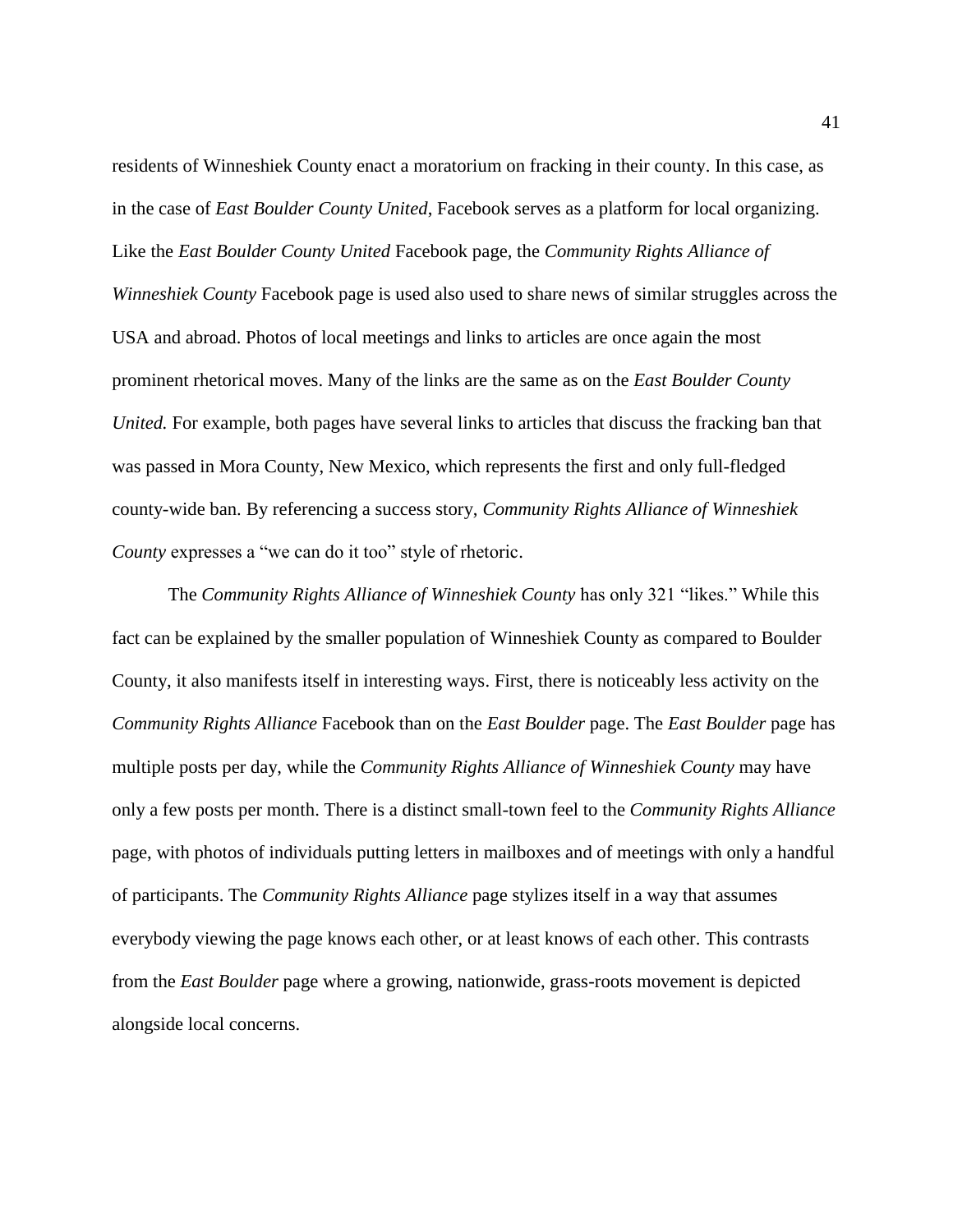residents of Winneshiek County enact a moratorium on fracking in their county. In this case, as in the case of *East Boulder County United*, Facebook serves as a platform for local organizing. Like the *East Boulder County United* Facebook page*,* the *Community Rights Alliance of Winneshiek County* Facebook page is used also used to share news of similar struggles across the USA and abroad. Photos of local meetings and links to articles are once again the most prominent rhetorical moves. Many of the links are the same as on the *East Boulder County United.* For example, both pages have several links to articles that discuss the fracking ban that was passed in Mora County, New Mexico, which represents the first and only full-fledged county-wide ban. By referencing a success story, *Community Rights Alliance of Winneshiek County* expresses a "we can do it too" style of rhetoric.

The *Community Rights Alliance of Winneshiek County* has only 321 "likes." While this fact can be explained by the smaller population of Winneshiek County as compared to Boulder County, it also manifests itself in interesting ways. First, there is noticeably less activity on the *Community Rights Alliance* Facebook than on the *East Boulder* page. The *East Boulder* page has multiple posts per day, while the *Community Rights Alliance of Winneshiek County* may have only a few posts per month. There is a distinct small-town feel to the *Community Rights Alliance* page, with photos of individuals putting letters in mailboxes and of meetings with only a handful of participants. The *Community Rights Alliance* page stylizes itself in a way that assumes everybody viewing the page knows each other, or at least knows of each other. This contrasts from the *East Boulder* page where a growing, nationwide, grass-roots movement is depicted alongside local concerns.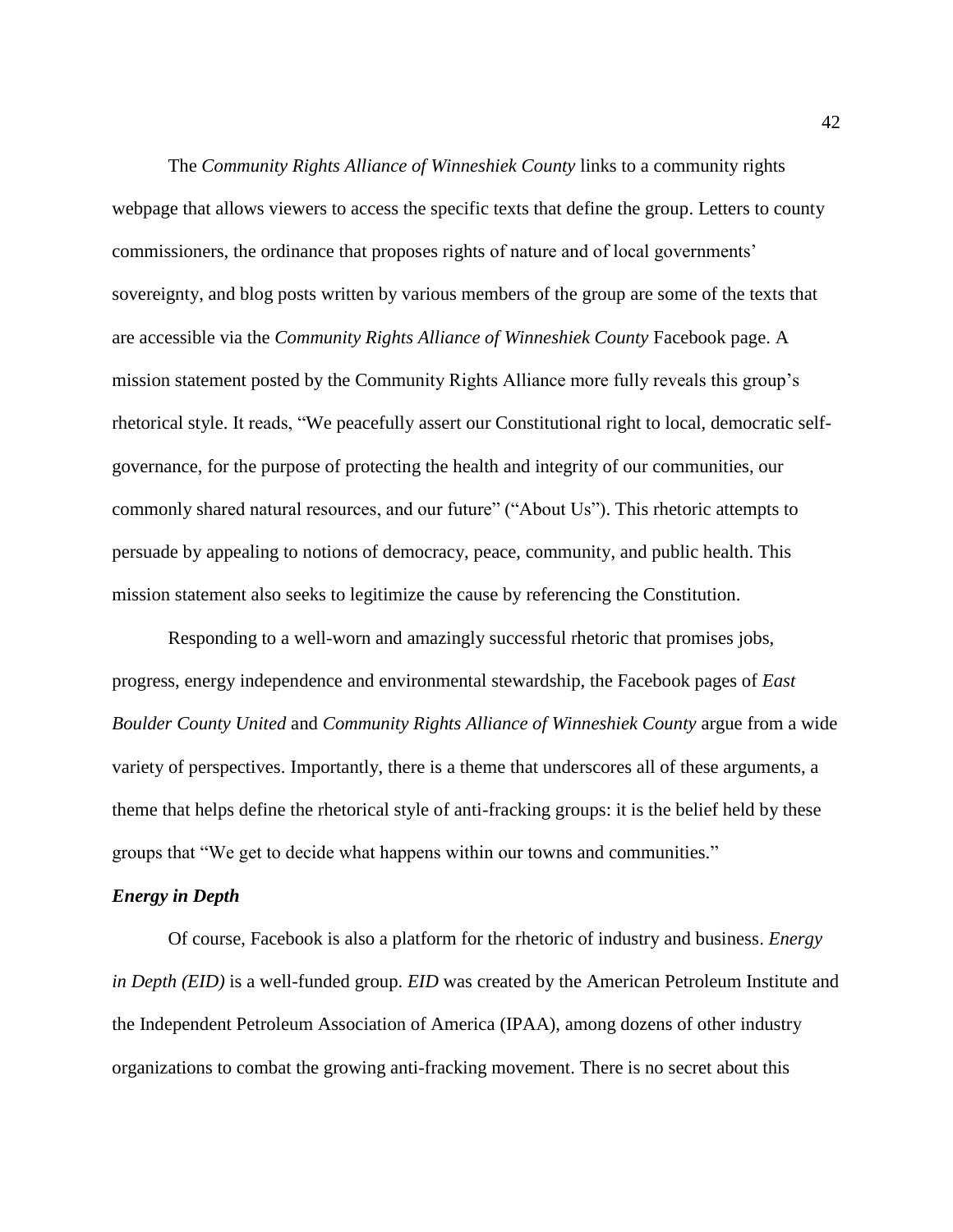The *Community Rights Alliance of Winneshiek County* links to a community rights webpage that allows viewers to access the specific texts that define the group. Letters to county commissioners, the ordinance that proposes rights of nature and of local governments' sovereignty, and blog posts written by various members of the group are some of the texts that are accessible via the *Community Rights Alliance of Winneshiek County* Facebook page. A mission statement posted by the Community Rights Alliance more fully reveals this group's rhetorical style. It reads, "We peacefully assert our Constitutional right to local, democratic selfgovernance, for the purpose of protecting the health and integrity of our communities, our commonly shared natural resources, and our future" ("About Us"). This rhetoric attempts to persuade by appealing to notions of democracy, peace, community, and public health. This mission statement also seeks to legitimize the cause by referencing the Constitution.

Responding to a well-worn and amazingly successful rhetoric that promises jobs, progress, energy independence and environmental stewardship, the Facebook pages of *East Boulder County United* and *Community Rights Alliance of Winneshiek County* argue from a wide variety of perspectives. Importantly, there is a theme that underscores all of these arguments, a theme that helps define the rhetorical style of anti-fracking groups: it is the belief held by these groups that "We get to decide what happens within our towns and communities."

#### *Energy in Depth*

Of course, Facebook is also a platform for the rhetoric of industry and business. *Energy in Depth (EID)* is a well-funded group. *EID* was created by the [American Petroleum Institute](http://www.glgroup.com/News/American-Petroleum-Institute-leads-oil-and-gas-industry-in-opposing-EPA-scrutiny-40194.html) and the [Independent Petroleum Association of America](http://online.wsj.com/article/SB124416485187987585.html) (IPAA), among dozens of other industry organizations to combat the growing anti-fracking movement. There is no secret about this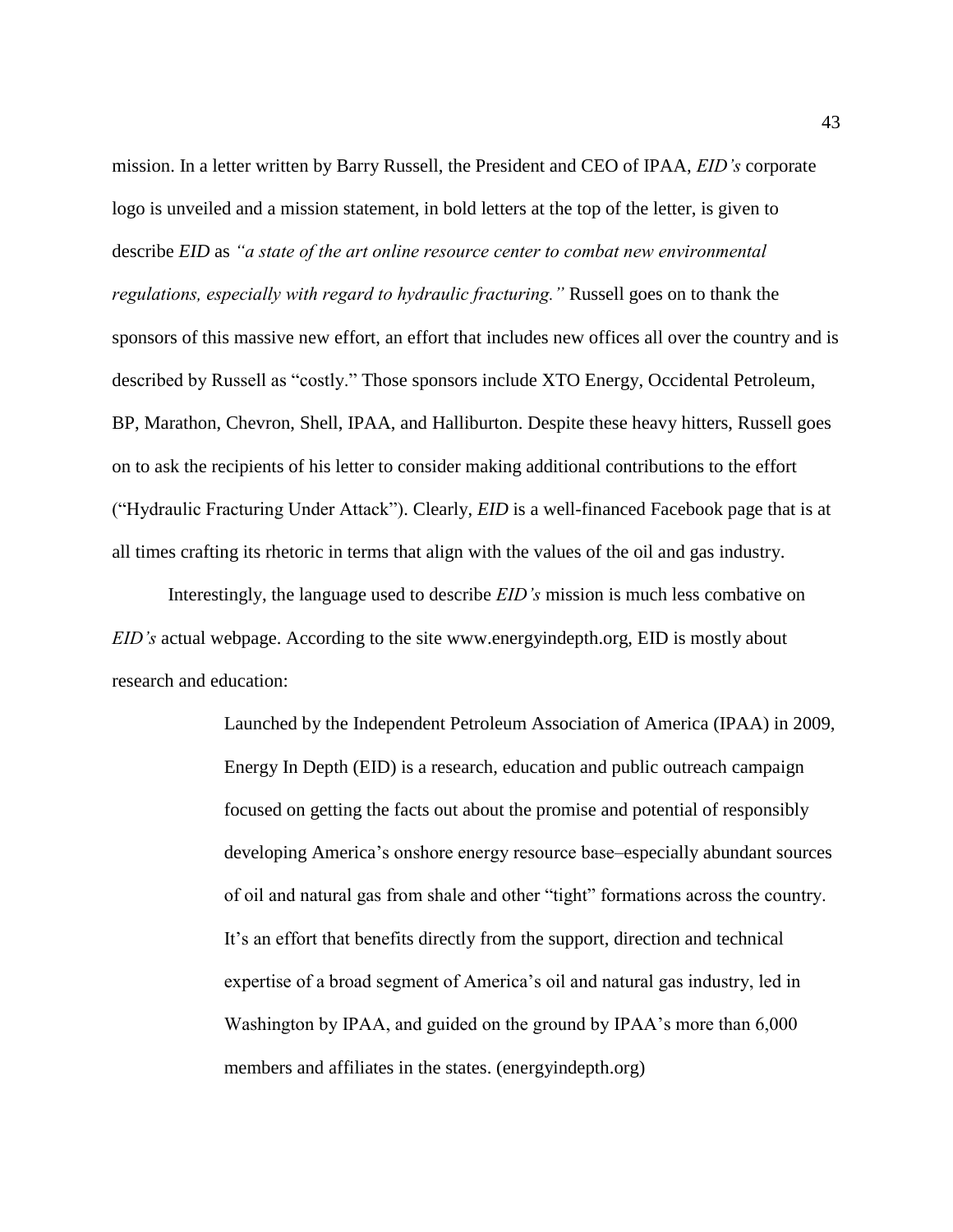mission. In a letter written by Barry Russell, the President and CEO of IPAA, *EID's* corporate logo is unveiled and a mission statement, in bold letters at the top of the letter, is given to describe *EID* as *"a state of the art online resource center to combat new environmental regulations, especially with regard to hydraulic fracturing."* Russell goes on to thank the sponsors of this massive new effort, an effort that includes new offices all over the country and is described by Russell as "costly." Those sponsors include [XTO Energy,](http://www.sourcewatch.org/index.php/XTO_Energy) [Occidental Petroleum,](http://www.sourcewatch.org/index.php/Occidental_Petroleum) [BP,](http://www.sourcewatch.org/index.php/BP) [Marathon,](http://www.sourcewatch.org/index.php/Marathon) Chevron, [Shell,](http://www.sourcewatch.org/index.php/Shell) IPAA, and [Halliburton](http://www.sourcewatch.org/index.php/Halliburton). Despite these heavy hitters, Russell goes on to ask the recipients of his letter to consider making additional contributions to the effort ("Hydraulic Fracturing Under Attack"). Clearly, *EID* is a well-financed Facebook page that is at all times crafting its rhetoric in terms that align with the values of the oil and gas industry.

Interestingly, the language used to describe *EID's* mission is much less combative on *EID's* actual webpage. According to the site www.energyindepth.org, EID is mostly about research and education:

> Launched by the Independent Petroleum Association of America (IPAA) in 2009, Energy In Depth (EID) is a research, education and public outreach campaign focused on getting the facts out about the promise and potential of responsibly developing America's onshore energy resource base–especially abundant sources of oil and natural gas from shale and other "tight" formations across the country. It's an effort that benefits directly from the support, direction and technical expertise of a broad segment of America's oil and natural gas industry, led in Washington by IPAA, and guided on the ground by IPAA's more than 6,000 members and affiliates in the states. (energyindepth.org)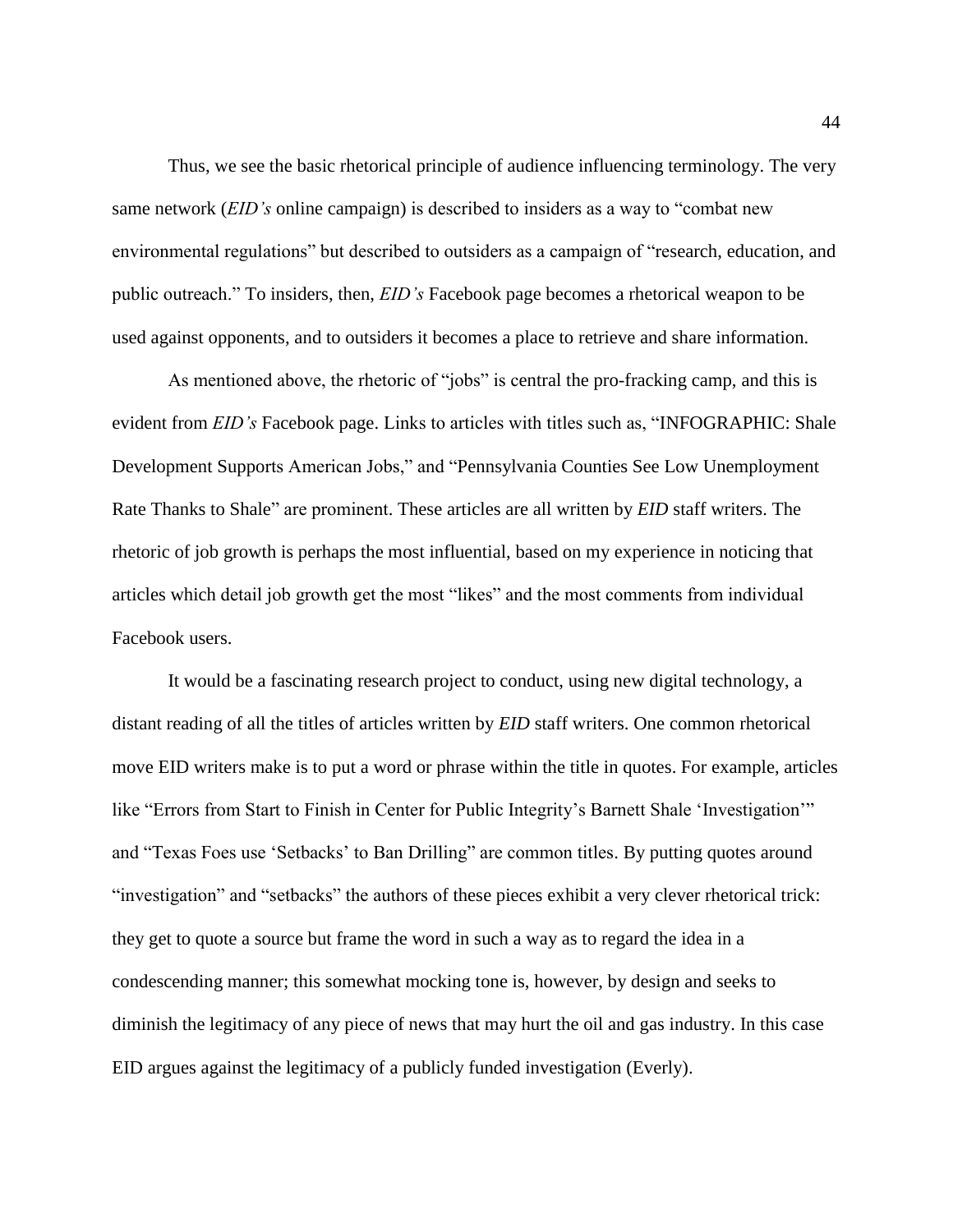Thus, we see the basic rhetorical principle of audience influencing terminology. The very same network (*EID's* online campaign) is described to insiders as a way to "combat new environmental regulations" but described to outsiders as a campaign of "research, education, and public outreach." To insiders, then, *EID's* Facebook page becomes a rhetorical weapon to be used against opponents, and to outsiders it becomes a place to retrieve and share information.

As mentioned above, the rhetoric of "jobs" is central the pro-fracking camp, and this is evident from *EID's* Facebook page. Links to articles with titles such as, "[INFOGRAPHIC: Shale](http://energyindepth.org/national/infographic-shale-development-supports-american-jobs/)  [Development Supports American Jobs," and "](http://energyindepth.org/national/infographic-shale-development-supports-american-jobs/)[Pennsylvania Counties See Low Unemployment](http://energyindepth.org/marcellus/pennsylvania-counties-see-low-unemployment-rate-thanks-to-shale/)  [Rate Thanks to Shale"](http://energyindepth.org/marcellus/pennsylvania-counties-see-low-unemployment-rate-thanks-to-shale/) are prominent. These articles are all written by *EID* staff writers. The rhetoric of job growth is perhaps the most influential, based on my experience in noticing that articles which detail job growth get the most "likes" and the most comments from individual Facebook users.

It would be a fascinating research project to conduct, using new digital technology, a distant reading of all the titles of articles written by *EID* staff writers. One common rhetorical move EID writers make is to put a word or phrase within the title in quotes. For example, articles like "Errors from Start to Finish in Center for Public Integrity's Barnett Shale 'Investigation'" and "Texas Foes use 'Setbacks' to Ban Drilling" are common titles. By putting quotes around "investigation" and "setbacks" the authors of these pieces exhibit a very clever rhetorical trick: they get to quote a source but frame the word in such a way as to regard the idea in a condescending manner; this somewhat mocking tone is, however, by design and seeks to diminish the legitimacy of any piece of news that may hurt the oil and gas industry. In this case EID argues against the legitimacy of a publicly funded investigation (Everly).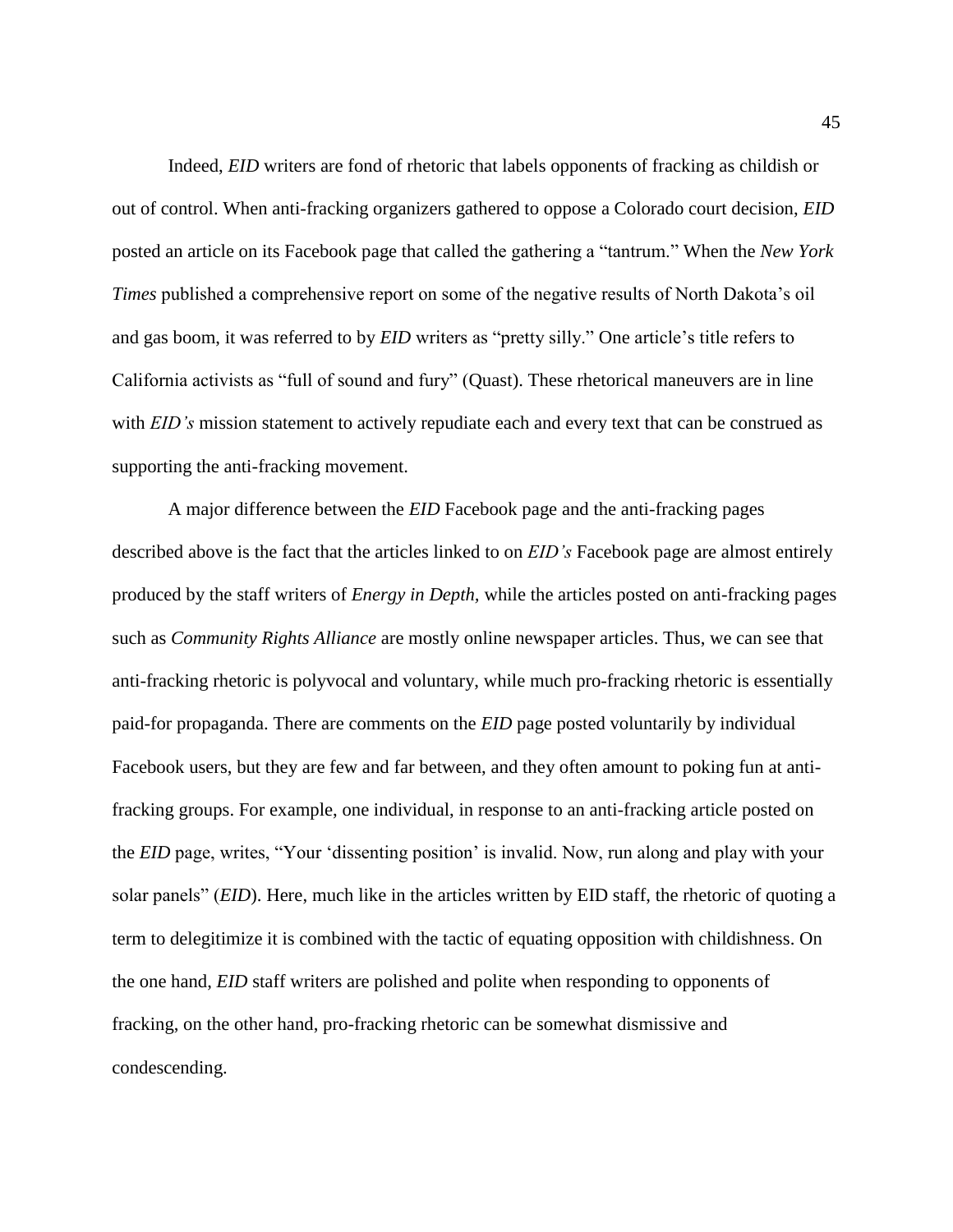Indeed, *EID* writers are fond of rhetoric that labels opponents of fracking as childish or out of control. When anti-fracking organizers gathered to oppose a Colorado court decision, *EID* posted an article on its Facebook page that called the gathering a "tantrum." When the *New York Times* published a comprehensive report on some of the negative results of North Dakota's oil and gas boom, it was referred to by *EID* writers as "pretty silly." One article's title refers to California activists as "full of sound and fury" (Quast). These rhetorical maneuvers are in line with *EID's* mission statement to actively repudiate each and every text that can be construed as supporting the anti-fracking movement.

A major difference between the *EID* Facebook page and the anti-fracking pages described above is the fact that the articles linked to on *EID's* Facebook page are almost entirely produced by the staff writers of *Energy in Depth,* while the articles posted on anti-fracking pages such as *Community Rights Alliance* are mostly online newspaper articles. Thus, we can see that anti-fracking rhetoric is polyvocal and voluntary, while much pro-fracking rhetoric is essentially paid-for propaganda. There are comments on the *EID* page posted voluntarily by individual Facebook users, but they are few and far between, and they often amount to poking fun at antifracking groups. For example, one individual, in response to an anti-fracking article posted on the *EID* page, writes, "Your 'dissenting position' is invalid. Now, run along and play with your solar panels" (*EID*). Here, much like in the articles written by EID staff, the rhetoric of quoting a term to delegitimize it is combined with the tactic of equating opposition with childishness. On the one hand, *EID* staff writers are polished and polite when responding to opponents of fracking, on the other hand, pro-fracking rhetoric can be somewhat dismissive and condescending.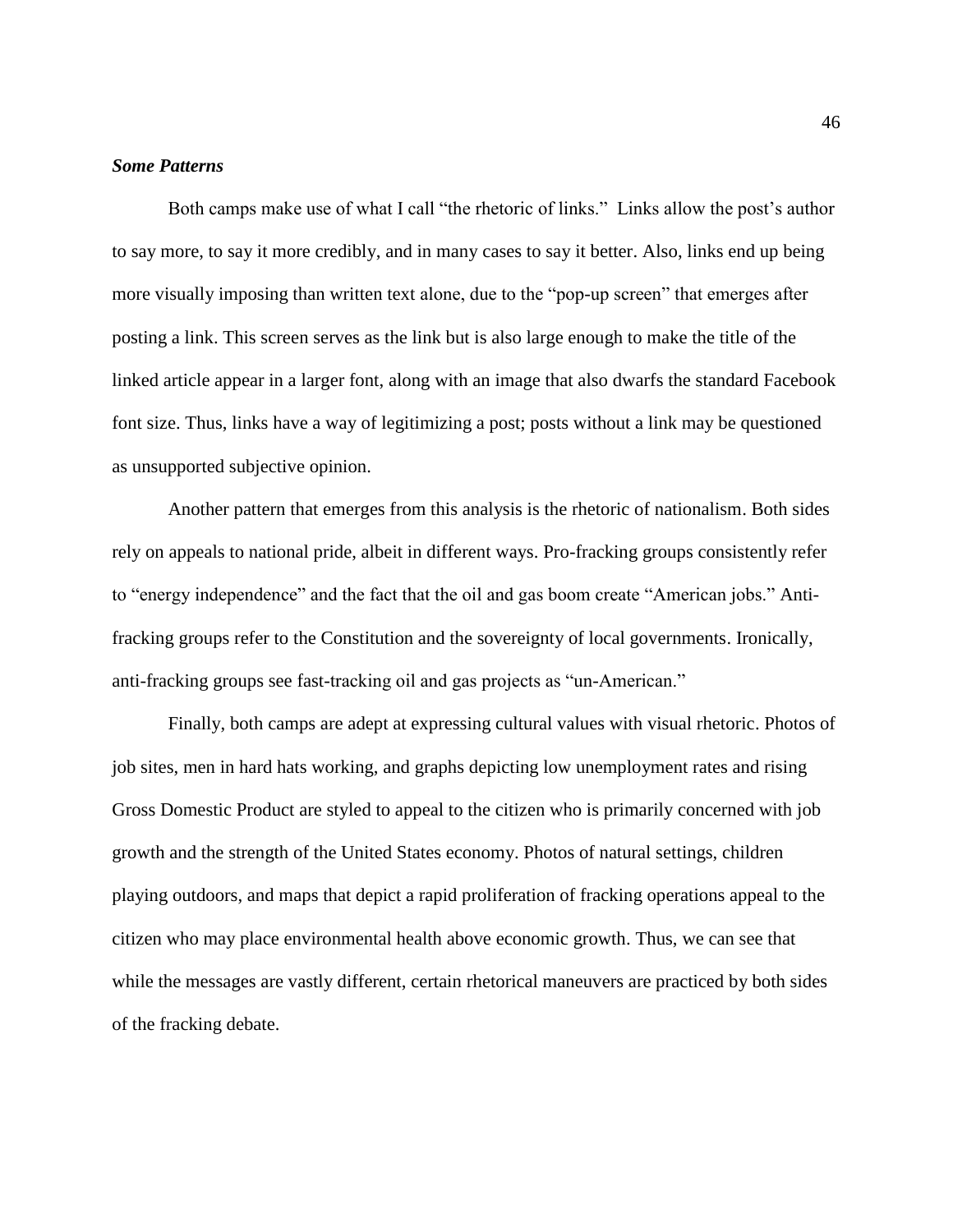#### *Some Patterns*

Both camps make use of what I call "the rhetoric of links." Links allow the post's author to say more, to say it more credibly, and in many cases to say it better. Also, links end up being more visually imposing than written text alone, due to the "pop-up screen" that emerges after posting a link. This screen serves as the link but is also large enough to make the title of the linked article appear in a larger font, along with an image that also dwarfs the standard Facebook font size. Thus, links have a way of legitimizing a post; posts without a link may be questioned as unsupported subjective opinion.

Another pattern that emerges from this analysis is the rhetoric of nationalism. Both sides rely on appeals to national pride, albeit in different ways. Pro-fracking groups consistently refer to "energy independence" and the fact that the oil and gas boom create "American jobs." Antifracking groups refer to the Constitution and the sovereignty of local governments. Ironically, anti-fracking groups see fast-tracking oil and gas projects as "un-American."

Finally, both camps are adept at expressing cultural values with visual rhetoric. Photos of job sites, men in hard hats working, and graphs depicting low unemployment rates and rising Gross Domestic Product are styled to appeal to the citizen who is primarily concerned with job growth and the strength of the United States economy. Photos of natural settings, children playing outdoors, and maps that depict a rapid proliferation of fracking operations appeal to the citizen who may place environmental health above economic growth. Thus, we can see that while the messages are vastly different, certain rhetorical maneuvers are practiced by both sides of the fracking debate.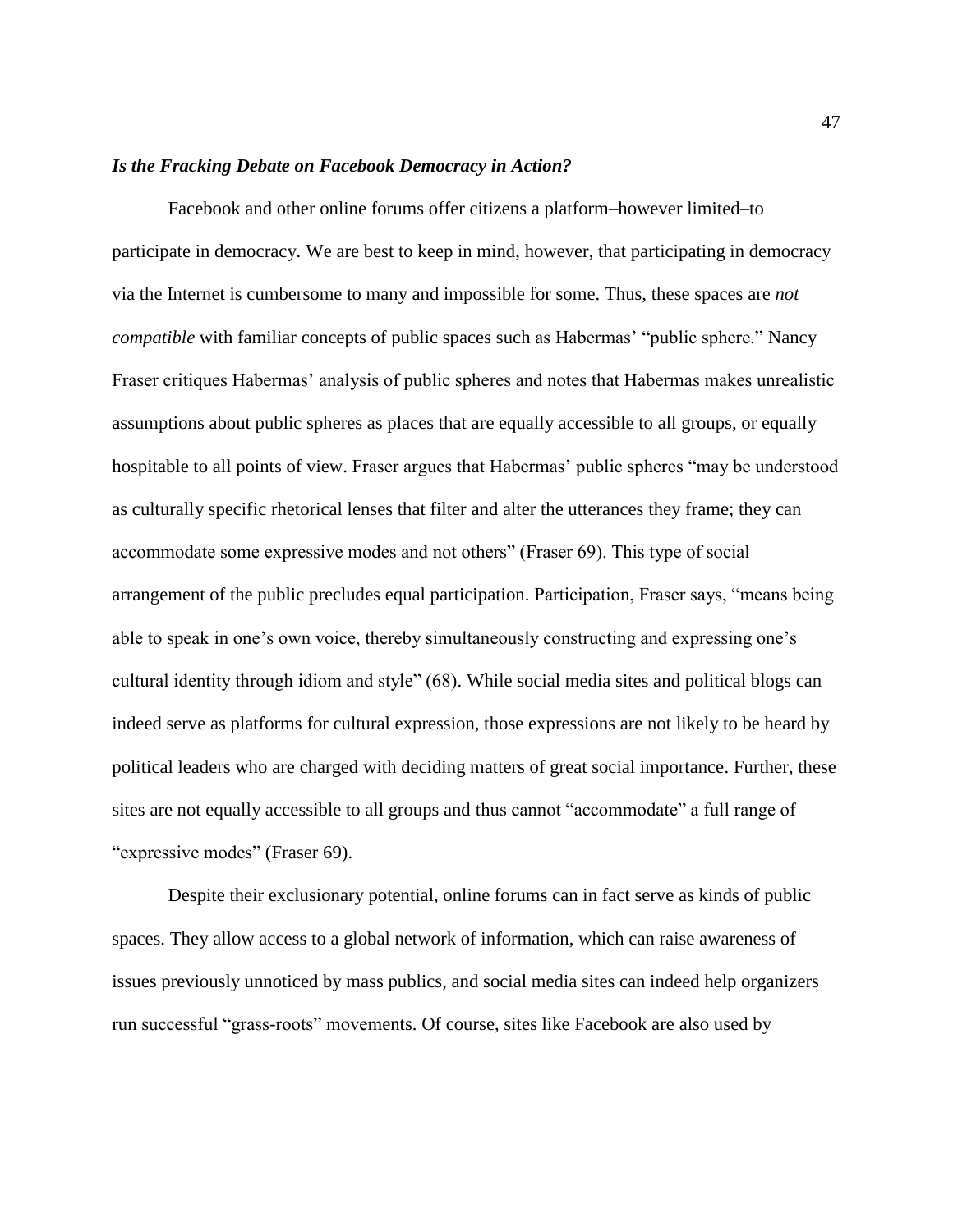#### *Is the Fracking Debate on Facebook Democracy in Action?*

Facebook and other online forums offer citizens a platform–however limited–to participate in democracy. We are best to keep in mind, however, that participating in democracy via the Internet is cumbersome to many and impossible for some. Thus, these spaces are *not compatible* with familiar concepts of public spaces such as Habermas' "public sphere." Nancy Fraser critiques Habermas' analysis of public spheres and notes that Habermas makes unrealistic assumptions about public spheres as places that are equally accessible to all groups, or equally hospitable to all points of view. Fraser argues that Habermas' public spheres "may be understood as culturally specific rhetorical lenses that filter and alter the utterances they frame; they can accommodate some expressive modes and not others" (Fraser 69). This type of social arrangement of the public precludes equal participation. Participation, Fraser says, "means being able to speak in one's own voice, thereby simultaneously constructing and expressing one's cultural identity through idiom and style" (68). While social media sites and political blogs can indeed serve as platforms for cultural expression, those expressions are not likely to be heard by political leaders who are charged with deciding matters of great social importance. Further, these sites are not equally accessible to all groups and thus cannot "accommodate" a full range of "expressive modes" (Fraser 69).

Despite their exclusionary potential, online forums can in fact serve as kinds of public spaces. They allow access to a global network of information, which can raise awareness of issues previously unnoticed by mass publics, and social media sites can indeed help organizers run successful "grass-roots" movements. Of course, sites like Facebook are also used by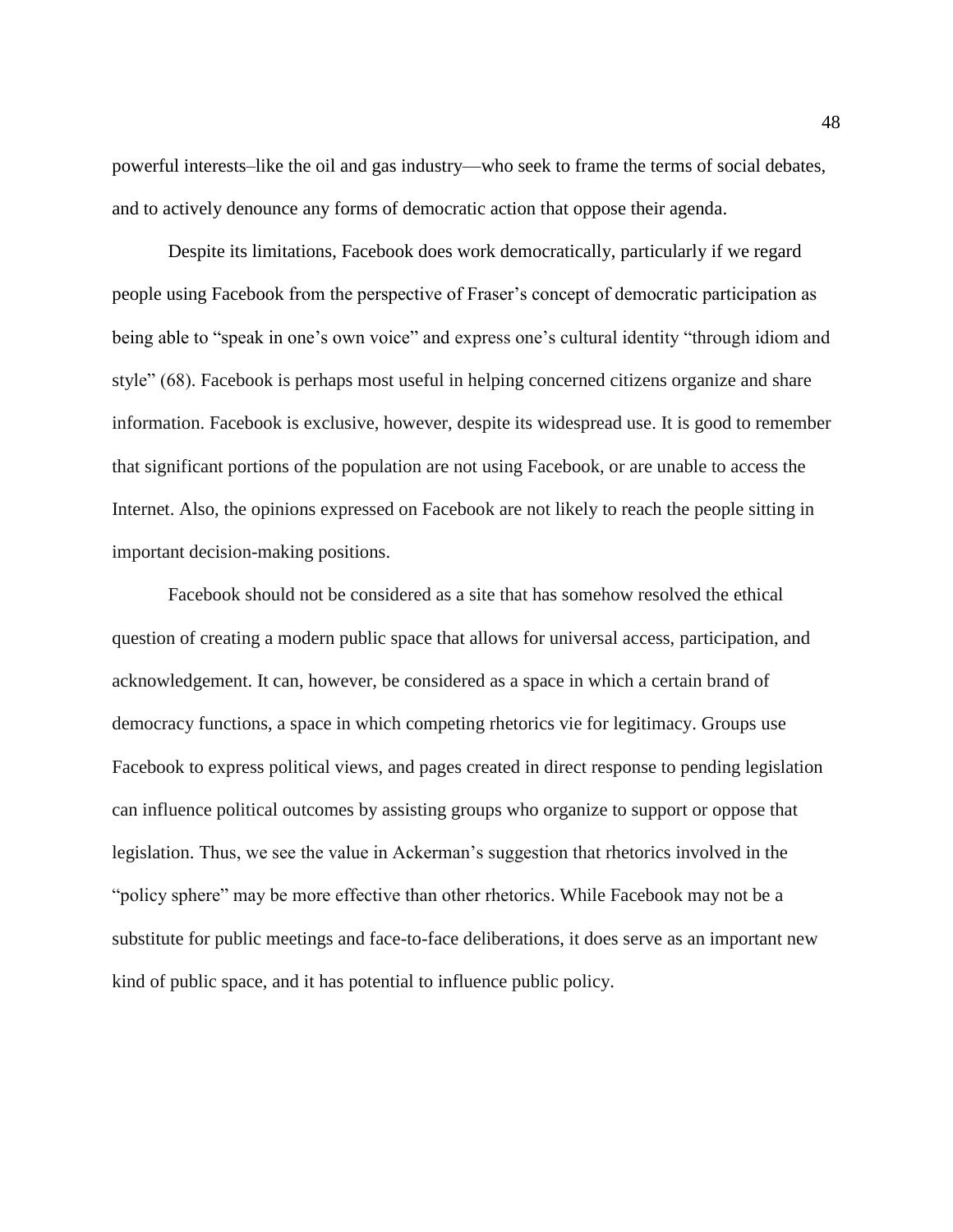powerful interests–like the oil and gas industry—who seek to frame the terms of social debates, and to actively denounce any forms of democratic action that oppose their agenda.

Despite its limitations, Facebook does work democratically, particularly if we regard people using Facebook from the perspective of Fraser's concept of democratic participation as being able to "speak in one's own voice" and express one's cultural identity "through idiom and style" (68). Facebook is perhaps most useful in helping concerned citizens organize and share information. Facebook is exclusive, however, despite its widespread use. It is good to remember that significant portions of the population are not using Facebook, or are unable to access the Internet. Also, the opinions expressed on Facebook are not likely to reach the people sitting in important decision-making positions.

Facebook should not be considered as a site that has somehow resolved the ethical question of creating a modern public space that allows for universal access, participation, and acknowledgement. It can, however, be considered as a space in which a certain brand of democracy functions, a space in which competing rhetorics vie for legitimacy. Groups use Facebook to express political views, and pages created in direct response to pending legislation can influence political outcomes by assisting groups who organize to support or oppose that legislation. Thus, we see the value in Ackerman's suggestion that rhetorics involved in the "policy sphere" may be more effective than other rhetorics. While Facebook may not be a substitute for public meetings and face-to-face deliberations, it does serve as an important new kind of public space, and it has potential to influence public policy.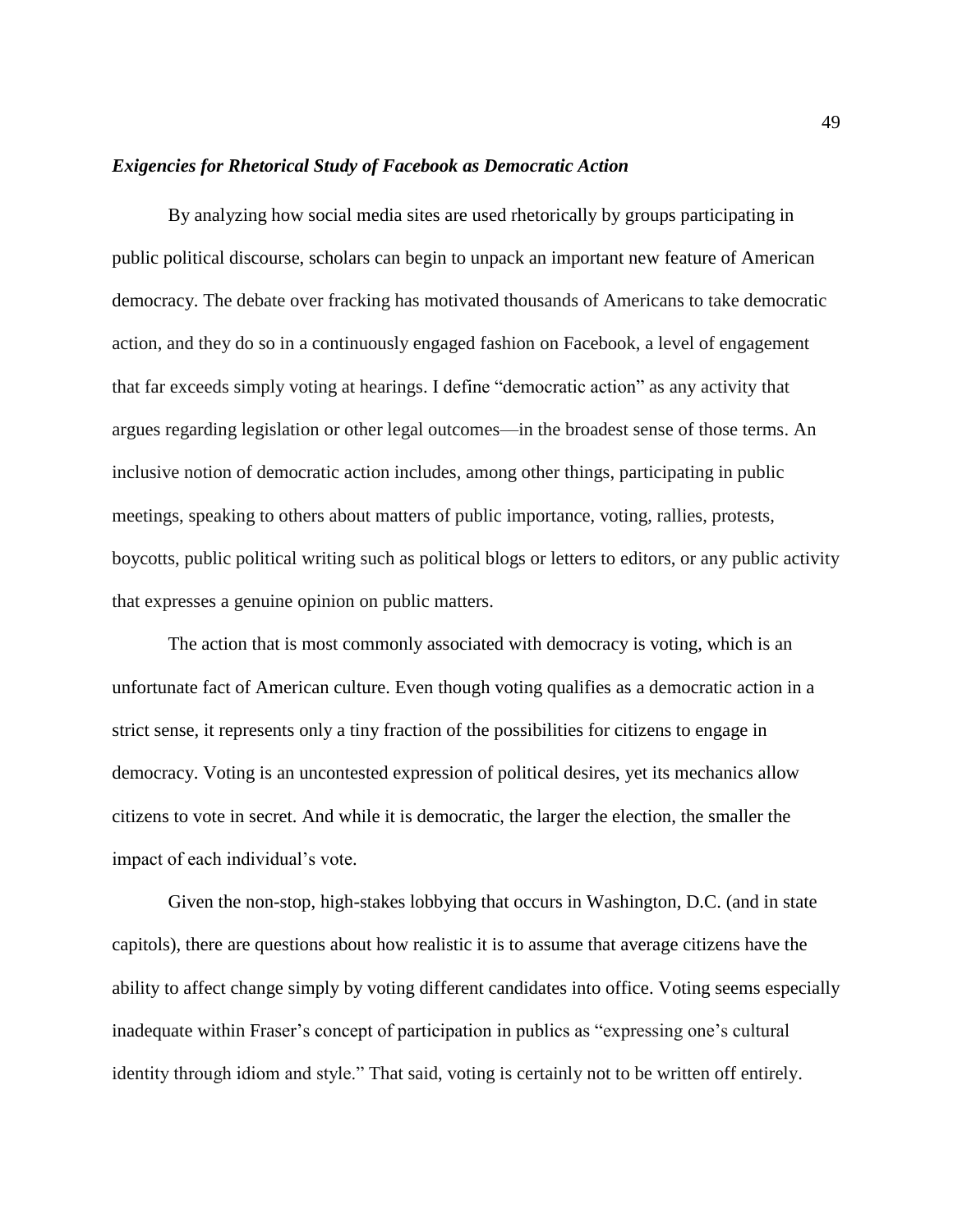#### *Exigencies for Rhetorical Study of Facebook as Democratic Action*

By analyzing how social media sites are used rhetorically by groups participating in public political discourse, scholars can begin to unpack an important new feature of American democracy. The debate over fracking has motivated thousands of Americans to take democratic action, and they do so in a continuously engaged fashion on Facebook, a level of engagement that far exceeds simply voting at hearings. I define "democratic action" as any activity that argues regarding legislation or other legal outcomes—in the broadest sense of those terms. An inclusive notion of democratic action includes, among other things, participating in public meetings, speaking to others about matters of public importance, voting, rallies, protests, boycotts, public political writing such as political blogs or letters to editors, or any public activity that expresses a genuine opinion on public matters.

The action that is most commonly associated with democracy is voting, which is an unfortunate fact of American culture. Even though voting qualifies as a democratic action in a strict sense, it represents only a tiny fraction of the possibilities for citizens to engage in democracy. Voting is an uncontested expression of political desires, yet its mechanics allow citizens to vote in secret. And while it is democratic, the larger the election, the smaller the impact of each individual's vote.

Given the non-stop, high-stakes lobbying that occurs in Washington, D.C. (and in state capitols), there are questions about how realistic it is to assume that average citizens have the ability to affect change simply by voting different candidates into office. Voting seems especially inadequate within Fraser's concept of participation in publics as "expressing one's cultural identity through idiom and style." That said, voting is certainly not to be written off entirely.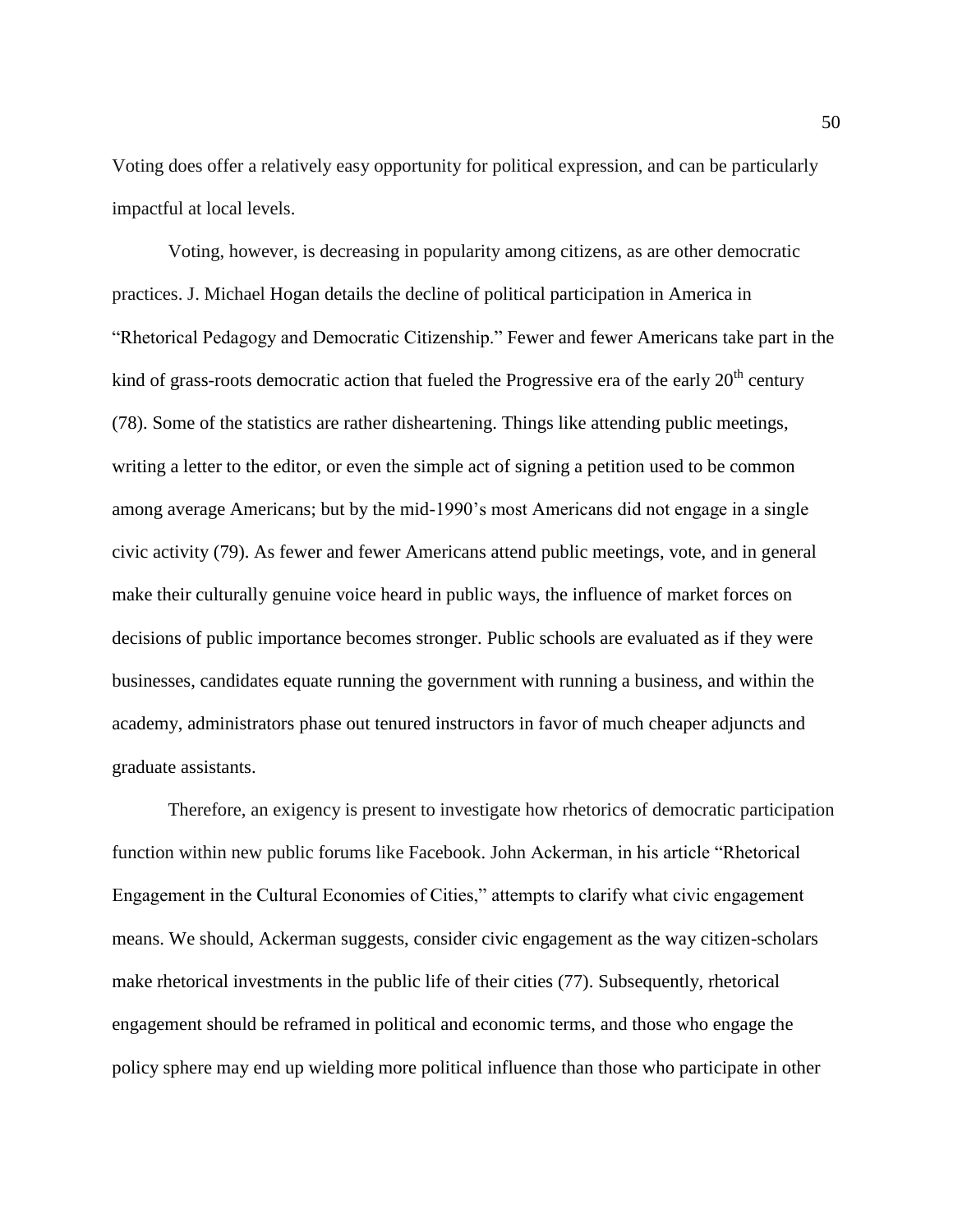Voting does offer a relatively easy opportunity for political expression, and can be particularly impactful at local levels.

Voting, however, is decreasing in popularity among citizens, as are other democratic practices. J. Michael Hogan details the decline of political participation in America in "Rhetorical Pedagogy and Democratic Citizenship." Fewer and fewer Americans take part in the kind of grass-roots democratic action that fueled the Progressive era of the early  $20<sup>th</sup>$  century (78). Some of the statistics are rather disheartening. Things like attending public meetings, writing a letter to the editor, or even the simple act of signing a petition used to be common among average Americans; but by the mid-1990's most Americans did not engage in a single civic activity (79). As fewer and fewer Americans attend public meetings, vote, and in general make their culturally genuine voice heard in public ways, the influence of market forces on decisions of public importance becomes stronger. Public schools are evaluated as if they were businesses, candidates equate running the government with running a business, and within the academy, administrators phase out tenured instructors in favor of much cheaper adjuncts and graduate assistants.

Therefore, an exigency is present to investigate how rhetorics of democratic participation function within new public forums like Facebook. John Ackerman, in his article "Rhetorical Engagement in the Cultural Economies of Cities," attempts to clarify what civic engagement means. We should, Ackerman suggests, consider civic engagement as the way citizen-scholars make rhetorical investments in the public life of their cities (77). Subsequently, rhetorical engagement should be reframed in political and economic terms, and those who engage the policy sphere may end up wielding more political influence than those who participate in other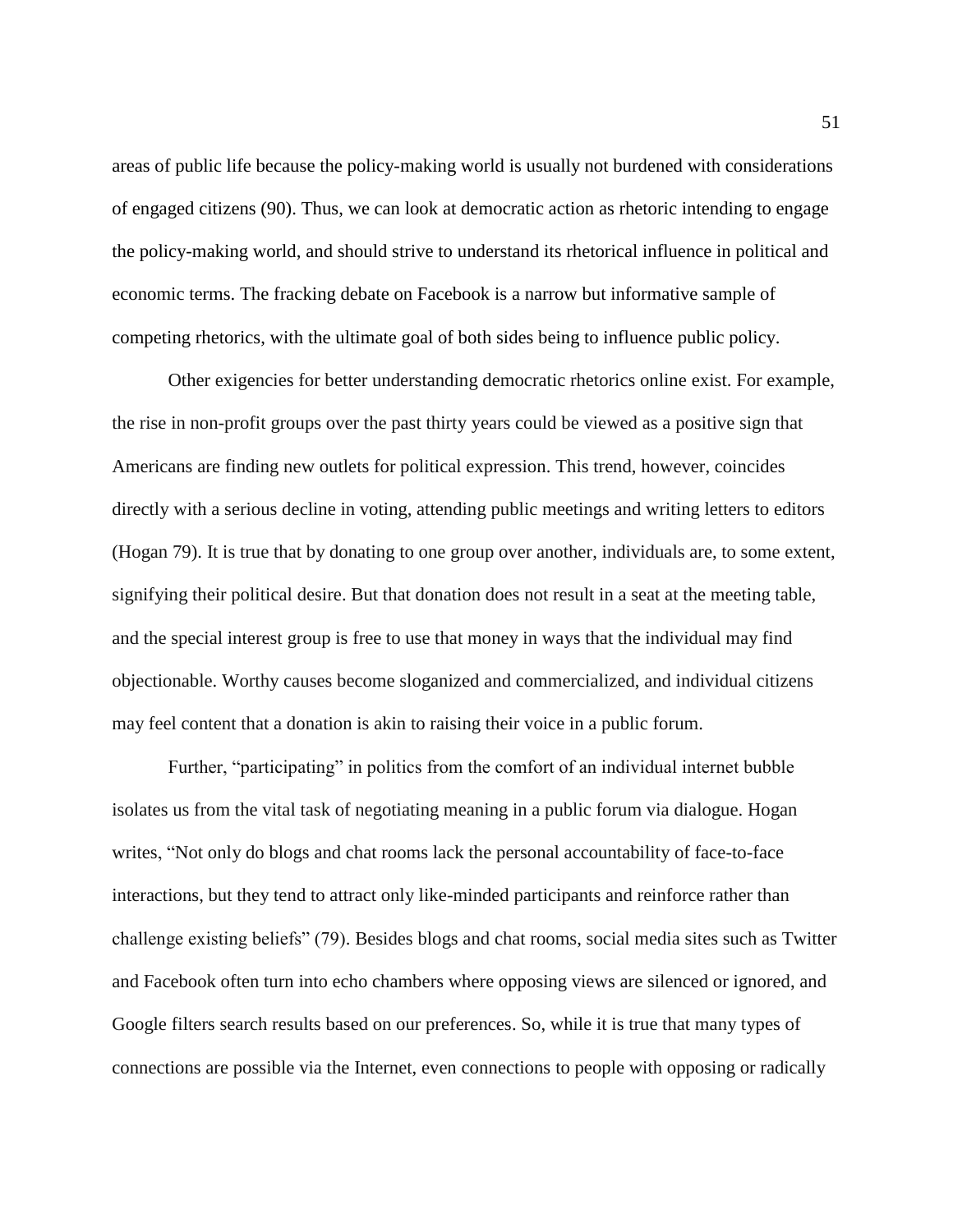areas of public life because the policy-making world is usually not burdened with considerations of engaged citizens (90). Thus, we can look at democratic action as rhetoric intending to engage the policy-making world, and should strive to understand its rhetorical influence in political and economic terms. The fracking debate on Facebook is a narrow but informative sample of competing rhetorics, with the ultimate goal of both sides being to influence public policy.

Other exigencies for better understanding democratic rhetorics online exist. For example, the rise in non-profit groups over the past thirty years could be viewed as a positive sign that Americans are finding new outlets for political expression. This trend, however, coincides directly with a serious decline in voting, attending public meetings and writing letters to editors (Hogan 79). It is true that by donating to one group over another, individuals are, to some extent, signifying their political desire. But that donation does not result in a seat at the meeting table, and the special interest group is free to use that money in ways that the individual may find objectionable. Worthy causes become sloganized and commercialized, and individual citizens may feel content that a donation is akin to raising their voice in a public forum.

Further, "participating" in politics from the comfort of an individual internet bubble isolates us from the vital task of negotiating meaning in a public forum via dialogue. Hogan writes, "Not only do blogs and chat rooms lack the personal accountability of face-to-face interactions, but they tend to attract only like-minded participants and reinforce rather than challenge existing beliefs" (79). Besides blogs and chat rooms, social media sites such as Twitter and Facebook often turn into echo chambers where opposing views are silenced or ignored, and Google filters search results based on our preferences. So, while it is true that many types of connections are possible via the Internet, even connections to people with opposing or radically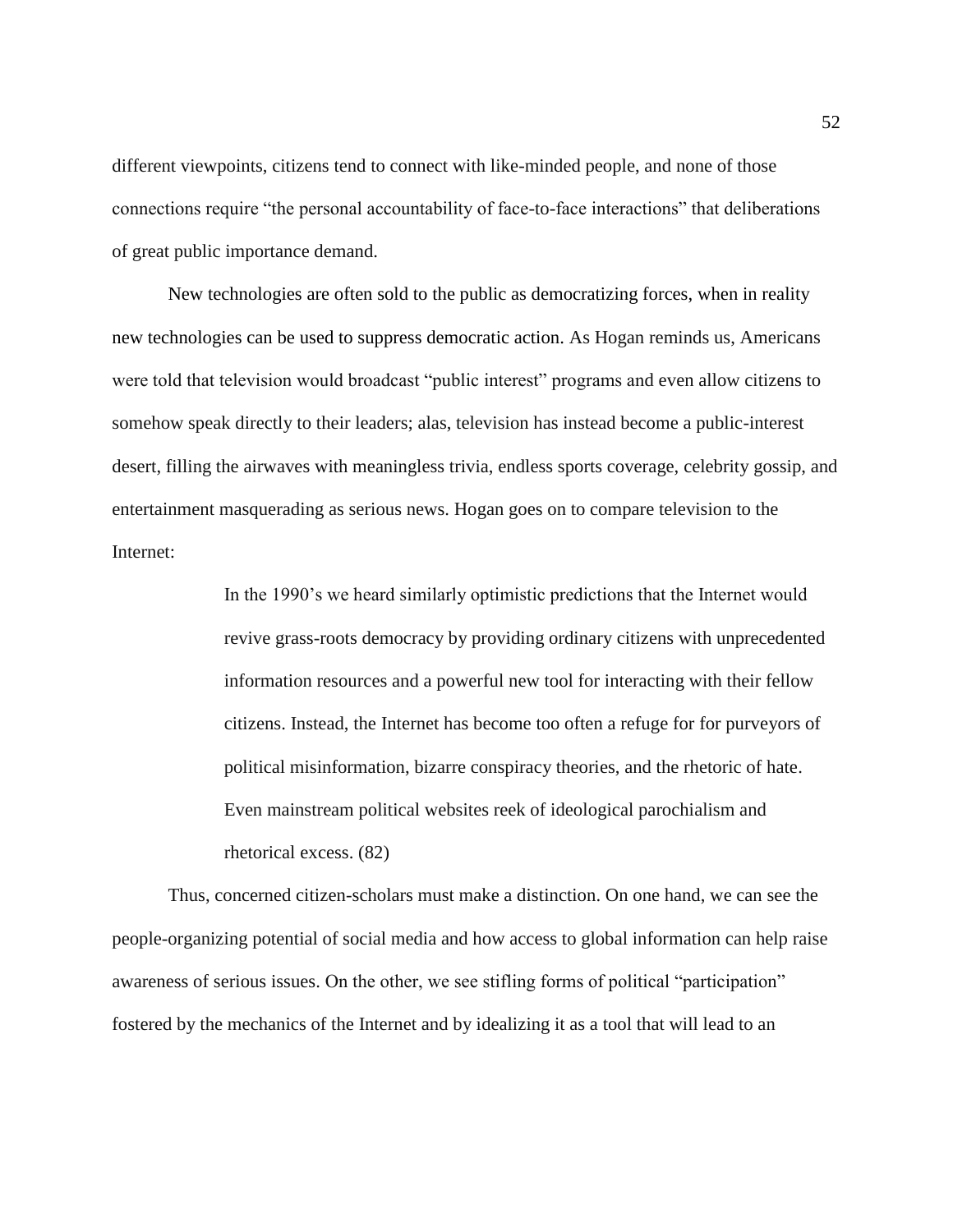different viewpoints, citizens tend to connect with like-minded people, and none of those connections require "the personal accountability of face-to-face interactions" that deliberations of great public importance demand.

New technologies are often sold to the public as democratizing forces, when in reality new technologies can be used to suppress democratic action. As Hogan reminds us, Americans were told that television would broadcast "public interest" programs and even allow citizens to somehow speak directly to their leaders; alas, television has instead become a public-interest desert, filling the airwaves with meaningless trivia, endless sports coverage, celebrity gossip, and entertainment masquerading as serious news. Hogan goes on to compare television to the Internet:

> In the 1990's we heard similarly optimistic predictions that the Internet would revive grass-roots democracy by providing ordinary citizens with unprecedented information resources and a powerful new tool for interacting with their fellow citizens. Instead, the Internet has become too often a refuge for for purveyors of political misinformation, bizarre conspiracy theories, and the rhetoric of hate. Even mainstream political websites reek of ideological parochialism and rhetorical excess. (82)

Thus, concerned citizen-scholars must make a distinction. On one hand, we can see the people-organizing potential of social media and how access to global information can help raise awareness of serious issues. On the other, we see stifling forms of political "participation" fostered by the mechanics of the Internet and by idealizing it as a tool that will lead to an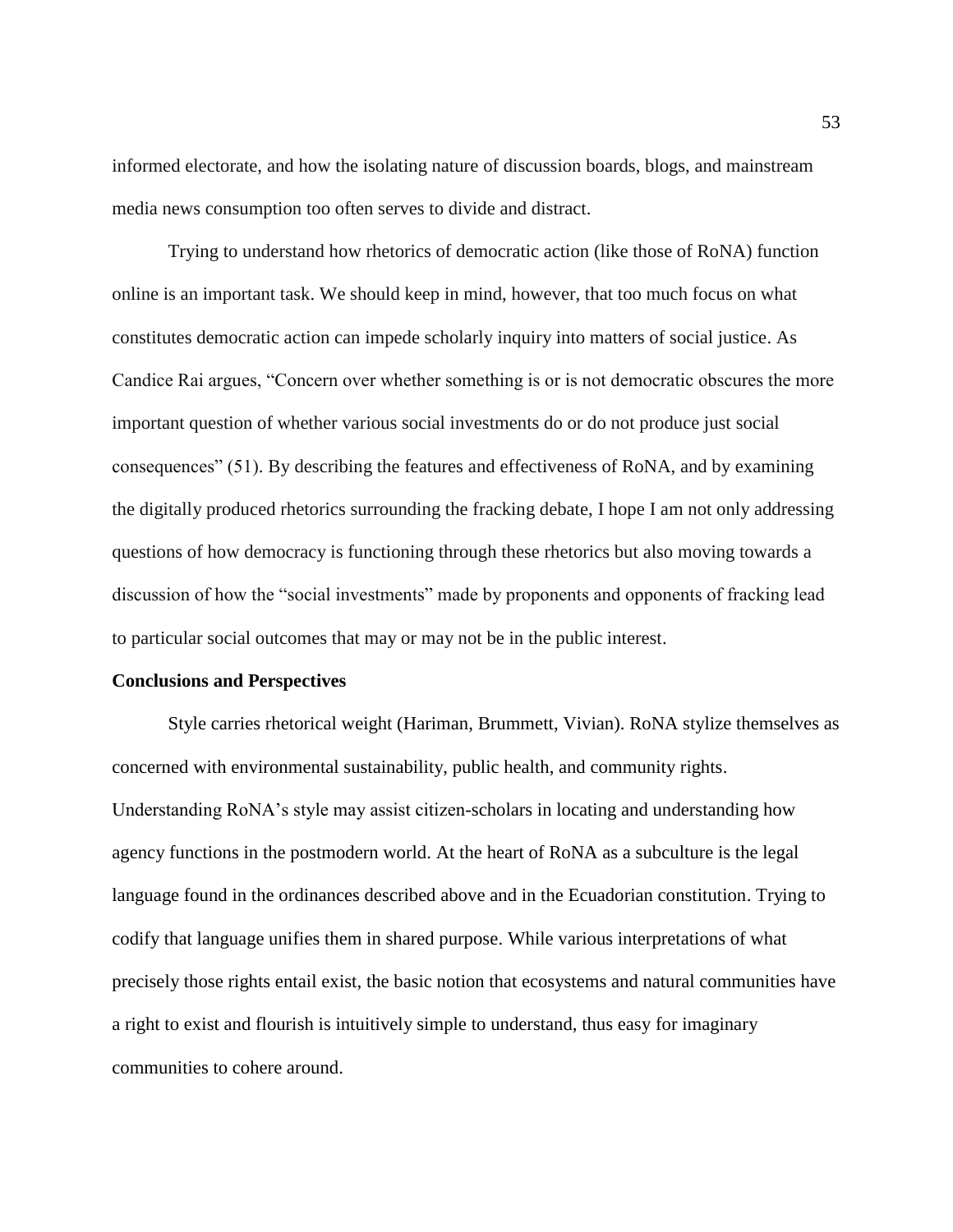informed electorate, and how the isolating nature of discussion boards, blogs, and mainstream media news consumption too often serves to divide and distract.

Trying to understand how rhetorics of democratic action (like those of RoNA) function online is an important task. We should keep in mind, however, that too much focus on what constitutes democratic action can impede scholarly inquiry into matters of social justice. As Candice Rai argues, "Concern over whether something is or is not democratic obscures the more important question of whether various social investments do or do not produce just social consequences" (51). By describing the features and effectiveness of RoNA, and by examining the digitally produced rhetorics surrounding the fracking debate, I hope I am not only addressing questions of how democracy is functioning through these rhetorics but also moving towards a discussion of how the "social investments" made by proponents and opponents of fracking lead to particular social outcomes that may or may not be in the public interest.

#### **Conclusions and Perspectives**

Style carries rhetorical weight (Hariman, Brummett, Vivian). RoNA stylize themselves as concerned with environmental sustainability, public health, and community rights. Understanding RoNA's style may assist citizen-scholars in locating and understanding how agency functions in the postmodern world. At the heart of RoNA as a subculture is the legal language found in the ordinances described above and in the Ecuadorian constitution. Trying to codify that language unifies them in shared purpose. While various interpretations of what precisely those rights entail exist, the basic notion that ecosystems and natural communities have a right to exist and flourish is intuitively simple to understand, thus easy for imaginary communities to cohere around.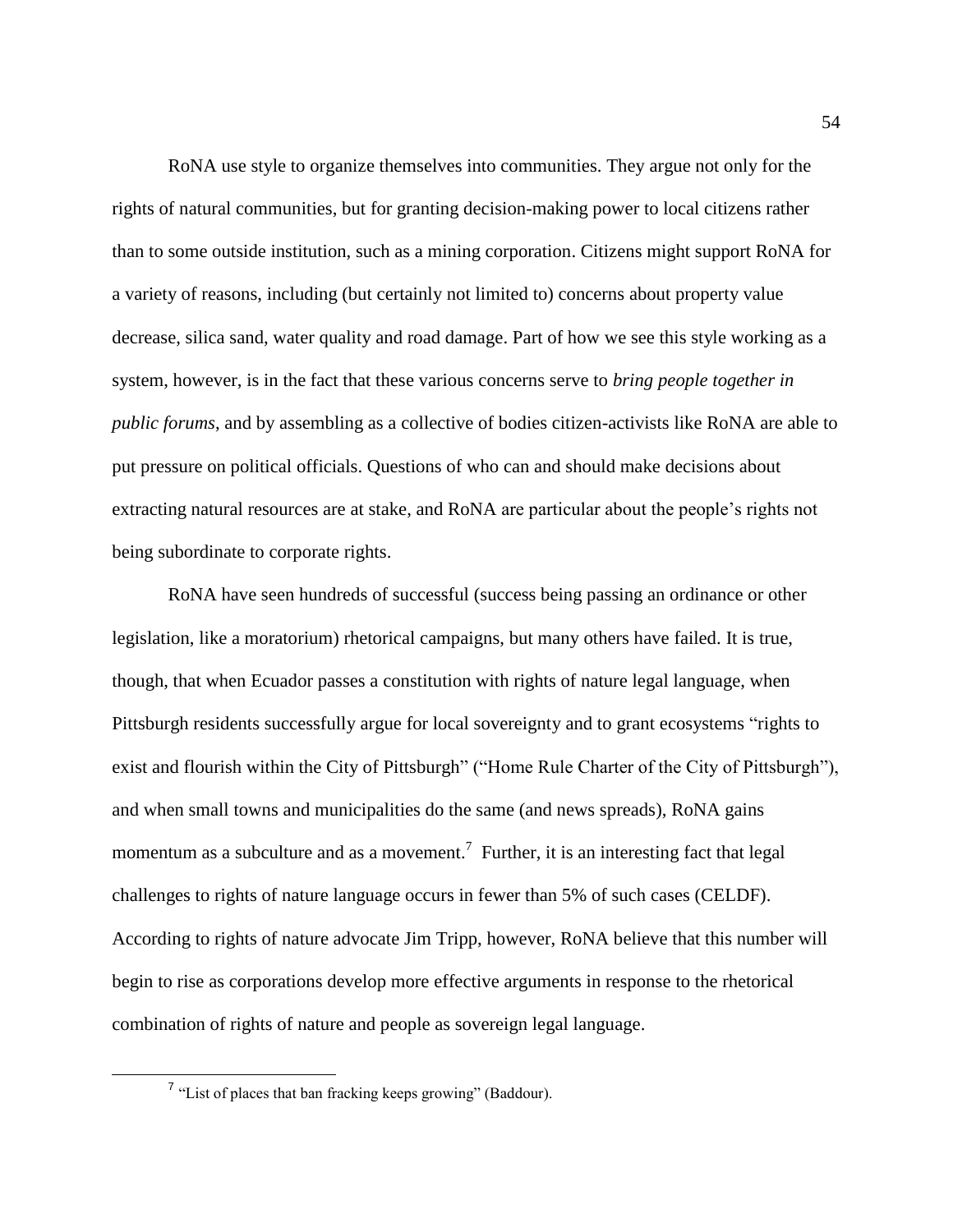RoNA use style to organize themselves into communities. They argue not only for the rights of natural communities, but for granting decision-making power to local citizens rather than to some outside institution, such as a mining corporation. Citizens might support RoNA for a variety of reasons, including (but certainly not limited to) concerns about property value decrease, silica sand, water quality and road damage. Part of how we see this style working as a system, however, is in the fact that these various concerns serve to *bring people together in public forums*, and by assembling as a collective of bodies citizen-activists like RoNA are able to put pressure on political officials. Questions of who can and should make decisions about extracting natural resources are at stake, and RoNA are particular about the people's rights not being subordinate to corporate rights.

RoNA have seen hundreds of successful (success being passing an ordinance or other legislation, like a moratorium) rhetorical campaigns, but many others have failed. It is true, though, that when Ecuador passes a constitution with rights of nature legal language, when Pittsburgh residents successfully argue for local sovereignty and to grant ecosystems "rights to exist and flourish within the City of Pittsburgh" ("Home Rule Charter of the City of Pittsburgh"), and when small towns and municipalities do the same (and news spreads), RoNA gains momentum as a subculture and as a movement.<sup>7</sup> Further, it is an interesting fact that legal challenges to rights of nature language occurs in fewer than 5% of such cases (CELDF). According to rights of nature advocate Jim Tripp, however, RoNA believe that this number will begin to rise as corporations develop more effective arguments in response to the rhetorical combination of rights of nature and people as sovereign legal language.

<sup>&</sup>lt;sup>7</sup> "List of places that ban fracking keeps growing" (Baddour).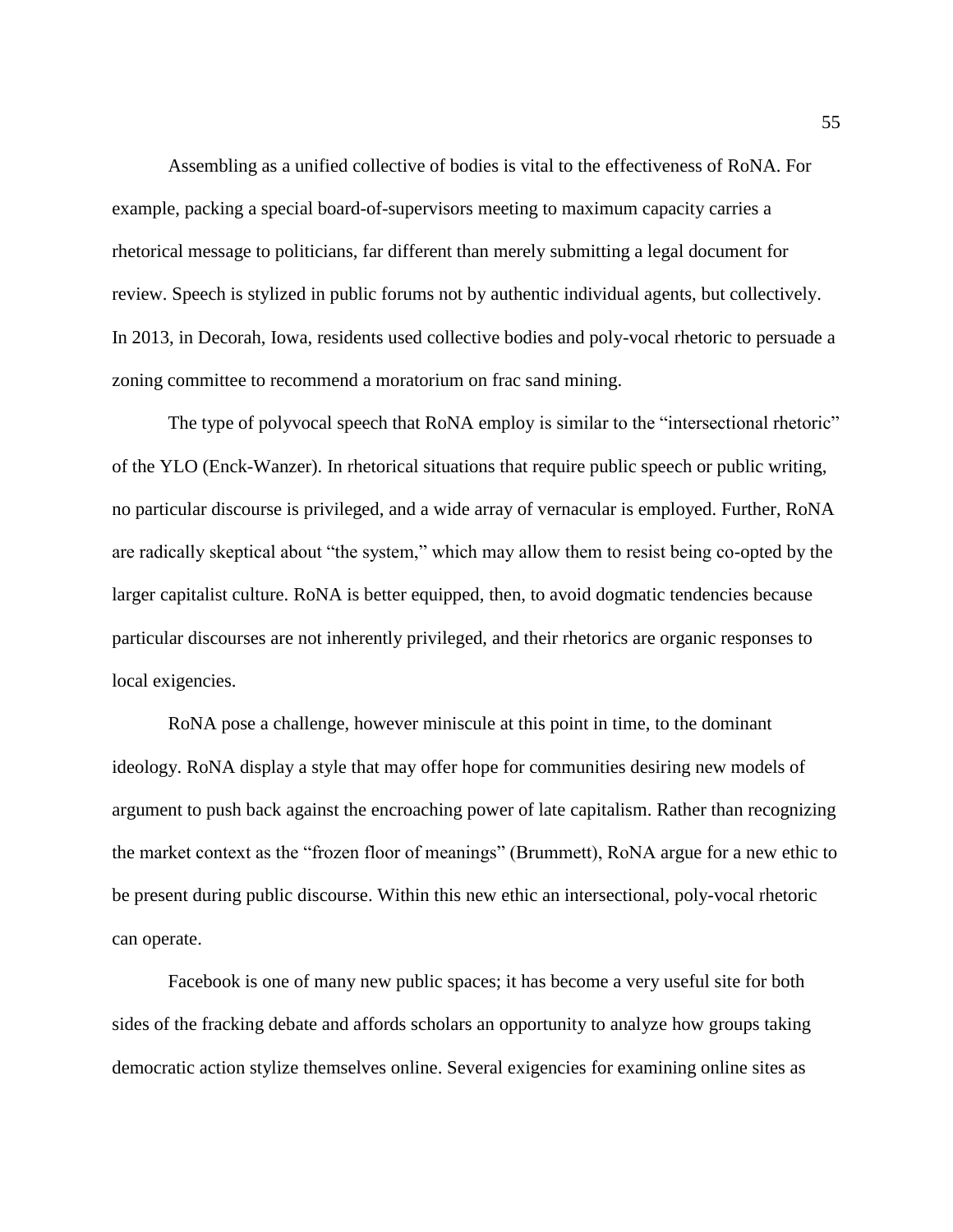Assembling as a unified collective of bodies is vital to the effectiveness of RoNA. For example, packing a special board-of-supervisors meeting to maximum capacity carries a rhetorical message to politicians, far different than merely submitting a legal document for review. Speech is stylized in public forums not by authentic individual agents, but collectively. In 2013, in Decorah, Iowa, residents used collective bodies and poly-vocal rhetoric to persuade a zoning committee to recommend a moratorium on frac sand mining.

The type of polyvocal speech that RoNA employ is similar to the "intersectional rhetoric" of the YLO (Enck-Wanzer). In rhetorical situations that require public speech or public writing, no particular discourse is privileged, and a wide array of vernacular is employed. Further, RoNA are radically skeptical about "the system," which may allow them to resist being co-opted by the larger capitalist culture. RoNA is better equipped, then, to avoid dogmatic tendencies because particular discourses are not inherently privileged, and their rhetorics are organic responses to local exigencies.

RoNA pose a challenge, however miniscule at this point in time, to the dominant ideology. RoNA display a style that may offer hope for communities desiring new models of argument to push back against the encroaching power of late capitalism. Rather than recognizing the market context as the "frozen floor of meanings" (Brummett), RoNA argue for a new ethic to be present during public discourse. Within this new ethic an intersectional, poly-vocal rhetoric can operate.

Facebook is one of many new public spaces; it has become a very useful site for both sides of the fracking debate and affords scholars an opportunity to analyze how groups taking democratic action stylize themselves online. Several exigencies for examining online sites as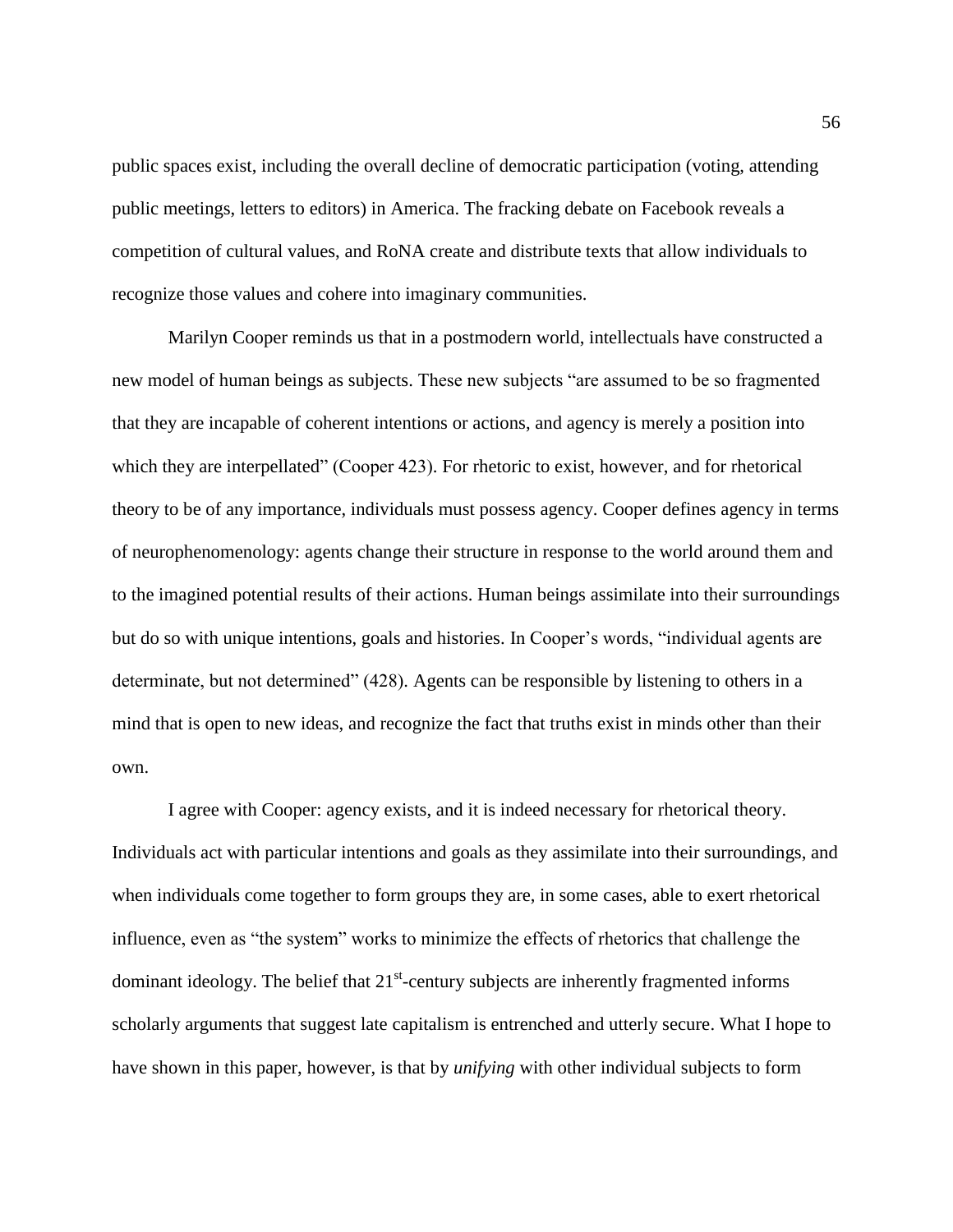public spaces exist, including the overall decline of democratic participation (voting, attending public meetings, letters to editors) in America. The fracking debate on Facebook reveals a competition of cultural values, and RoNA create and distribute texts that allow individuals to recognize those values and cohere into imaginary communities.

Marilyn Cooper reminds us that in a postmodern world, intellectuals have constructed a new model of human beings as subjects. These new subjects "are assumed to be so fragmented that they are incapable of coherent intentions or actions, and agency is merely a position into which they are interpellated" (Cooper 423). For rhetoric to exist, however, and for rhetorical theory to be of any importance, individuals must possess agency. Cooper defines agency in terms of neurophenomenology: agents change their structure in response to the world around them and to the imagined potential results of their actions. Human beings assimilate into their surroundings but do so with unique intentions, goals and histories. In Cooper's words, "individual agents are determinate, but not determined" (428). Agents can be responsible by listening to others in a mind that is open to new ideas, and recognize the fact that truths exist in minds other than their own.

I agree with Cooper: agency exists, and it is indeed necessary for rhetorical theory. Individuals act with particular intentions and goals as they assimilate into their surroundings, and when individuals come together to form groups they are, in some cases, able to exert rhetorical influence, even as "the system" works to minimize the effects of rhetorics that challenge the dominant ideology. The belief that  $21<sup>st</sup>$ -century subjects are inherently fragmented informs scholarly arguments that suggest late capitalism is entrenched and utterly secure. What I hope to have shown in this paper, however, is that by *unifying* with other individual subjects to form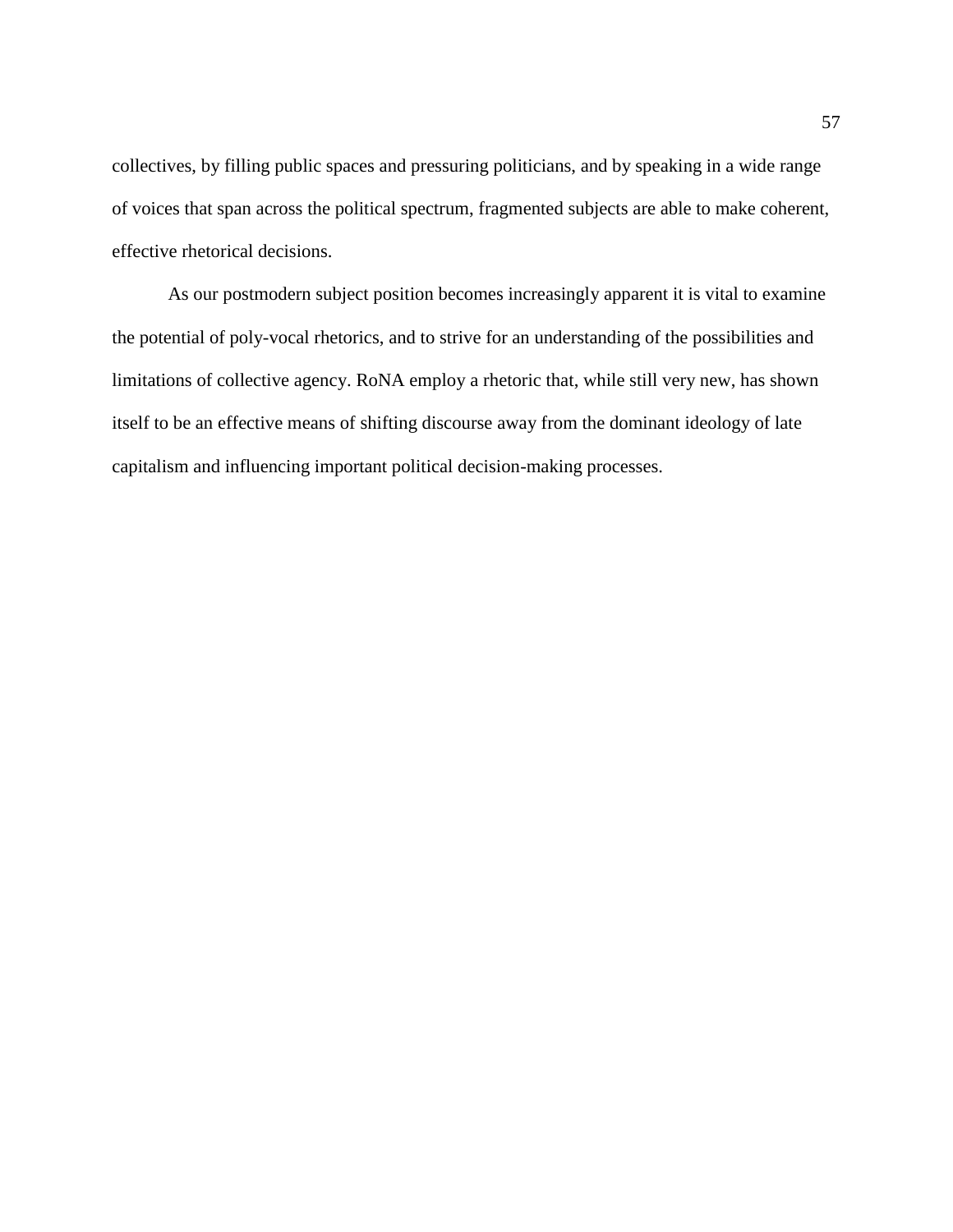collectives, by filling public spaces and pressuring politicians, and by speaking in a wide range of voices that span across the political spectrum, fragmented subjects are able to make coherent, effective rhetorical decisions.

As our postmodern subject position becomes increasingly apparent it is vital to examine the potential of poly-vocal rhetorics, and to strive for an understanding of the possibilities and limitations of collective agency. RoNA employ a rhetoric that, while still very new, has shown itself to be an effective means of shifting discourse away from the dominant ideology of late capitalism and influencing important political decision-making processes.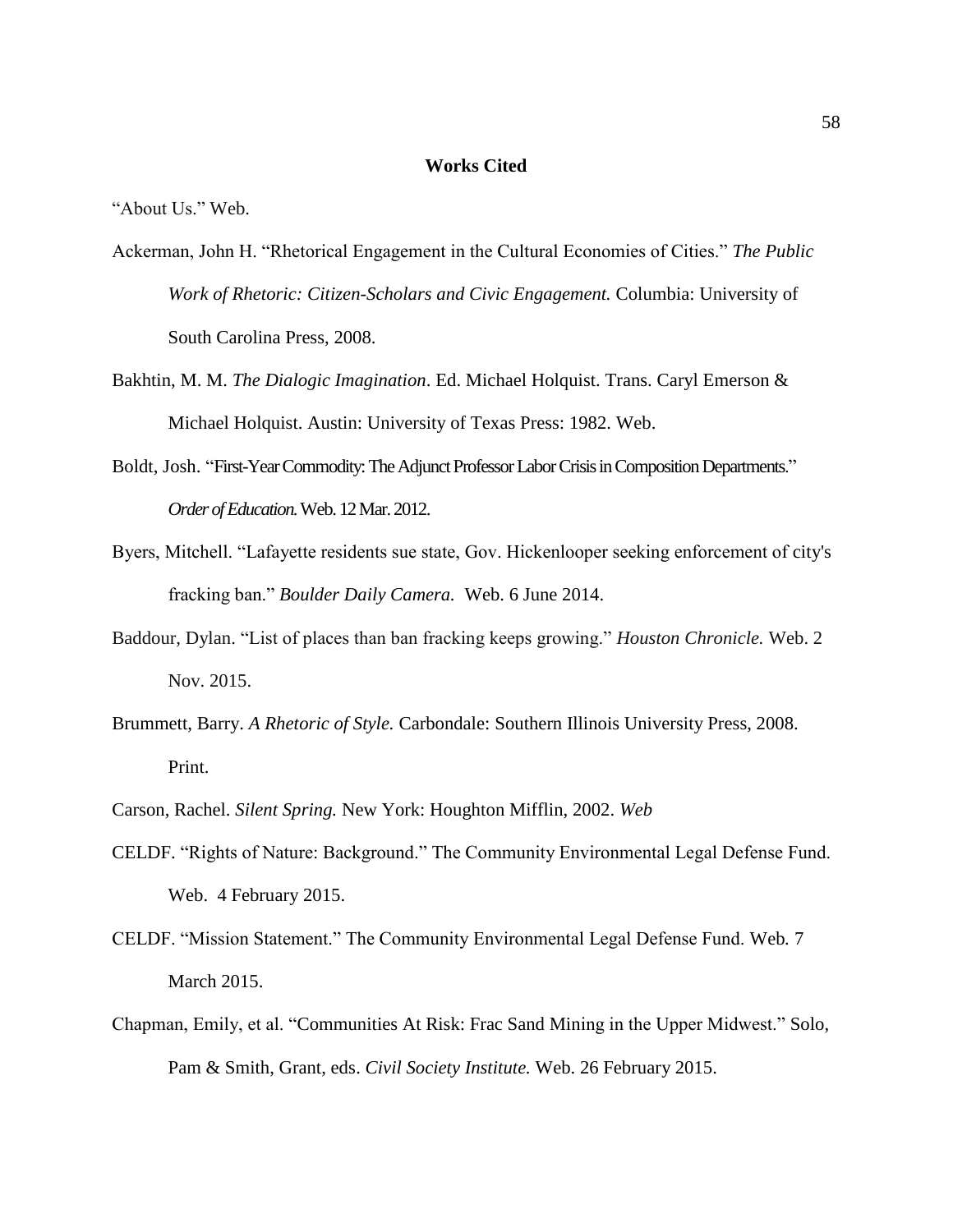#### **Works Cited**

"About Us." Web.

- Ackerman, John H. "Rhetorical Engagement in the Cultural Economies of Cities." *The Public Work of Rhetoric: Citizen-Scholars and Civic Engagement.* Columbia: University of South Carolina Press, 2008.
- Bakhtin, M. M. *The Dialogic Imagination*. Ed. Michael Holquist. Trans. Caryl Emerson & Michael Holquist. Austin: University of Texas Press: 1982. Web.
- Boldt, Josh. "First-Year Commodity: The Adjunct Professor Labor Crisis in Composition Departments." *Order of Education.*Web. 12 Mar. 2012.
- Byers, Mitchell. "Lafayette residents sue state, Gov. Hickenlooper seeking enforcement of city's fracking ban." *Boulder Daily Camera.* Web. 6 June 2014.
- Baddour, Dylan. "List of places than ban fracking keeps growing." *Houston Chronicle.* Web. 2 Nov. 2015.
- Brummett, Barry. *A Rhetoric of Style.* Carbondale: Southern Illinois University Press, 2008. Print.
- Carson, Rachel. *Silent Spring.* New York: Houghton Mifflin, 2002. *Web*
- CELDF. "Rights of Nature: Background." The Community Environmental Legal Defense Fund. Web. 4 February 2015.
- CELDF. "Mission Statement." The Community Environmental Legal Defense Fund. Web*.* 7 March 2015.
- Chapman, Emily, et al. "Communities At Risk: Frac Sand Mining in the Upper Midwest." Solo, Pam & Smith, Grant, eds. *Civil Society Institute.* Web. 26 February 2015.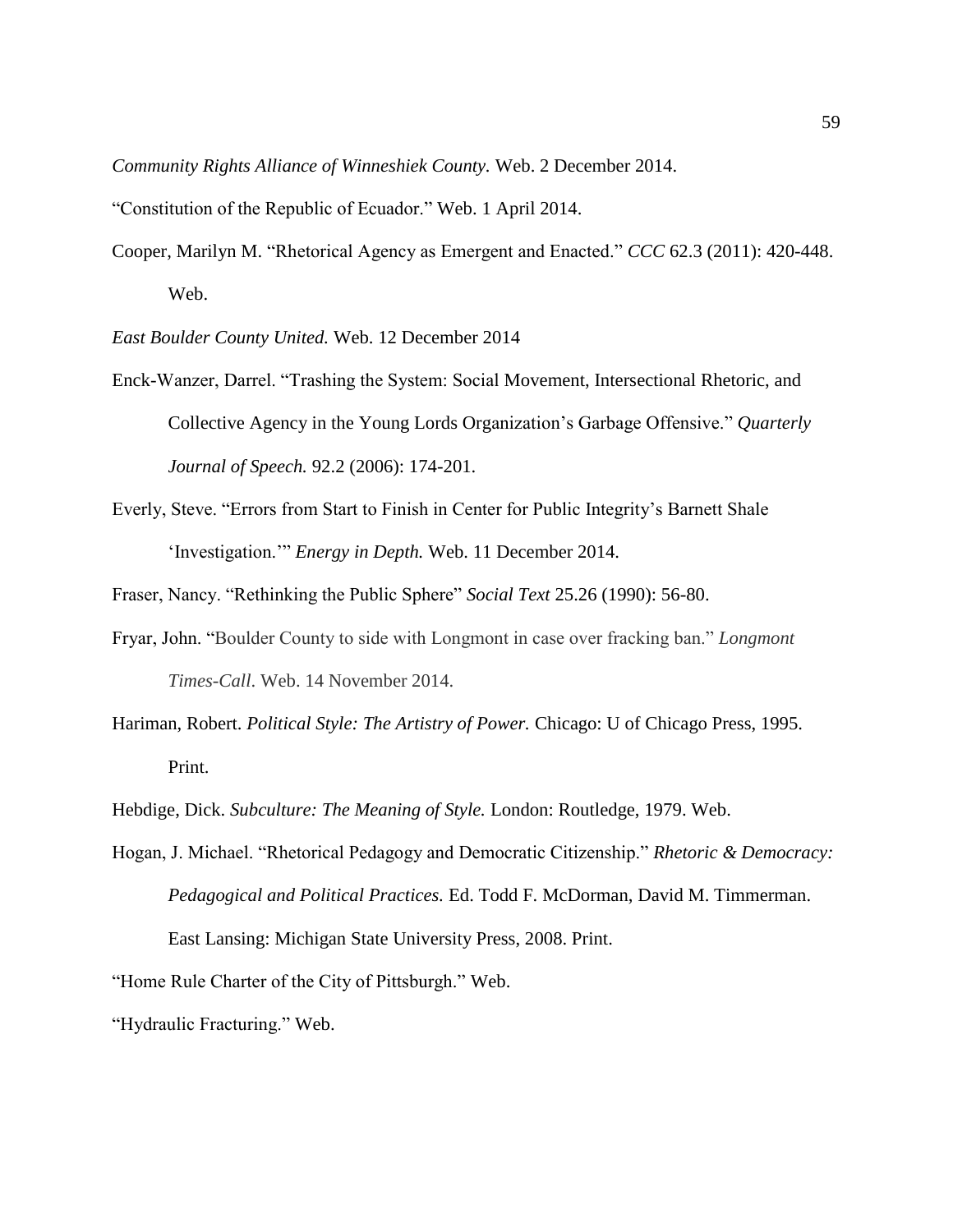*Community Rights Alliance of Winneshiek County.* Web. 2 December 2014.

- "Constitution of the Republic of Ecuador." Web. 1 April 2014.
- Cooper, Marilyn M. "Rhetorical Agency as Emergent and Enacted." *CCC* 62.3 (2011): 420-448. Web.

*East Boulder County United.* Web. 12 December 2014

- Enck-Wanzer, Darrel. "Trashing the System: Social Movement, Intersectional Rhetoric, and Collective Agency in the Young Lords Organization's Garbage Offensive." *Quarterly Journal of Speech.* 92.2 (2006): 174-201.
- Everly, Steve. "Errors from Start to Finish in Center for Public Integrity's Barnett Shale 'Investigation.'" *Energy in Depth.* Web. 11 December 2014.

Fraser, Nancy. "Rethinking the Public Sphere" *Social Text* 25.26 (1990): 56-80.

- Fryar, John. "Boulder County to side with Longmont in case over fracking ban." *Longmont Times-Call*. Web. 14 November 2014.
- Hariman, Robert. *Political Style: The Artistry of Power.* Chicago: U of Chicago Press, 1995. Print.
- Hebdige, Dick. *Subculture: The Meaning of Style.* London: Routledge, 1979. Web.
- Hogan, J. Michael. "Rhetorical Pedagogy and Democratic Citizenship." *Rhetoric & Democracy: Pedagogical and Political Practices.* Ed. Todd F. McDorman, David M. Timmerman. East Lansing: Michigan State University Press, 2008. Print.

"Home Rule Charter of the City of Pittsburgh." Web.

"Hydraulic Fracturing." Web.